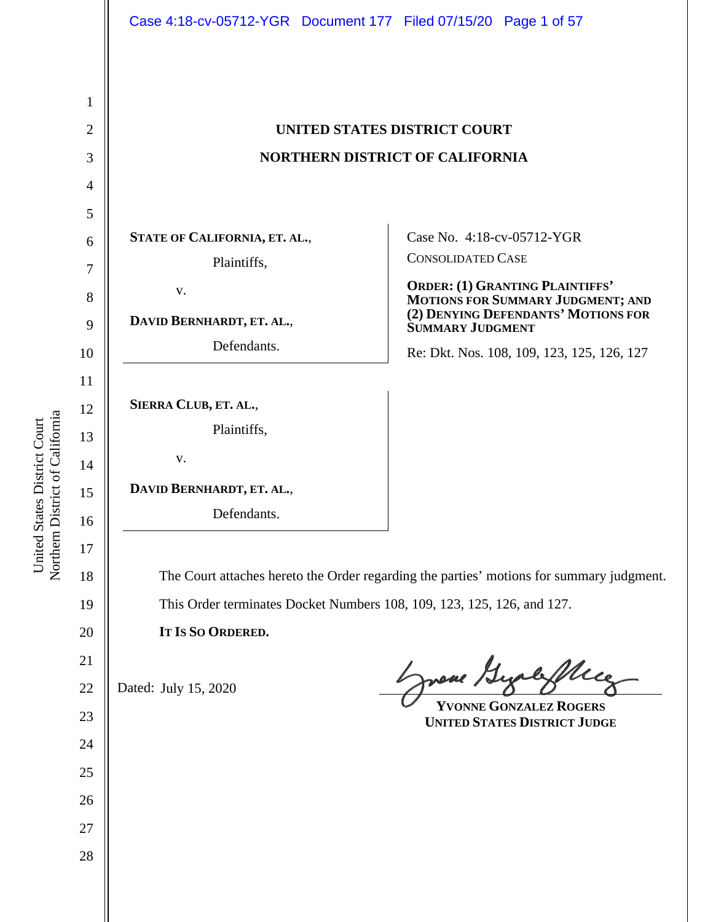|                | Case 4:18-cv-05712-YGR  Document 177  Filed 07/15/20  Page 1 of 57                       |                                                                                                         |
|----------------|------------------------------------------------------------------------------------------|---------------------------------------------------------------------------------------------------------|
|                |                                                                                          |                                                                                                         |
| 1              |                                                                                          |                                                                                                         |
| $\overline{2}$ | UNITED STATES DISTRICT COURT                                                             |                                                                                                         |
| 3              | <b>NORTHERN DISTRICT OF CALIFORNIA</b>                                                   |                                                                                                         |
| $\overline{4}$ |                                                                                          |                                                                                                         |
| 5              |                                                                                          |                                                                                                         |
| 6              | STATE OF CALIFORNIA, ET. AL.,                                                            | Case No. 4:18-cv-05712-YGR                                                                              |
| 7              | Plaintiffs,                                                                              | <b>CONSOLIDATED CASE</b>                                                                                |
| 8              | V.                                                                                       | ORDER: (1) GRANTING PLAINTIFFS'                                                                         |
| 9              | DAVID BERNHARDT, ET. AL.,                                                                | <b>MOTIONS FOR SUMMARY JUDGMENT; AND (2) DENYING DEFENDANTS' MOTIONS FOR</b><br><b>SUMMARY JUDGMENT</b> |
| 10             | Defendants.                                                                              | Re: Dkt. Nos. 108, 109, 123, 125, 126, 127                                                              |
| 11             |                                                                                          |                                                                                                         |
| 12             | SIERRA CLUB, ET. AL.,                                                                    |                                                                                                         |
| 13             | Plaintiffs,                                                                              |                                                                                                         |
| 14             | V.                                                                                       |                                                                                                         |
| 15             | DAVID BERNHARDT, ET. AL.,                                                                |                                                                                                         |
| 16             | Defendants.                                                                              |                                                                                                         |
| 17             |                                                                                          |                                                                                                         |
| 18             | The Court attaches hereto the Order regarding the parties' motions for summary judgment. |                                                                                                         |
| 19             | This Order terminates Docket Numbers 108, 109, 123, 125, 126, and 127.                   |                                                                                                         |
| 20             | IT IS SO ORDERED.                                                                        |                                                                                                         |
| 21             |                                                                                          |                                                                                                         |
| 22             | Dated: July 15, 2020                                                                     | Muce<br>neve                                                                                            |
| 23             |                                                                                          | <b>YVONNE GONZALEZ ROGERS</b><br><b>UNITED STATES DISTRICT JUDGE</b>                                    |
| 24             |                                                                                          |                                                                                                         |
| 25             |                                                                                          |                                                                                                         |
| 26             |                                                                                          |                                                                                                         |
| 27             |                                                                                          |                                                                                                         |
| 28             |                                                                                          |                                                                                                         |
|                |                                                                                          |                                                                                                         |
|                |                                                                                          |                                                                                                         |

United States District Court Northern District of Californi a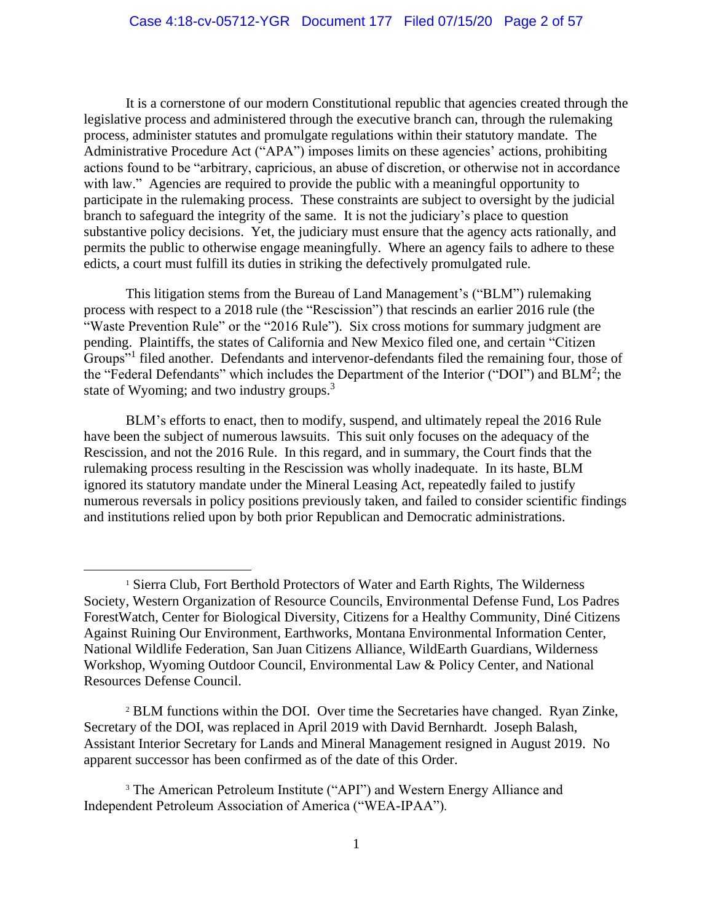It is a cornerstone of our modern Constitutional republic that agencies created through the legislative process and administered through the executive branch can, through the rulemaking process, administer statutes and promulgate regulations within their statutory mandate. The Administrative Procedure Act ("APA") imposes limits on these agencies' actions, prohibiting actions found to be "arbitrary, capricious, an abuse of discretion, or otherwise not in accordance with law." Agencies are required to provide the public with a meaningful opportunity to participate in the rulemaking process. These constraints are subject to oversight by the judicial branch to safeguard the integrity of the same. It is not the judiciary's place to question substantive policy decisions. Yet, the judiciary must ensure that the agency acts rationally, and permits the public to otherwise engage meaningfully. Where an agency fails to adhere to these edicts, a court must fulfill its duties in striking the defectively promulgated rule.

This litigation stems from the Bureau of Land Management's ("BLM") rulemaking process with respect to a 2018 rule (the "Rescission") that rescinds an earlier 2016 rule (the "Waste Prevention Rule" or the "2016 Rule"). Six cross motions for summary judgment are pending. Plaintiffs, the states of California and New Mexico filed one, and certain "Citizen Groups"<sup>1</sup> filed another. Defendants and intervenor-defendants filed the remaining four, those of the "Federal Defendants" which includes the Department of the Interior ("DOI") and BLM<sup>2</sup>; the state of Wyoming; and two industry groups.<sup>3</sup>

BLM's efforts to enact, then to modify, suspend, and ultimately repeal the 2016 Rule have been the subject of numerous lawsuits. This suit only focuses on the adequacy of the Rescission, and not the 2016 Rule. In this regard, and in summary, the Court finds that the rulemaking process resulting in the Rescission was wholly inadequate. In its haste, BLM ignored its statutory mandate under the Mineral Leasing Act, repeatedly failed to justify numerous reversals in policy positions previously taken, and failed to consider scientific findings and institutions relied upon by both prior Republican and Democratic administrations.

<sup>1</sup> Sierra Club, Fort Berthold Protectors of Water and Earth Rights, The Wilderness Society, Western Organization of Resource Councils, Environmental Defense Fund, Los Padres ForestWatch, Center for Biological Diversity, Citizens for a Healthy Community, Diné Citizens Against Ruining Our Environment, Earthworks, Montana Environmental Information Center, National Wildlife Federation, San Juan Citizens Alliance, WildEarth Guardians, Wilderness Workshop, Wyoming Outdoor Council, Environmental Law & Policy Center, and National Resources Defense Council.

<sup>2</sup> BLM functions within the DOI. Over time the Secretaries have changed. Ryan Zinke, Secretary of the DOI, was replaced in April 2019 with David Bernhardt. Joseph Balash, Assistant Interior Secretary for Lands and Mineral Management resigned in August 2019. No apparent successor has been confirmed as of the date of this Order.

<sup>&</sup>lt;sup>3</sup> The American Petroleum Institute ("API") and Western Energy Alliance and Independent Petroleum Association of America ("WEA-IPAA").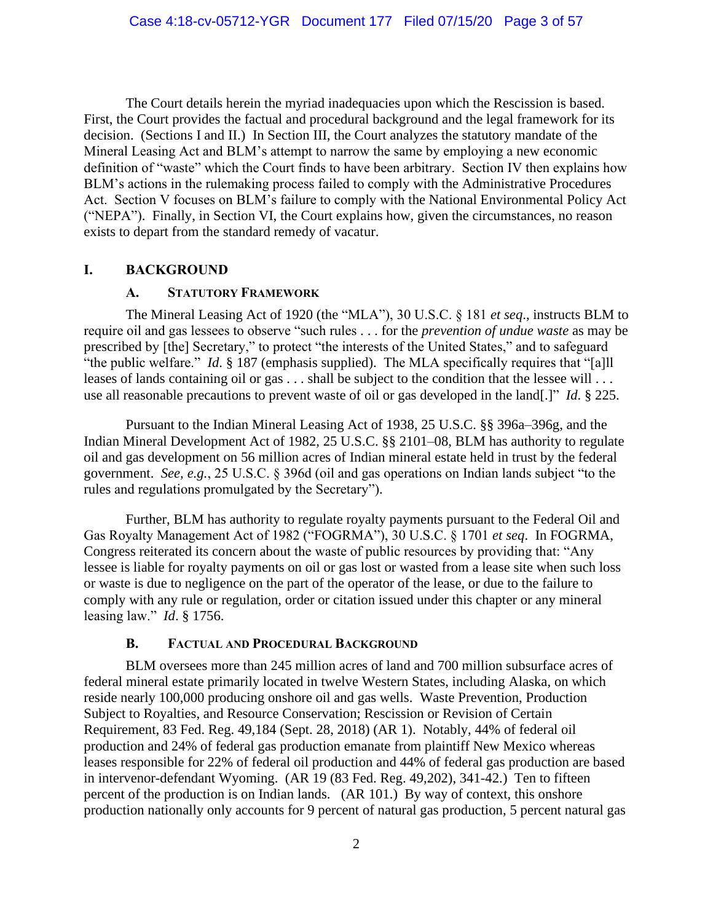The Court details herein the myriad inadequacies upon which the Rescission is based. First, the Court provides the factual and procedural background and the legal framework for its decision. (Sections I and II.) In Section III, the Court analyzes the statutory mandate of the Mineral Leasing Act and BLM's attempt to narrow the same by employing a new economic definition of "waste" which the Court finds to have been arbitrary. Section IV then explains how BLM's actions in the rulemaking process failed to comply with the Administrative Procedures Act. Section V focuses on BLM's failure to comply with the National Environmental Policy Act ("NEPA"). Finally, in Section VI, the Court explains how, given the circumstances, no reason exists to depart from the standard remedy of vacatur.

## **I. BACKGROUND**

#### **A. STATUTORY FRAMEWORK**

The Mineral Leasing Act of 1920 (the "MLA"), 30 U.S.C. § 181 *et seq*., instructs BLM to require oil and gas lessees to observe "such rules . . . for the *prevention of undue waste* as may be prescribed by [the] Secretary," to protect "the interests of the United States," and to safeguard "the public welfare." *Id*. § 187 (emphasis supplied). The MLA specifically requires that "[a]ll leases of lands containing oil or gas . . . shall be subject to the condition that the lessee will . . . use all reasonable precautions to prevent waste of oil or gas developed in the land[.]" *Id*. § 225.

Pursuant to the Indian Mineral Leasing Act of 1938, 25 U.S.C. §§ 396a–396g, and the Indian Mineral Development Act of 1982, 25 U.S.C. §§ 2101–08, BLM has authority to regulate oil and gas development on 56 million acres of Indian mineral estate held in trust by the federal government. *See, e.g.*, 25 U.S.C. § 396d (oil and gas operations on Indian lands subject "to the rules and regulations promulgated by the Secretary").

Further, BLM has authority to regulate royalty payments pursuant to the Federal Oil and Gas Royalty Management Act of 1982 ("FOGRMA"), 30 U.S.C. § 1701 *et seq*. In FOGRMA, Congress reiterated its concern about the waste of public resources by providing that: "Any lessee is liable for royalty payments on oil or gas lost or wasted from a lease site when such loss or waste is due to negligence on the part of the operator of the lease, or due to the failure to comply with any rule or regulation, order or citation issued under this chapter or any mineral leasing law." *Id*. § 1756.

### **B. FACTUAL AND PROCEDURAL BACKGROUND**

BLM oversees more than 245 million acres of land and 700 million subsurface acres of federal mineral estate primarily located in twelve Western States, including Alaska, on which reside nearly 100,000 producing onshore oil and gas wells. Waste Prevention, Production Subject to Royalties, and Resource Conservation; Rescission or Revision of Certain Requirement, 83 Fed. Reg. 49,184 (Sept. 28, 2018) (AR 1). Notably, 44% of federal oil production and 24% of federal gas production emanate from plaintiff New Mexico whereas leases responsible for 22% of federal oil production and 44% of federal gas production are based in intervenor-defendant Wyoming. (AR 19 (83 Fed. Reg. 49,202), 341-42.) Ten to fifteen percent of the production is on Indian lands. (AR 101.) By way of context, this onshore production nationally only accounts for 9 percent of natural gas production, 5 percent natural gas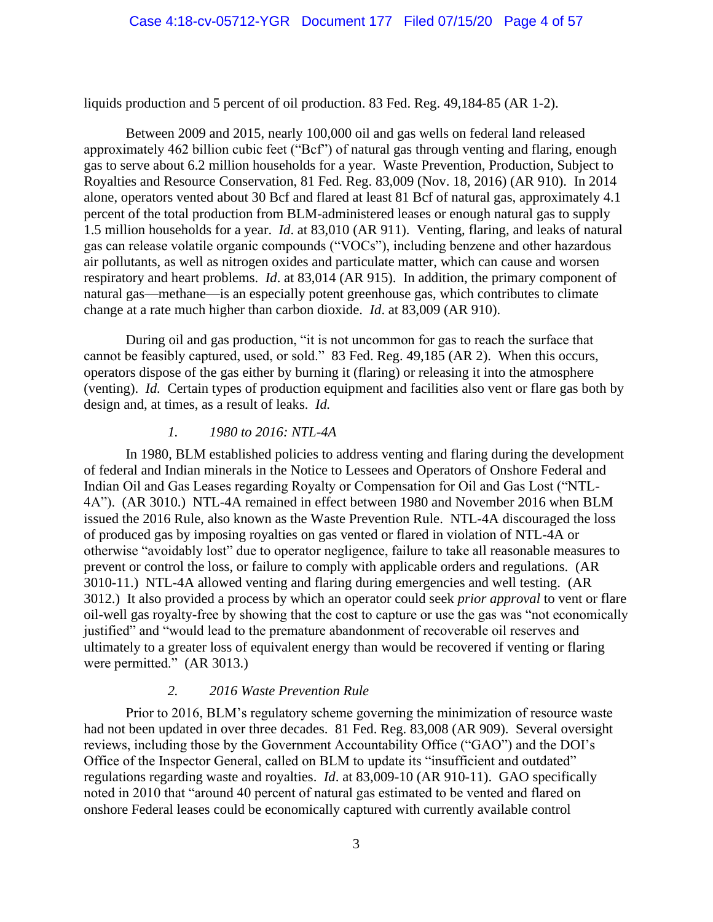liquids production and 5 percent of oil production. 83 Fed. Reg. 49,184-85 (AR 1-2).

Between 2009 and 2015, nearly 100,000 oil and gas wells on federal land released approximately 462 billion cubic feet ("Bcf") of natural gas through venting and flaring, enough gas to serve about 6.2 million households for a year. Waste Prevention, Production, Subject to Royalties and Resource Conservation, 81 Fed. Reg. 83,009 (Nov. 18, 2016) (AR 910). In 2014 alone, operators vented about 30 Bcf and flared at least 81 Bcf of natural gas, approximately 4.1 percent of the total production from BLM-administered leases or enough natural gas to supply 1.5 million households for a year. *Id*. at 83,010 (AR 911). Venting, flaring, and leaks of natural gas can release volatile organic compounds ("VOCs"), including benzene and other hazardous air pollutants, as well as nitrogen oxides and particulate matter, which can cause and worsen respiratory and heart problems. *Id*. at 83,014 (AR 915). In addition, the primary component of natural gas—methane—is an especially potent greenhouse gas, which contributes to climate change at a rate much higher than carbon dioxide. *Id*. at 83,009 (AR 910).

During oil and gas production, "it is not uncommon for gas to reach the surface that cannot be feasibly captured, used, or sold." 83 Fed. Reg. 49,185 (AR 2). When this occurs, operators dispose of the gas either by burning it (flaring) or releasing it into the atmosphere (venting). *Id.* Certain types of production equipment and facilities also vent or flare gas both by design and, at times, as a result of leaks. *Id.* 

### *1. 1980 to 2016: NTL-4A*

In 1980, BLM established policies to address venting and flaring during the development of federal and Indian minerals in the Notice to Lessees and Operators of Onshore Federal and Indian Oil and Gas Leases regarding Royalty or Compensation for Oil and Gas Lost ("NTL-4A"). (AR 3010.) NTL-4A remained in effect between 1980 and November 2016 when BLM issued the 2016 Rule, also known as the Waste Prevention Rule. NTL-4A discouraged the loss of produced gas by imposing royalties on gas vented or flared in violation of NTL-4A or otherwise "avoidably lost" due to operator negligence, failure to take all reasonable measures to prevent or control the loss, or failure to comply with applicable orders and regulations. (AR 3010-11.) NTL-4A allowed venting and flaring during emergencies and well testing. (AR 3012.) It also provided a process by which an operator could seek *prior approval* to vent or flare oil-well gas royalty-free by showing that the cost to capture or use the gas was "not economically justified" and "would lead to the premature abandonment of recoverable oil reserves and ultimately to a greater loss of equivalent energy than would be recovered if venting or flaring were permitted." (AR 3013.)

## *2. 2016 Waste Prevention Rule*

Prior to 2016, BLM's regulatory scheme governing the minimization of resource waste had not been updated in over three decades. 81 Fed. Reg. 83,008 (AR 909). Several oversight reviews, including those by the Government Accountability Office ("GAO") and the DOI's Office of the Inspector General, called on BLM to update its "insufficient and outdated" regulations regarding waste and royalties. *Id*. at 83,009-10 (AR 910-11). GAO specifically noted in 2010 that "around 40 percent of natural gas estimated to be vented and flared on onshore Federal leases could be economically captured with currently available control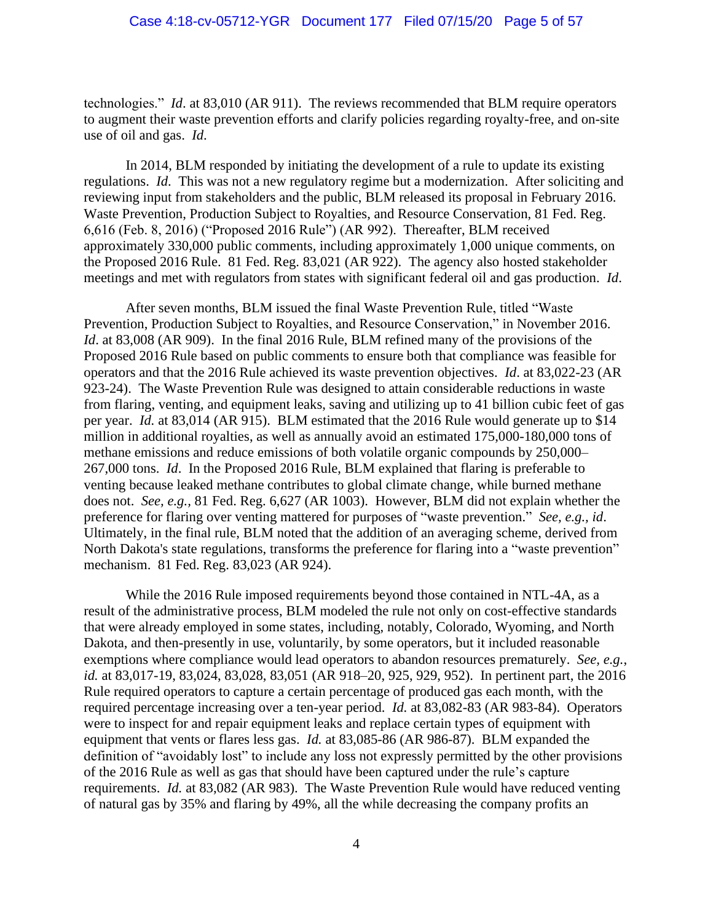technologies." *Id*. at 83,010 (AR 911). The reviews recommended that BLM require operators to augment their waste prevention efforts and clarify policies regarding royalty-free, and on-site use of oil and gas. *Id*.

In 2014, BLM responded by initiating the development of a rule to update its existing regulations. *Id*. This was not a new regulatory regime but a modernization. After soliciting and reviewing input from stakeholders and the public, BLM released its proposal in February 2016. Waste Prevention, Production Subject to Royalties, and Resource Conservation, 81 Fed. Reg. 6,616 (Feb. 8, 2016) ("Proposed 2016 Rule") (AR 992). Thereafter, BLM received approximately 330,000 public comments, including approximately 1,000 unique comments, on the Proposed 2016 Rule. 81 Fed. Reg. 83,021 (AR 922). The agency also hosted stakeholder meetings and met with regulators from states with significant federal oil and gas production. *Id*.

After seven months, BLM issued the final Waste Prevention Rule, titled "Waste Prevention, Production Subject to Royalties, and Resource Conservation," in November 2016. *Id.* at 83,008 (AR 909). In the final 2016 Rule, BLM refined many of the provisions of the Proposed 2016 Rule based on public comments to ensure both that compliance was feasible for operators and that the 2016 Rule achieved its waste prevention objectives. *Id*. at 83,022-23 (AR 923-24). The Waste Prevention Rule was designed to attain considerable reductions in waste from flaring, venting, and equipment leaks, saving and utilizing up to 41 billion cubic feet of gas per year. *Id.* at 83,014 (AR 915). BLM estimated that the 2016 Rule would generate up to \$14 million in additional royalties, as well as annually avoid an estimated 175,000-180,000 tons of methane emissions and reduce emissions of both volatile organic compounds by 250,000– 267,000 tons. *Id*. In the Proposed 2016 Rule, BLM explained that flaring is preferable to venting because leaked methane contributes to global climate change, while burned methane does not. *See, e.g.,* 81 Fed. Reg. 6,627 (AR 1003). However, BLM did not explain whether the preference for flaring over venting mattered for purposes of "waste prevention." *See, e.g., id*. Ultimately, in the final rule, BLM noted that the addition of an averaging scheme, derived from North Dakota's state regulations, transforms the preference for flaring into a "waste prevention" mechanism. 81 Fed. Reg. 83,023 (AR 924).

While the 2016 Rule imposed requirements beyond those contained in NTL-4A, as a result of the administrative process, BLM modeled the rule not only on cost-effective standards that were already employed in some states, including, notably, Colorado, Wyoming, and North Dakota, and then-presently in use, voluntarily, by some operators, but it included reasonable exemptions where compliance would lead operators to abandon resources prematurely. *See, e.g.*, *id.* at 83,017-19, 83,024, 83,028, 83,051 (AR 918–20, 925, 929, 952). In pertinent part, the 2016 Rule required operators to capture a certain percentage of produced gas each month, with the required percentage increasing over a ten-year period. *Id.* at 83,082-83 (AR 983-84). Operators were to inspect for and repair equipment leaks and replace certain types of equipment with equipment that vents or flares less gas. *Id.* at 83,085-86 (AR 986-87). BLM expanded the definition of "avoidably lost" to include any loss not expressly permitted by the other provisions of the 2016 Rule as well as gas that should have been captured under the rule's capture requirements. *Id.* at 83,082 (AR 983). The Waste Prevention Rule would have reduced venting of natural gas by 35% and flaring by 49%, all the while decreasing the company profits an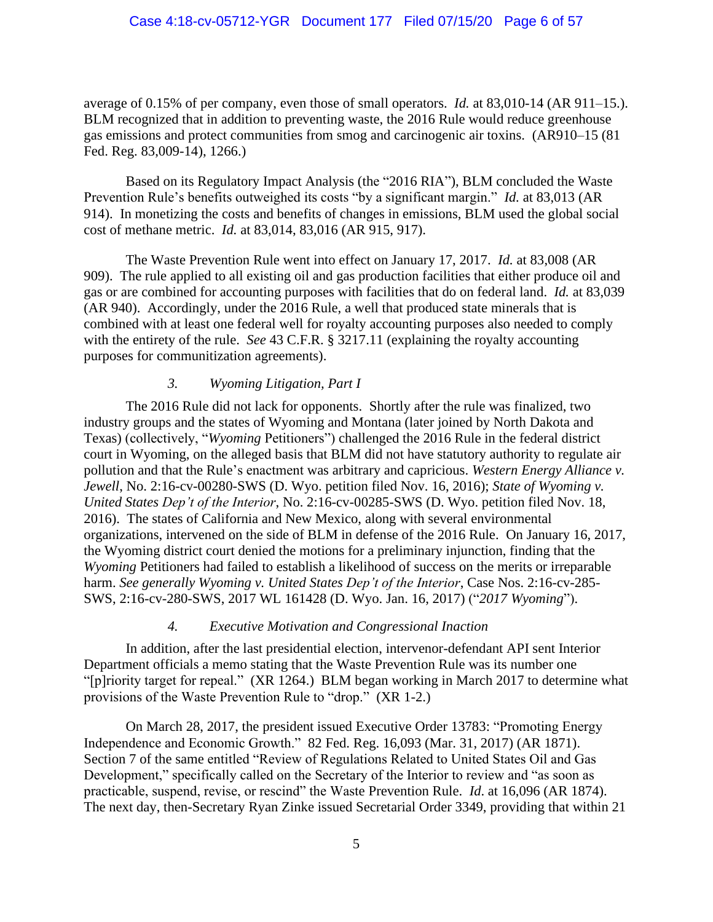average of 0.15% of per company, even those of small operators. *Id.* at 83,010-14 (AR 911–15.). BLM recognized that in addition to preventing waste, the 2016 Rule would reduce greenhouse gas emissions and protect communities from smog and carcinogenic air toxins. (AR910–15 (81 Fed. Reg. 83,009-14), 1266.)

Based on its Regulatory Impact Analysis (the "2016 RIA"), BLM concluded the Waste Prevention Rule's benefits outweighed its costs "by a significant margin." *Id.* at 83,013 (AR 914). In monetizing the costs and benefits of changes in emissions, BLM used the global social cost of methane metric. *Id.* at 83,014, 83,016 (AR 915, 917).

The Waste Prevention Rule went into effect on January 17, 2017. *Id.* at 83,008 (AR 909). The rule applied to all existing oil and gas production facilities that either produce oil and gas or are combined for accounting purposes with facilities that do on federal land. *Id.* at 83,039 (AR 940). Accordingly, under the 2016 Rule, a well that produced state minerals that is combined with at least one federal well for royalty accounting purposes also needed to comply with the entirety of the rule. *See* 43 C.F.R. § 3217.11 (explaining the royalty accounting purposes for communitization agreements).

# *3. Wyoming Litigation, Part I*

The 2016 Rule did not lack for opponents. Shortly after the rule was finalized, two industry groups and the states of Wyoming and Montana (later joined by North Dakota and Texas) (collectively, "*Wyoming* Petitioners") challenged the 2016 Rule in the federal district court in Wyoming, on the alleged basis that BLM did not have statutory authority to regulate air pollution and that the Rule's enactment was arbitrary and capricious. *Western Energy Alliance v. Jewell*, No. 2:16-cv-00280-SWS (D. Wyo. petition filed Nov. 16, 2016); *State of Wyoming v. United States Dep't of the Interior*, No. 2:16-cv-00285-SWS (D. Wyo. petition filed Nov. 18, 2016). The states of California and New Mexico, along with several environmental organizations, intervened on the side of BLM in defense of the 2016 Rule. On January 16, 2017, the Wyoming district court denied the motions for a preliminary injunction, finding that the *Wyoming* Petitioners had failed to establish a likelihood of success on the merits or irreparable harm. *See generally Wyoming v. United States Dep't of the Interior*, Case Nos. 2:16-cv-285- SWS, 2:16-cv-280-SWS, 2017 WL 161428 (D. Wyo. Jan. 16, 2017) ("*2017 Wyoming*").

## *4. Executive Motivation and Congressional Inaction*

In addition, after the last presidential election, intervenor-defendant API sent Interior Department officials a memo stating that the Waste Prevention Rule was its number one "[p]riority target for repeal." (XR 1264.) BLM began working in March 2017 to determine what provisions of the Waste Prevention Rule to "drop." (XR 1-2.)

On March 28, 2017, the president issued Executive Order 13783: "Promoting Energy Independence and Economic Growth." 82 Fed. Reg. 16,093 (Mar. 31, 2017) (AR 1871). Section 7 of the same entitled "Review of Regulations Related to United States Oil and Gas Development," specifically called on the Secretary of the Interior to review and "as soon as practicable, suspend, revise, or rescind" the Waste Prevention Rule. *Id*. at 16,096 (AR 1874). The next day, then-Secretary Ryan Zinke issued Secretarial Order 3349, providing that within 21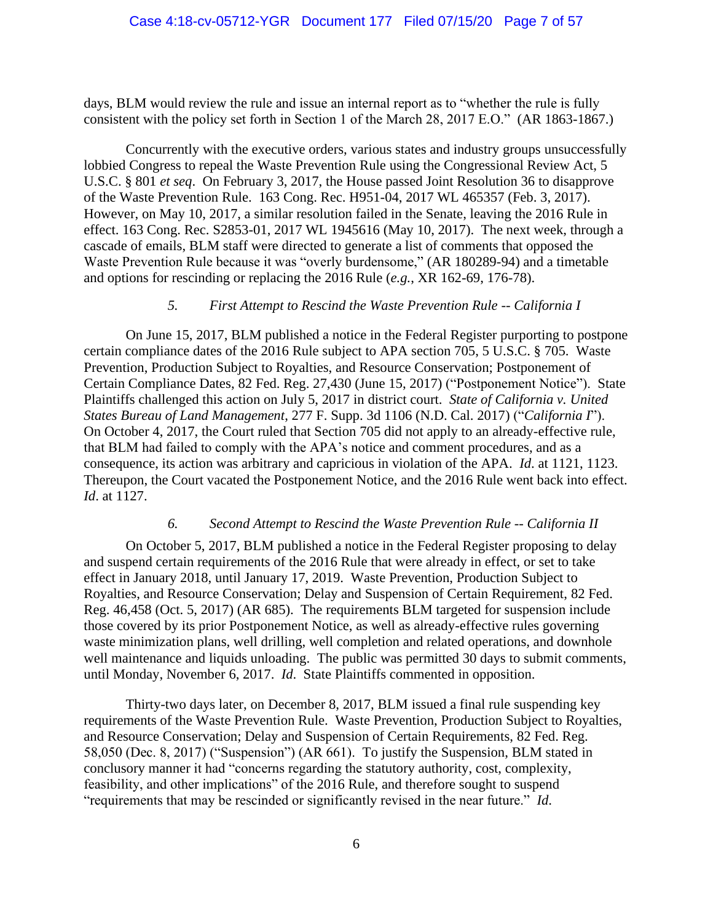days, BLM would review the rule and issue an internal report as to "whether the rule is fully consistent with the policy set forth in Section 1 of the March 28, 2017 E.O." (AR 1863-1867.)

Concurrently with the executive orders, various states and industry groups unsuccessfully lobbied Congress to repeal the Waste Prevention Rule using the Congressional Review Act, 5 U.S.C. § 801 *et seq*. On February 3, 2017, the House passed Joint Resolution 36 to disapprove of the Waste Prevention Rule. 163 Cong. Rec. H951-04, 2017 WL 465357 (Feb. 3, 2017). However, on May 10, 2017, a similar resolution failed in the Senate, leaving the 2016 Rule in effect. 163 Cong. Rec. S2853-01, 2017 WL 1945616 (May 10, 2017). The next week, through a cascade of emails, BLM staff were directed to generate a list of comments that opposed the Waste Prevention Rule because it was "overly burdensome," (AR 180289-94) and a timetable and options for rescinding or replacing the 2016 Rule (*e.g.*, XR 162-69, 176-78).

### *5. First Attempt to Rescind the Waste Prevention Rule -- California I*

On June 15, 2017, BLM published a notice in the Federal Register purporting to postpone certain compliance dates of the 2016 Rule subject to APA section 705, 5 U.S.C. § 705. Waste Prevention, Production Subject to Royalties, and Resource Conservation; Postponement of Certain Compliance Dates, 82 Fed. Reg. 27,430 (June 15, 2017) ("Postponement Notice"). State Plaintiffs challenged this action on July 5, 2017 in district court. *State of California v. United States Bureau of Land Management*, 277 F. Supp. 3d 1106 (N.D. Cal. 2017) ("*California I*"). On October 4, 2017, the Court ruled that Section 705 did not apply to an already-effective rule, that BLM had failed to comply with the APA's notice and comment procedures, and as a consequence, its action was arbitrary and capricious in violation of the APA. *Id*. at 1121, 1123. Thereupon, the Court vacated the Postponement Notice, and the 2016 Rule went back into effect. *Id*. at 1127.

## *6. Second Attempt to Rescind the Waste Prevention Rule -- California II*

On October 5, 2017, BLM published a notice in the Federal Register proposing to delay and suspend certain requirements of the 2016 Rule that were already in effect, or set to take effect in January 2018, until January 17, 2019. Waste Prevention, Production Subject to Royalties, and Resource Conservation; Delay and Suspension of Certain Requirement, 82 Fed. Reg. 46,458 (Oct. 5, 2017) (AR 685). The requirements BLM targeted for suspension include those covered by its prior Postponement Notice, as well as already-effective rules governing waste minimization plans, well drilling, well completion and related operations, and downhole well maintenance and liquids unloading. The public was permitted 30 days to submit comments, until Monday, November 6, 2017. *Id*. State Plaintiffs commented in opposition.

Thirty-two days later, on December 8, 2017, BLM issued a final rule suspending key requirements of the Waste Prevention Rule. Waste Prevention, Production Subject to Royalties, and Resource Conservation; Delay and Suspension of Certain Requirements, 82 Fed. Reg. 58,050 (Dec. 8, 2017) ("Suspension") (AR 661). To justify the Suspension, BLM stated in conclusory manner it had "concerns regarding the statutory authority, cost, complexity, feasibility, and other implications" of the 2016 Rule, and therefore sought to suspend "requirements that may be rescinded or significantly revised in the near future." *Id*.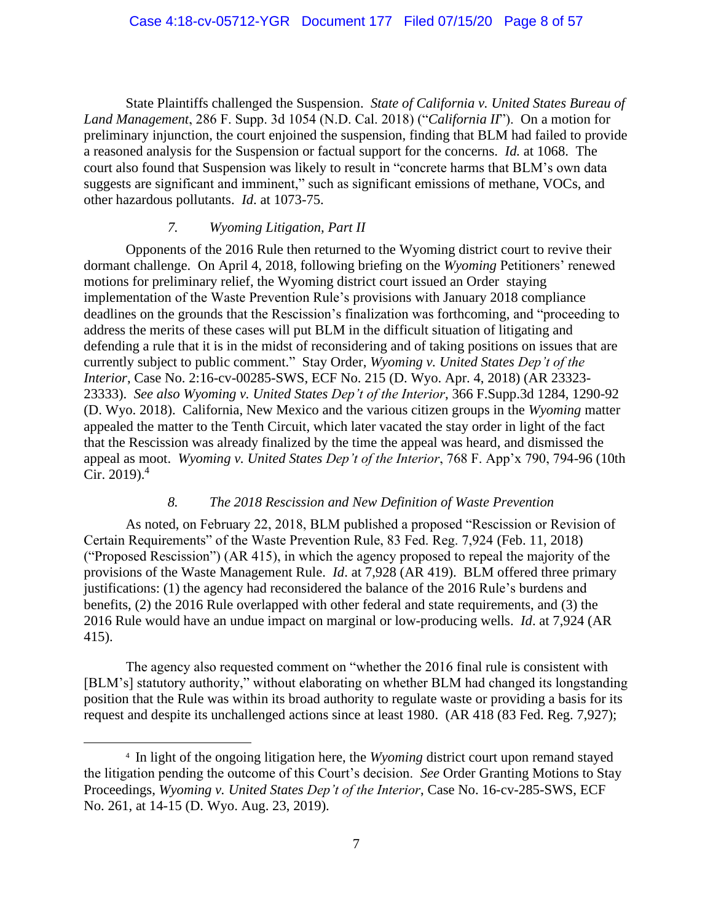State Plaintiffs challenged the Suspension. *State of California v. United States Bureau of Land Management*, 286 F. Supp. 3d 1054 (N.D. Cal. 2018) ("*California II*"). On a motion for preliminary injunction, the court enjoined the suspension, finding that BLM had failed to provide a reasoned analysis for the Suspension or factual support for the concerns. *Id.* at 1068. The court also found that Suspension was likely to result in "concrete harms that BLM's own data suggests are significant and imminent," such as significant emissions of methane, VOCs, and other hazardous pollutants. *Id*. at 1073-75.

### *7. Wyoming Litigation, Part II*

Opponents of the 2016 Rule then returned to the Wyoming district court to revive their dormant challenge. On April 4, 2018, following briefing on the *Wyoming* Petitioners' renewed motions for preliminary relief, the Wyoming district court issued an Order staying implementation of the Waste Prevention Rule's provisions with January 2018 compliance deadlines on the grounds that the Rescission's finalization was forthcoming, and "proceeding to address the merits of these cases will put BLM in the difficult situation of litigating and defending a rule that it is in the midst of reconsidering and of taking positions on issues that are currently subject to public comment." Stay Order, *Wyoming v. United States Dep't of the Interior*, Case No. 2:16-cv-00285-SWS, ECF No. 215 (D. Wyo. Apr. 4, 2018) (AR 23323- 23333). *See also Wyoming v. United States Dep't of the Interior*, 366 F.Supp.3d 1284, 1290-92 (D. Wyo. 2018). California, New Mexico and the various citizen groups in the *Wyoming* matter appealed the matter to the Tenth Circuit, which later vacated the stay order in light of the fact that the Rescission was already finalized by the time the appeal was heard, and dismissed the appeal as moot. *Wyoming v. United States Dep't of the Interior*, 768 F. App'x 790, 794-96 (10th  $Cir. 2019.<sup>4</sup>$ 

#### *8. The 2018 Rescission and New Definition of Waste Prevention*

As noted, on February 22, 2018, BLM published a proposed "Rescission or Revision of Certain Requirements" of the Waste Prevention Rule, 83 Fed. Reg. 7,924 (Feb. 11, 2018) ("Proposed Rescission") (AR 415), in which the agency proposed to repeal the majority of the provisions of the Waste Management Rule. *Id*. at 7,928 (AR 419). BLM offered three primary justifications: (1) the agency had reconsidered the balance of the 2016 Rule's burdens and benefits, (2) the 2016 Rule overlapped with other federal and state requirements, and (3) the 2016 Rule would have an undue impact on marginal or low-producing wells. *Id*. at 7,924 (AR 415).

The agency also requested comment on "whether the 2016 final rule is consistent with [BLM's] statutory authority," without elaborating on whether BLM had changed its longstanding position that the Rule was within its broad authority to regulate waste or providing a basis for its request and despite its unchallenged actions since at least 1980. (AR 418 (83 Fed. Reg. 7,927);

<sup>4</sup> In light of the ongoing litigation here, the *Wyoming* district court upon remand stayed the litigation pending the outcome of this Court's decision. *See* Order Granting Motions to Stay Proceedings, *Wyoming v. United States Dep't of the Interior*, Case No. 16-cv-285-SWS, ECF No. 261, at 14-15 (D. Wyo. Aug. 23, 2019).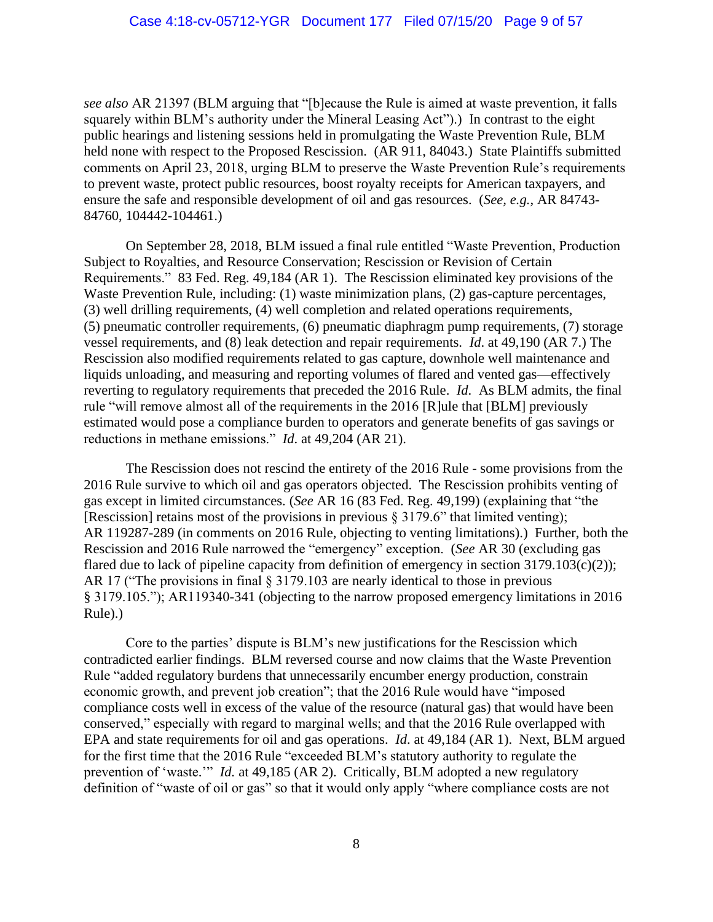*see also* AR 21397 (BLM arguing that "[b]ecause the Rule is aimed at waste prevention, it falls squarely within BLM's authority under the Mineral Leasing Act").) In contrast to the eight public hearings and listening sessions held in promulgating the Waste Prevention Rule, BLM held none with respect to the Proposed Rescission. (AR 911, 84043.) State Plaintiffs submitted comments on April 23, 2018, urging BLM to preserve the Waste Prevention Rule's requirements to prevent waste, protect public resources, boost royalty receipts for American taxpayers, and ensure the safe and responsible development of oil and gas resources. (*See, e.g.*, AR 84743- 84760, 104442-104461.)

On September 28, 2018, BLM issued a final rule entitled "Waste Prevention, Production Subject to Royalties, and Resource Conservation; Rescission or Revision of Certain Requirements." 83 Fed. Reg. 49,184 (AR 1). The Rescission eliminated key provisions of the Waste Prevention Rule, including: (1) waste minimization plans, (2) gas-capture percentages, (3) well drilling requirements, (4) well completion and related operations requirements, (5) pneumatic controller requirements, (6) pneumatic diaphragm pump requirements, (7) storage vessel requirements, and (8) leak detection and repair requirements. *Id*. at 49,190 (AR 7.) The Rescission also modified requirements related to gas capture, downhole well maintenance and liquids unloading, and measuring and reporting volumes of flared and vented gas—effectively reverting to regulatory requirements that preceded the 2016 Rule. *Id*. As BLM admits, the final rule "will remove almost all of the requirements in the 2016 [R]ule that [BLM] previously estimated would pose a compliance burden to operators and generate benefits of gas savings or reductions in methane emissions." *Id*. at 49,204 (AR 21).

The Rescission does not rescind the entirety of the 2016 Rule - some provisions from the 2016 Rule survive to which oil and gas operators objected. The Rescission prohibits venting of gas except in limited circumstances. (*See* AR 16 (83 Fed. Reg. 49,199) (explaining that "the [Rescission] retains most of the provisions in previous § 3179.6" that limited venting); AR 119287-289 (in comments on 2016 Rule, objecting to venting limitations).) Further, both the Rescission and 2016 Rule narrowed the "emergency" exception. (*See* AR 30 (excluding gas flared due to lack of pipeline capacity from definition of emergency in section  $3179.103(c)(2)$ ; AR 17 ("The provisions in final § 3179.103 are nearly identical to those in previous § 3179.105."); AR119340-341 (objecting to the narrow proposed emergency limitations in 2016 Rule).)

Core to the parties' dispute is BLM's new justifications for the Rescission which contradicted earlier findings. BLM reversed course and now claims that the Waste Prevention Rule "added regulatory burdens that unnecessarily encumber energy production, constrain economic growth, and prevent job creation"; that the 2016 Rule would have "imposed compliance costs well in excess of the value of the resource (natural gas) that would have been conserved," especially with regard to marginal wells; and that the 2016 Rule overlapped with EPA and state requirements for oil and gas operations. *Id*. at 49,184 (AR 1). Next, BLM argued for the first time that the 2016 Rule "exceeded BLM's statutory authority to regulate the prevention of 'waste.'" *Id.* at 49,185 (AR 2). Critically, BLM adopted a new regulatory definition of "waste of oil or gas" so that it would only apply "where compliance costs are not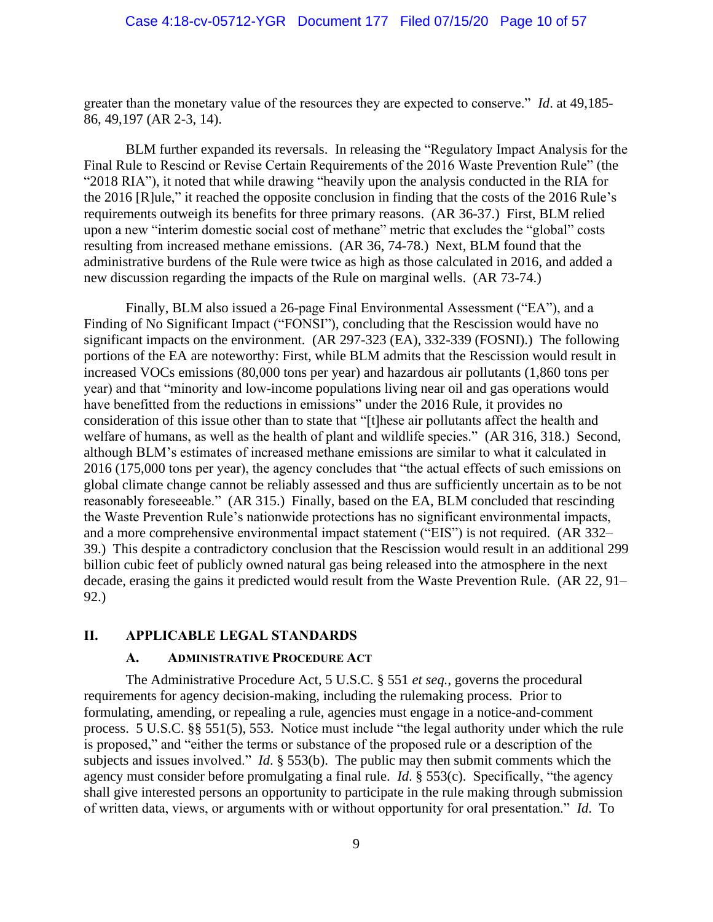greater than the monetary value of the resources they are expected to conserve." *Id*. at 49,185- 86, 49,197 (AR 2-3, 14).

BLM further expanded its reversals. In releasing the "Regulatory Impact Analysis for the Final Rule to Rescind or Revise Certain Requirements of the 2016 Waste Prevention Rule" (the "2018 RIA"), it noted that while drawing "heavily upon the analysis conducted in the RIA for the 2016 [R]ule," it reached the opposite conclusion in finding that the costs of the 2016 Rule's requirements outweigh its benefits for three primary reasons. (AR 36-37.) First, BLM relied upon a new "interim domestic social cost of methane" metric that excludes the "global" costs resulting from increased methane emissions. (AR 36, 74-78.) Next, BLM found that the administrative burdens of the Rule were twice as high as those calculated in 2016, and added a new discussion regarding the impacts of the Rule on marginal wells. (AR 73-74.)

Finally, BLM also issued a 26-page Final Environmental Assessment ("EA"), and a Finding of No Significant Impact ("FONSI"), concluding that the Rescission would have no significant impacts on the environment. (AR 297-323 (EA), 332-339 (FOSNI).) The following portions of the EA are noteworthy: First, while BLM admits that the Rescission would result in increased VOCs emissions (80,000 tons per year) and hazardous air pollutants (1,860 tons per year) and that "minority and low-income populations living near oil and gas operations would have benefitted from the reductions in emissions" under the 2016 Rule, it provides no consideration of this issue other than to state that "[t]hese air pollutants affect the health and welfare of humans, as well as the health of plant and wildlife species." (AR 316, 318.) Second, although BLM's estimates of increased methane emissions are similar to what it calculated in 2016 (175,000 tons per year), the agency concludes that "the actual effects of such emissions on global climate change cannot be reliably assessed and thus are sufficiently uncertain as to be not reasonably foreseeable." (AR 315.) Finally, based on the EA, BLM concluded that rescinding the Waste Prevention Rule's nationwide protections has no significant environmental impacts, and a more comprehensive environmental impact statement ("EIS") is not required. (AR 332– 39.) This despite a contradictory conclusion that the Rescission would result in an additional 299 billion cubic feet of publicly owned natural gas being released into the atmosphere in the next decade, erasing the gains it predicted would result from the Waste Prevention Rule. (AR 22, 91– 92.)

# **II. APPLICABLE LEGAL STANDARDS**

#### **A. ADMINISTRATIVE PROCEDURE ACT**

The Administrative Procedure Act, 5 U.S.C. § 551 *et seq.*, governs the procedural requirements for agency decision-making, including the rulemaking process. Prior to formulating, amending, or repealing a rule, agencies must engage in a notice-and-comment process. 5 U.S.C. §§ 551(5), 553. Notice must include "the legal authority under which the rule is proposed," and "either the terms or substance of the proposed rule or a description of the subjects and issues involved." *Id*. § 553(b). The public may then submit comments which the agency must consider before promulgating a final rule. *Id*. § 553(c). Specifically, "the agency shall give interested persons an opportunity to participate in the rule making through submission of written data, views, or arguments with or without opportunity for oral presentation." *Id*. To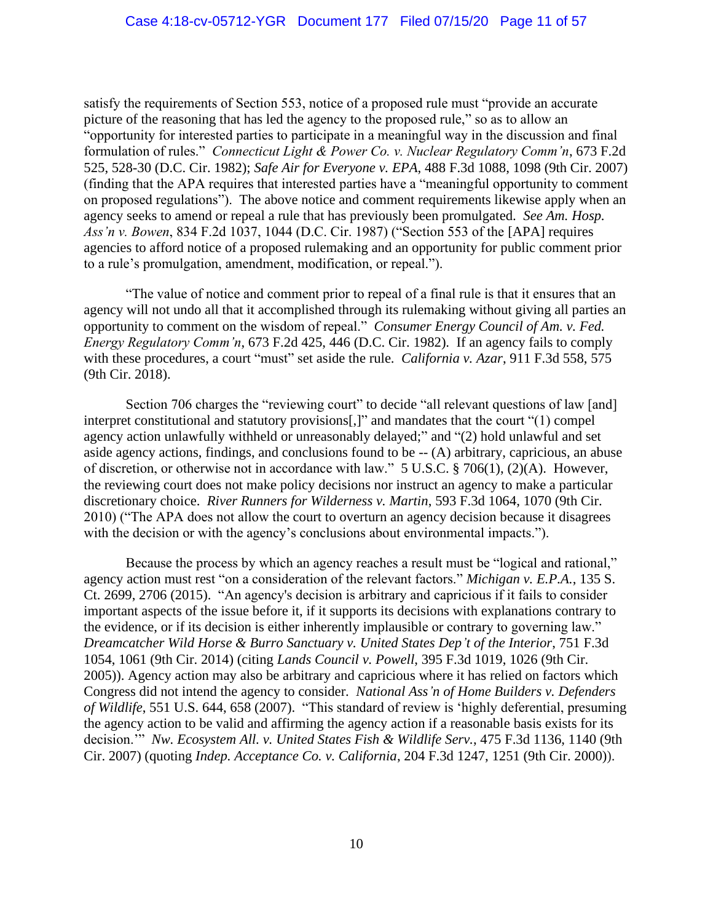satisfy the requirements of Section 553, notice of a proposed rule must "provide an accurate picture of the reasoning that has led the agency to the proposed rule," so as to allow an "opportunity for interested parties to participate in a meaningful way in the discussion and final formulation of rules." *Connecticut Light & Power Co. v. Nuclear Regulatory Comm'n*, 673 F.2d 525, 528-30 (D.C. Cir. 1982); *Safe Air for Everyone v. EPA*, 488 F.3d 1088, 1098 (9th Cir. 2007) (finding that the APA requires that interested parties have a "meaningful opportunity to comment on proposed regulations"). The above notice and comment requirements likewise apply when an agency seeks to amend or repeal a rule that has previously been promulgated. *See Am. Hosp. Ass'n v. Bowen*, 834 F.2d 1037, 1044 (D.C. Cir. 1987) ("Section 553 of the [APA] requires agencies to afford notice of a proposed rulemaking and an opportunity for public comment prior to a rule's promulgation, amendment, modification, or repeal.").

"The value of notice and comment prior to repeal of a final rule is that it ensures that an agency will not undo all that it accomplished through its rulemaking without giving all parties an opportunity to comment on the wisdom of repeal." *Consumer Energy Council of Am. v. Fed. Energy Regulatory Comm'n*, 673 F.2d 425, 446 (D.C. Cir. 1982). If an agency fails to comply with these procedures, a court "must" set aside the rule. *California v. Azar*, 911 F.3d 558, 575 (9th Cir. 2018).

Section 706 charges the "reviewing court" to decide "all relevant questions of law [and] interpret constitutional and statutory provisions[,]" and mandates that the court "(1) compel agency action unlawfully withheld or unreasonably delayed;" and "(2) hold unlawful and set aside agency actions, findings, and conclusions found to be -- (A) arbitrary, capricious, an abuse of discretion, or otherwise not in accordance with law." 5 U.S.C. § 706(1), (2)(A). However, the reviewing court does not make policy decisions nor instruct an agency to make a particular discretionary choice. *River Runners for Wilderness v. Martin*, 593 F.3d 1064, 1070 (9th Cir. 2010) ("The APA does not allow the court to overturn an agency decision because it disagrees with the decision or with the agency's conclusions about environmental impacts.").

Because the process by which an agency reaches a result must be "logical and rational," agency action must rest "on a consideration of the relevant factors." *Michigan v. E.P.A.*, 135 S. Ct. 2699, 2706 (2015). "An agency's decision is arbitrary and capricious if it fails to consider important aspects of the issue before it, if it supports its decisions with explanations contrary to the evidence, or if its decision is either inherently implausible or contrary to governing law." *Dreamcatcher Wild Horse & Burro Sanctuary v. United States Dep't of the Interior*, 751 F.3d 1054, 1061 (9th Cir. 2014) (citing *Lands Council v. Powell*, 395 F.3d 1019, 1026 (9th Cir. 2005)). Agency action may also be arbitrary and capricious where it has relied on factors which Congress did not intend the agency to consider. *National Ass'n of Home Builders v. Defenders of Wildlife*, 551 U.S. 644, 658 (2007). "This standard of review is 'highly deferential, presuming the agency action to be valid and affirming the agency action if a reasonable basis exists for its decision.'" *Nw. Ecosystem All. v. United States Fish & Wildlife Serv.*, 475 F.3d 1136, 1140 (9th Cir. 2007) (quoting *Indep. Acceptance Co. v. California*, 204 F.3d 1247, 1251 (9th Cir. 2000)).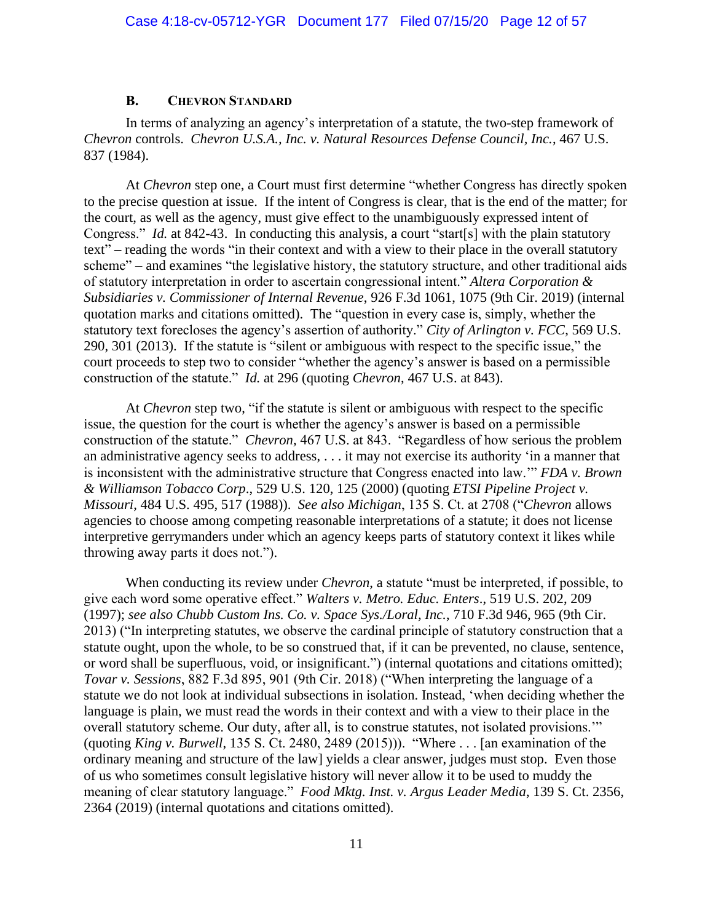#### **B. CHEVRON STANDARD**

In terms of analyzing an agency's interpretation of a statute, the two-step framework of *Chevron* controls. *Chevron U.S.A., Inc. v. Natural Resources Defense Council, Inc.*, 467 U.S. 837 (1984).

At *Chevron* step one, a Court must first determine "whether Congress has directly spoken to the precise question at issue. If the intent of Congress is clear, that is the end of the matter; for the court, as well as the agency, must give effect to the unambiguously expressed intent of Congress." *Id.* at 842-43. In conducting this analysis, a court "start[s] with the plain statutory text" – reading the words "in their context and with a view to their place in the overall statutory scheme" – and examines "the legislative history, the statutory structure, and other traditional aids of statutory interpretation in order to ascertain congressional intent." *Altera Corporation & Subsidiaries v. Commissioner of Internal Revenue*, 926 F.3d 1061, 1075 (9th Cir. 2019) (internal quotation marks and citations omitted). The "question in every case is, simply, whether the statutory text forecloses the agency's assertion of authority." *City of Arlington v. FCC*, 569 U.S. 290, 301 (2013). If the statute is "silent or ambiguous with respect to the specific issue," the court proceeds to step two to consider "whether the agency's answer is based on a permissible construction of the statute." *Id.* at 296 (quoting *Chevron*, 467 U.S. at 843).

At *Chevron* step two, "if the statute is silent or ambiguous with respect to the specific issue, the question for the court is whether the agency's answer is based on a permissible construction of the statute." *Chevron,* 467 U.S. at 843. "Regardless of how serious the problem an administrative agency seeks to address, . . . it may not exercise its authority 'in a manner that is inconsistent with the administrative structure that Congress enacted into law.'" *FDA v. Brown & Williamson Tobacco Corp*., 529 U.S. 120, 125 (2000) (quoting *ETSI Pipeline Project v. Missouri*, 484 U.S. 495, 517 (1988)). *See also Michigan*, 135 S. Ct. at 2708 ("*Chevron* allows agencies to choose among competing reasonable interpretations of a statute; it does not license interpretive gerrymanders under which an agency keeps parts of statutory context it likes while throwing away parts it does not.").

When conducting its review under *Chevron*, a statute "must be interpreted, if possible, to give each word some operative effect." *Walters v. Metro. Educ. Enters*., 519 U.S. 202, 209 (1997); *see also Chubb Custom Ins. Co. v. Space Sys./Loral, Inc.*, 710 F.3d 946, 965 (9th Cir. 2013) ("In interpreting statutes, we observe the cardinal principle of statutory construction that a statute ought, upon the whole, to be so construed that, if it can be prevented, no clause, sentence, or word shall be superfluous, void, or insignificant.") (internal quotations and citations omitted); *Tovar v. Sessions*, 882 F.3d 895, 901 (9th Cir. 2018) ("When interpreting the language of a statute we do not look at individual subsections in isolation. Instead, 'when deciding whether the language is plain, we must read the words in their context and with a view to their place in the overall statutory scheme. Our duty, after all, is to construe statutes, not isolated provisions.'" (quoting *King v. Burwell*, 135 S. Ct. 2480, 2489 (2015))). "Where . . . [an examination of the ordinary meaning and structure of the law] yields a clear answer, judges must stop. Even those of us who sometimes consult legislative history will never allow it to be used to muddy the meaning of clear statutory language." *Food Mktg. Inst. v. Argus Leader Media*, 139 S. Ct. 2356, 2364 (2019) (internal quotations and citations omitted).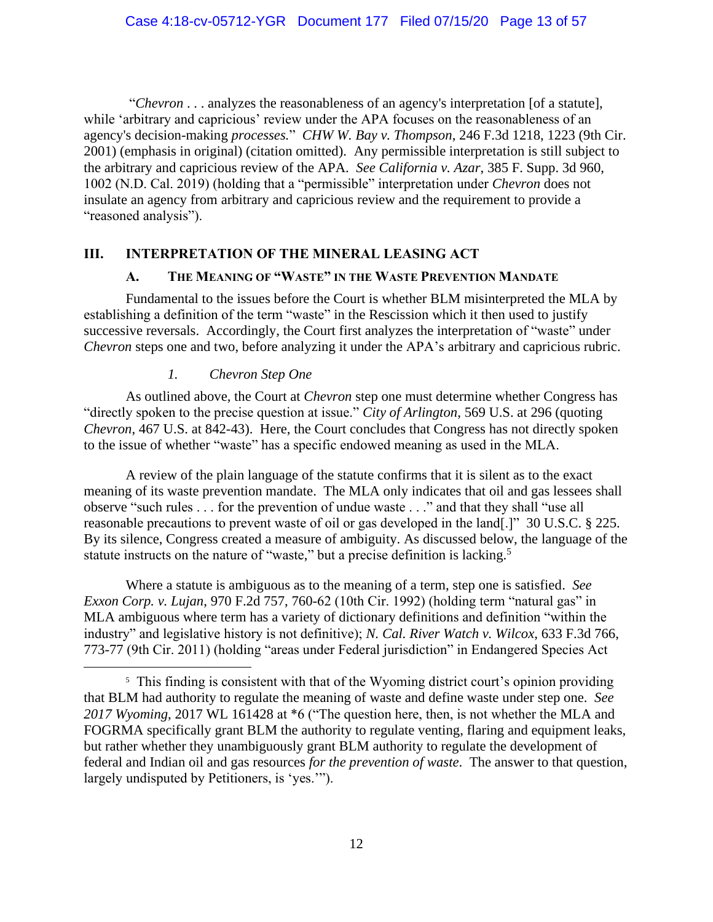"*Chevron* . . . analyzes the reasonableness of an agency's interpretation [of a statute], while 'arbitrary and capricious' review under the APA focuses on the reasonableness of an agency's decision-making *processes.*" *CHW W. Bay v. Thompson*, 246 F.3d 1218, 1223 (9th Cir. 2001) (emphasis in original) (citation omitted). Any permissible interpretation is still subject to the arbitrary and capricious review of the APA. *See California v. Azar*, 385 F. Supp. 3d 960, 1002 (N.D. Cal. 2019) (holding that a "permissible" interpretation under *Chevron* does not insulate an agency from arbitrary and capricious review and the requirement to provide a "reasoned analysis").

## **III. INTERPRETATION OF THE MINERAL LEASING ACT**

#### **A. THE MEANING OF "WASTE" IN THE WASTE PREVENTION MANDATE**

Fundamental to the issues before the Court is whether BLM misinterpreted the MLA by establishing a definition of the term "waste" in the Rescission which it then used to justify successive reversals. Accordingly, the Court first analyzes the interpretation of "waste" under *Chevron* steps one and two, before analyzing it under the APA's arbitrary and capricious rubric.

### *1. Chevron Step One*

As outlined above, the Court at *Chevron* step one must determine whether Congress has "directly spoken to the precise question at issue." *City of Arlington*, 569 U.S. at 296 (quoting *Chevron*, 467 U.S. at 842-43). Here, the Court concludes that Congress has not directly spoken to the issue of whether "waste" has a specific endowed meaning as used in the MLA.

A review of the plain language of the statute confirms that it is silent as to the exact meaning of its waste prevention mandate. The MLA only indicates that oil and gas lessees shall observe "such rules . . . for the prevention of undue waste . . ." and that they shall "use all reasonable precautions to prevent waste of oil or gas developed in the land[.]" 30 U.S.C. § 225. By its silence, Congress created a measure of ambiguity. As discussed below, the language of the statute instructs on the nature of "waste," but a precise definition is lacking.<sup>5</sup>

Where a statute is ambiguous as to the meaning of a term, step one is satisfied. *See Exxon Corp. v. Lujan*, 970 F.2d 757, 760-62 (10th Cir. 1992) (holding term "natural gas" in MLA ambiguous where term has a variety of dictionary definitions and definition "within the industry" and legislative history is not definitive); *N. Cal. River Watch v. Wilcox*, 633 F.3d 766, 773-77 (9th Cir. 2011) (holding "areas under Federal jurisdiction" in Endangered Species Act

<sup>&</sup>lt;sup>5</sup> This finding is consistent with that of the Wyoming district court's opinion providing that BLM had authority to regulate the meaning of waste and define waste under step one. *See 2017 Wyoming*, 2017 WL 161428 at \*6 ("The question here, then, is not whether the MLA and FOGRMA specifically grant BLM the authority to regulate venting, flaring and equipment leaks, but rather whether they unambiguously grant BLM authority to regulate the development of federal and Indian oil and gas resources *for the prevention of waste*. The answer to that question, largely undisputed by Petitioners, is 'yes.'").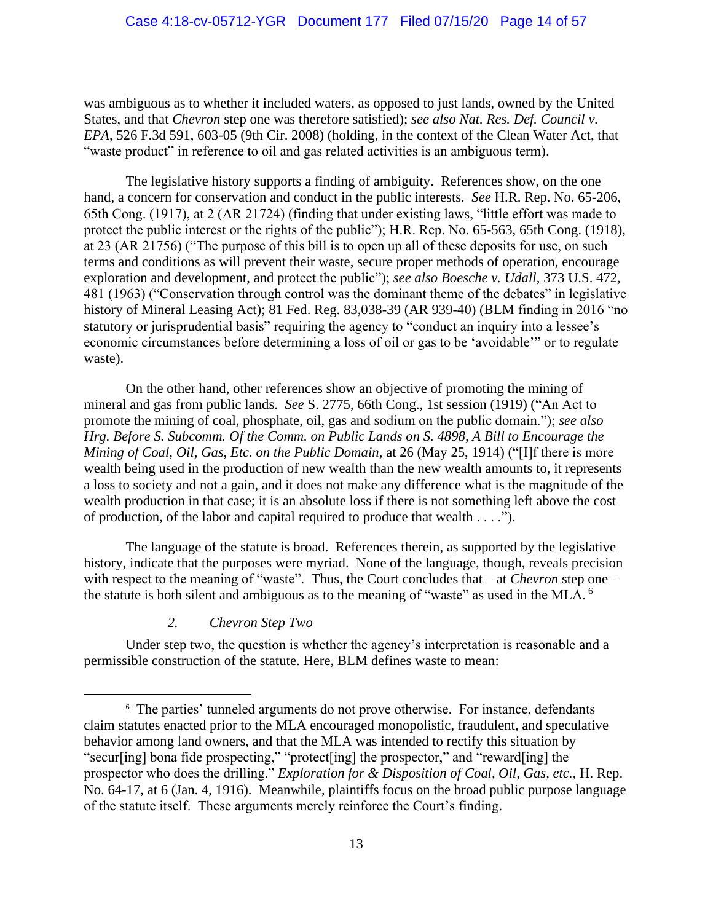was ambiguous as to whether it included waters, as opposed to just lands, owned by the United States, and that *Chevron* step one was therefore satisfied); *see also Nat. Res. Def. Council v. EPA*, 526 F.3d 591, 603-05 (9th Cir. 2008) (holding, in the context of the Clean Water Act, that "waste product" in reference to oil and gas related activities is an ambiguous term).

The legislative history supports a finding of ambiguity. References show, on the one hand, a concern for conservation and conduct in the public interests. *See* H.R. Rep. No. 65-206, 65th Cong. (1917), at 2 (AR 21724) (finding that under existing laws, "little effort was made to protect the public interest or the rights of the public"); H.R. Rep. No. 65-563, 65th Cong. (1918), at 23 (AR 21756) ("The purpose of this bill is to open up all of these deposits for use, on such terms and conditions as will prevent their waste, secure proper methods of operation, encourage exploration and development, and protect the public"); *see also Boesche v. Udall*, 373 U.S. 472, 481 (1963) ("Conservation through control was the dominant theme of the debates" in legislative history of Mineral Leasing Act); 81 Fed. Reg. 83,038-39 (AR 939-40) (BLM finding in 2016 "no statutory or jurisprudential basis" requiring the agency to "conduct an inquiry into a lessee's economic circumstances before determining a loss of oil or gas to be 'avoidable'" or to regulate waste).

On the other hand, other references show an objective of promoting the mining of mineral and gas from public lands. *See* S. 2775, 66th Cong., 1st session (1919) ("An Act to promote the mining of coal, phosphate, oil, gas and sodium on the public domain."); *see also Hrg. Before S. Subcomm. Of the Comm. on Public Lands on S. 4898, A Bill to Encourage the Mining of Coal, Oil, Gas, Etc. on the Public Domain*, at 26 (May 25, 1914) ("[I]f there is more wealth being used in the production of new wealth than the new wealth amounts to, it represents a loss to society and not a gain, and it does not make any difference what is the magnitude of the wealth production in that case; it is an absolute loss if there is not something left above the cost of production, of the labor and capital required to produce that wealth . . . .").

The language of the statute is broad. References therein, as supported by the legislative history, indicate that the purposes were myriad. None of the language, though, reveals precision with respect to the meaning of "waste". Thus, the Court concludes that – at *Chevron* step one – the statute is both silent and ambiguous as to the meaning of "waste" as used in the MLA. <sup>6</sup>

### *2. Chevron Step Two*

Under step two, the question is whether the agency's interpretation is reasonable and a permissible construction of the statute. Here, BLM defines waste to mean:

<sup>6</sup> The parties' tunneled arguments do not prove otherwise. For instance, defendants claim statutes enacted prior to the MLA encouraged monopolistic, fraudulent, and speculative behavior among land owners, and that the MLA was intended to rectify this situation by "secur[ing] bona fide prospecting," "protect[ing] the prospector," and "reward[ing] the prospector who does the drilling." *Exploration for & Disposition of Coal, Oil, Gas, etc.*, H. Rep. No. 64-17, at 6 (Jan. 4, 1916). Meanwhile, plaintiffs focus on the broad public purpose language of the statute itself. These arguments merely reinforce the Court's finding.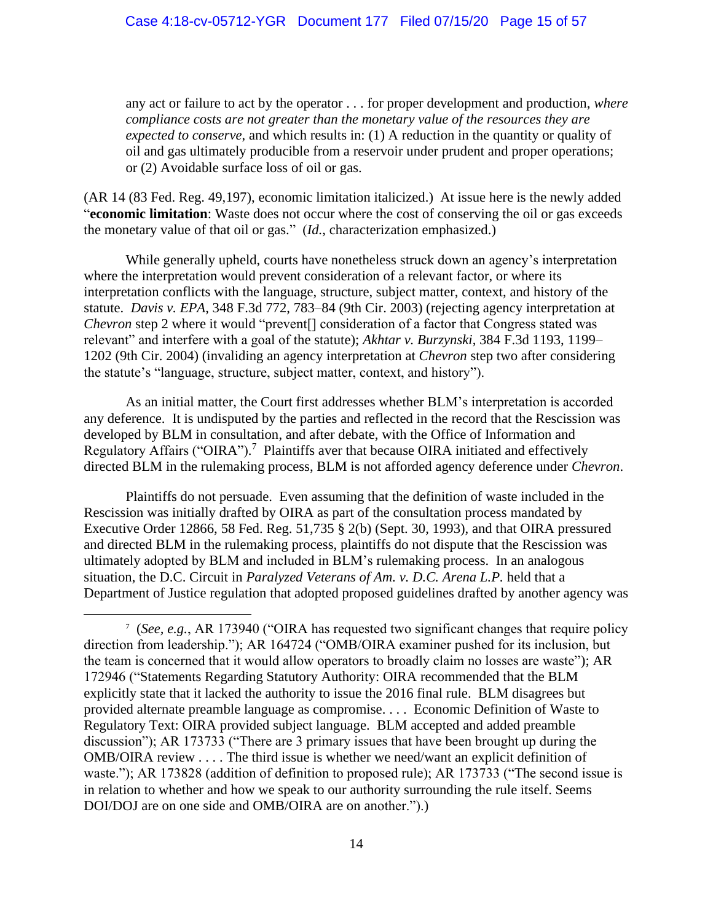any act or failure to act by the operator . . . for proper development and production, *where compliance costs are not greater than the monetary value of the resources they are expected to conserve*, and which results in: (1) A reduction in the quantity or quality of oil and gas ultimately producible from a reservoir under prudent and proper operations; or (2) Avoidable surface loss of oil or gas.

(AR 14 (83 Fed. Reg. 49,197), economic limitation italicized.) At issue here is the newly added "**economic limitation**: Waste does not occur where the cost of conserving the oil or gas exceeds the monetary value of that oil or gas." (*Id.*, characterization emphasized.)

While generally upheld, courts have nonetheless struck down an agency's interpretation where the interpretation would prevent consideration of a relevant factor, or where its interpretation conflicts with the language, structure, subject matter, context, and history of the statute. *Davis v. EPA*, 348 F.3d 772, 783–84 (9th Cir. 2003) (rejecting agency interpretation at *Chevron* step 2 where it would "prevent<sup>[]</sup> consideration of a factor that Congress stated was relevant" and interfere with a goal of the statute); *Akhtar v. Burzynski*, 384 F.3d 1193, 1199– 1202 (9th Cir. 2004) (invaliding an agency interpretation at *Chevron* step two after considering the statute's "language, structure, subject matter, context, and history").

As an initial matter, the Court first addresses whether BLM's interpretation is accorded any deference. It is undisputed by the parties and reflected in the record that the Rescission was developed by BLM in consultation, and after debate, with the Office of Information and Regulatory Affairs ("OIRA").<sup>7</sup> Plaintiffs aver that because OIRA initiated and effectively directed BLM in the rulemaking process, BLM is not afforded agency deference under *Chevron*.

Plaintiffs do not persuade. Even assuming that the definition of waste included in the Rescission was initially drafted by OIRA as part of the consultation process mandated by Executive Order 12866, 58 Fed. Reg. 51,735 § 2(b) (Sept. 30, 1993), and that OIRA pressured and directed BLM in the rulemaking process, plaintiffs do not dispute that the Rescission was ultimately adopted by BLM and included in BLM's rulemaking process. In an analogous situation, the D.C. Circuit in *Paralyzed Veterans of Am. v. D.C. Arena L.P.* held that a Department of Justice regulation that adopted proposed guidelines drafted by another agency was

<sup>7</sup> (*See, e.g.*, AR 173940 ("OIRA has requested two significant changes that require policy direction from leadership."); AR 164724 ("OMB/OIRA examiner pushed for its inclusion, but the team is concerned that it would allow operators to broadly claim no losses are waste"); AR 172946 ("Statements Regarding Statutory Authority: OIRA recommended that the BLM explicitly state that it lacked the authority to issue the 2016 final rule. BLM disagrees but provided alternate preamble language as compromise. . . . Economic Definition of Waste to Regulatory Text: OIRA provided subject language. BLM accepted and added preamble discussion"); AR 173733 ("There are 3 primary issues that have been brought up during the OMB/OIRA review . . . . The third issue is whether we need/want an explicit definition of waste."); AR 173828 (addition of definition to proposed rule); AR 173733 ("The second issue is in relation to whether and how we speak to our authority surrounding the rule itself. Seems DOI/DOJ are on one side and OMB/OIRA are on another.").)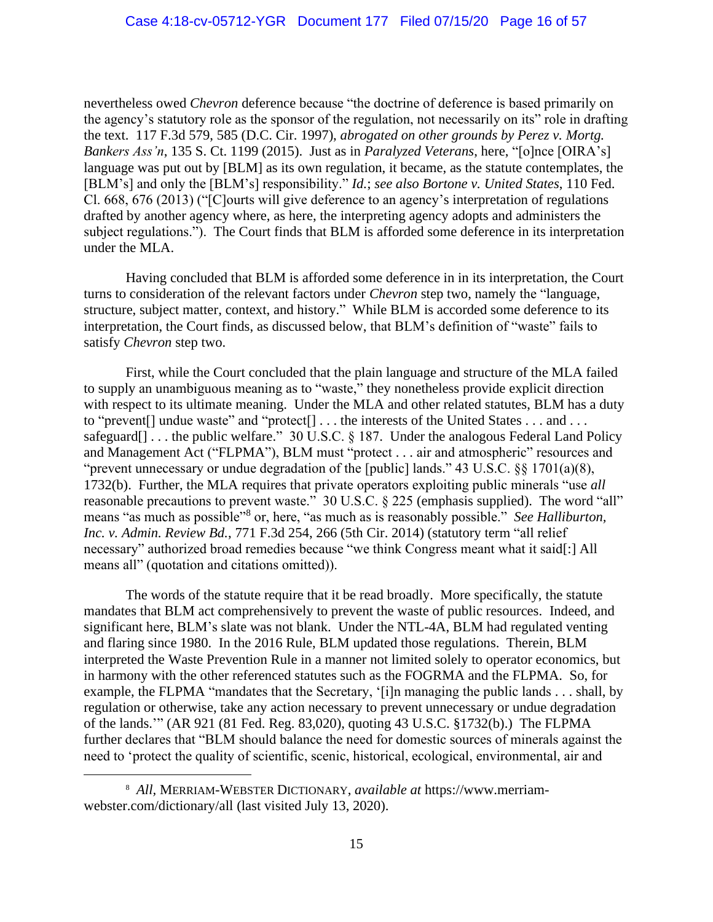nevertheless owed *Chevron* deference because "the doctrine of deference is based primarily on the agency's statutory role as the sponsor of the regulation, not necessarily on its" role in drafting the text. 117 F.3d 579, 585 (D.C. Cir. 1997), *abrogated on other grounds by Perez v. Mortg. Bankers Ass'n*, 135 S. Ct. 1199 (2015). Just as in *Paralyzed Veterans*, here, "[o]nce [OIRA's] language was put out by [BLM] as its own regulation, it became, as the statute contemplates, the [BLM's] and only the [BLM's] responsibility." *Id.*; *see also Bortone v. United States*, 110 Fed. Cl. 668, 676 (2013) ("[C]ourts will give deference to an agency's interpretation of regulations drafted by another agency where, as here, the interpreting agency adopts and administers the subject regulations."). The Court finds that BLM is afforded some deference in its interpretation under the MLA.

Having concluded that BLM is afforded some deference in in its interpretation, the Court turns to consideration of the relevant factors under *Chevron* step two, namely the "language, structure, subject matter, context, and history." While BLM is accorded some deference to its interpretation, the Court finds, as discussed below, that BLM's definition of "waste" fails to satisfy *Chevron* step two.

First, while the Court concluded that the plain language and structure of the MLA failed to supply an unambiguous meaning as to "waste," they nonetheless provide explicit direction with respect to its ultimate meaning. Under the MLA and other related statutes, BLM has a duty to "prevent<sup>[]</sup> undue waste" and "protect<sup>[]</sup> . . . the interests of the United States . . . and . . . safeguard $[]$ ... the public welfare." 30 U.S.C. § 187. Under the analogous Federal Land Policy and Management Act ("FLPMA"), BLM must "protect . . . air and atmospheric" resources and "prevent unnecessary or undue degradation of the [public] lands." 43 U.S.C. §§ 1701(a)(8), 1732(b). Further, the MLA requires that private operators exploiting public minerals "use *all* reasonable precautions to prevent waste." 30 U.S.C. § 225 (emphasis supplied). The word "all" means "as much as possible"<sup>8</sup> or, here, "as much as is reasonably possible." *See Halliburton*, *Inc. v. Admin. Review Bd.*, 771 F.3d 254, 266 (5th Cir. 2014) (statutory term "all relief necessary" authorized broad remedies because "we think Congress meant what it said[:] All means all" (quotation and citations omitted)).

The words of the statute require that it be read broadly. More specifically, the statute mandates that BLM act comprehensively to prevent the waste of public resources. Indeed, and significant here, BLM's slate was not blank. Under the NTL-4A, BLM had regulated venting and flaring since 1980. In the 2016 Rule, BLM updated those regulations. Therein, BLM interpreted the Waste Prevention Rule in a manner not limited solely to operator economics, but in harmony with the other referenced statutes such as the FOGRMA and the FLPMA. So, for example, the FLPMA "mandates that the Secretary, '[i]n managing the public lands . . . shall, by regulation or otherwise, take any action necessary to prevent unnecessary or undue degradation of the lands.'" (AR 921 (81 Fed. Reg. 83,020), quoting 43 U.S.C. §1732(b).) The FLPMA further declares that "BLM should balance the need for domestic sources of minerals against the need to 'protect the quality of scientific, scenic, historical, ecological, environmental, air and

<sup>8</sup> *All,* MERRIAM-WEBSTER DICTIONARY, *available at* https://www.merriamwebster.com/dictionary/all (last visited July 13, 2020).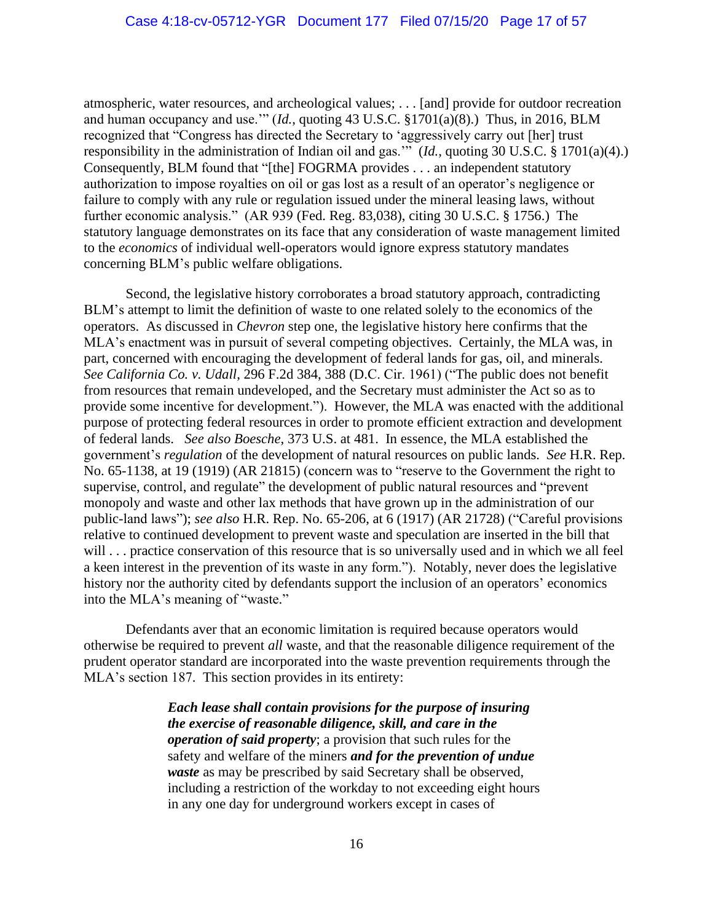atmospheric, water resources, and archeological values; . . . [and] provide for outdoor recreation and human occupancy and use.'" (*Id.*, quoting 43 U.S.C. §1701(a)(8).) Thus, in 2016, BLM recognized that "Congress has directed the Secretary to 'aggressively carry out [her] trust responsibility in the administration of Indian oil and gas.'" (*Id.*, quoting 30 U.S.C. § 1701(a)(4).) Consequently, BLM found that "[the] FOGRMA provides . . . an independent statutory authorization to impose royalties on oil or gas lost as a result of an operator's negligence or failure to comply with any rule or regulation issued under the mineral leasing laws, without further economic analysis." (AR 939 (Fed. Reg. 83,038), citing 30 U.S.C. § 1756.) The statutory language demonstrates on its face that any consideration of waste management limited to the *economics* of individual well-operators would ignore express statutory mandates concerning BLM's public welfare obligations.

Second, the legislative history corroborates a broad statutory approach, contradicting BLM's attempt to limit the definition of waste to one related solely to the economics of the operators. As discussed in *Chevron* step one, the legislative history here confirms that the MLA's enactment was in pursuit of several competing objectives. Certainly, the MLA was, in part, concerned with encouraging the development of federal lands for gas, oil, and minerals. *See California Co. v. Udall*, 296 F.2d 384, 388 (D.C. Cir. 1961) ("The public does not benefit from resources that remain undeveloped, and the Secretary must administer the Act so as to provide some incentive for development."). However, the MLA was enacted with the additional purpose of protecting federal resources in order to promote efficient extraction and development of federal lands. *See also Boesche*, 373 U.S. at 481. In essence, the MLA established the government's *regulation* of the development of natural resources on public lands. *See* H.R. Rep. No. 65-1138, at 19 (1919) (AR 21815) (concern was to "reserve to the Government the right to supervise, control, and regulate" the development of public natural resources and "prevent monopoly and waste and other lax methods that have grown up in the administration of our public-land laws"); *see also* H.R. Rep. No. 65-206, at 6 (1917) (AR 21728) ("Careful provisions relative to continued development to prevent waste and speculation are inserted in the bill that will . . . practice conservation of this resource that is so universally used and in which we all feel a keen interest in the prevention of its waste in any form."). Notably, never does the legislative history nor the authority cited by defendants support the inclusion of an operators' economics into the MLA's meaning of "waste."

Defendants aver that an economic limitation is required because operators would otherwise be required to prevent *all* waste, and that the reasonable diligence requirement of the prudent operator standard are incorporated into the waste prevention requirements through the MLA's section 187. This section provides in its entirety:

> *Each lease shall contain provisions for the purpose of insuring the exercise of reasonable diligence, skill, and care in the operation of said property*; a provision that such rules for the safety and welfare of the miners *and for the prevention of undue waste* as may be prescribed by said Secretary shall be observed, including a restriction of the workday to not exceeding eight hours in any one day for underground workers except in cases of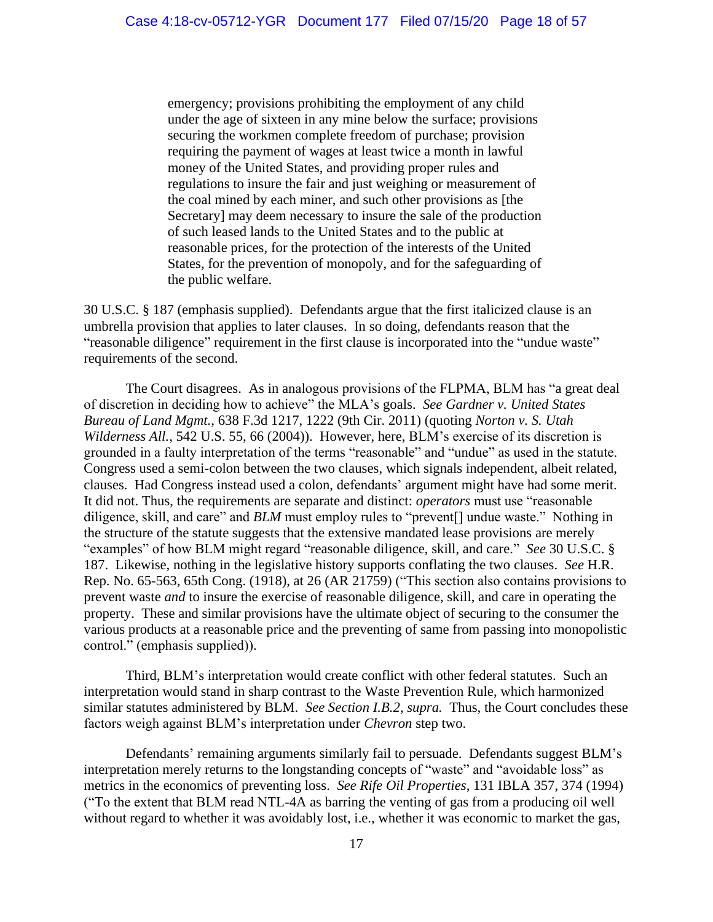emergency; provisions prohibiting the employment of any child under the age of sixteen in any mine below the surface; provisions securing the workmen complete freedom of purchase; provision requiring the payment of wages at least twice a month in lawful money of the United States, and providing proper rules and regulations to insure the fair and just weighing or measurement of the coal mined by each miner, and such other provisions as [the Secretary] may deem necessary to insure the sale of the production of such leased lands to the United States and to the public at reasonable prices, for the protection of the interests of the United States, for the prevention of monopoly, and for the safeguarding of the public welfare.

30 U.S.C. § 187 (emphasis supplied). Defendants argue that the first italicized clause is an umbrella provision that applies to later clauses. In so doing, defendants reason that the "reasonable diligence" requirement in the first clause is incorporated into the "undue waste" requirements of the second.

The Court disagrees. As in analogous provisions of the FLPMA, BLM has "a great deal of discretion in deciding how to achieve" the MLA's goals. *See Gardner v. United States Bureau of Land Mgmt.*, 638 F.3d 1217, 1222 (9th Cir. 2011) (quoting *Norton v. S. Utah Wilderness All.*, 542 U.S. 55, 66 (2004)). However, here, BLM's exercise of its discretion is grounded in a faulty interpretation of the terms "reasonable" and "undue" as used in the statute. Congress used a semi-colon between the two clauses, which signals independent, albeit related, clauses. Had Congress instead used a colon, defendants' argument might have had some merit. It did not. Thus, the requirements are separate and distinct: *operators* must use "reasonable diligence, skill, and care" and *BLM* must employ rules to "prevent[] undue waste." Nothing in the structure of the statute suggests that the extensive mandated lease provisions are merely "examples" of how BLM might regard "reasonable diligence, skill, and care." *See* 30 U.S.C. § 187. Likewise, nothing in the legislative history supports conflating the two clauses. *See* H.R. Rep. No. 65-563, 65th Cong. (1918), at 26 (AR 21759) ("This section also contains provisions to prevent waste *and* to insure the exercise of reasonable diligence, skill, and care in operating the property. These and similar provisions have the ultimate object of securing to the consumer the various products at a reasonable price and the preventing of same from passing into monopolistic control." (emphasis supplied)).

Third, BLM's interpretation would create conflict with other federal statutes. Such an interpretation would stand in sharp contrast to the Waste Prevention Rule, which harmonized similar statutes administered by BLM. *See Section I.B.2, supra.* Thus, the Court concludes these factors weigh against BLM's interpretation under *Chevron* step two.

Defendants' remaining arguments similarly fail to persuade. Defendants suggest BLM's interpretation merely returns to the longstanding concepts of "waste" and "avoidable loss" as metrics in the economics of preventing loss. *See Rife Oil Properties*, 131 IBLA 357, 374 (1994) ("To the extent that BLM read NTL-4A as barring the venting of gas from a producing oil well without regard to whether it was avoidably lost, i.e., whether it was economic to market the gas,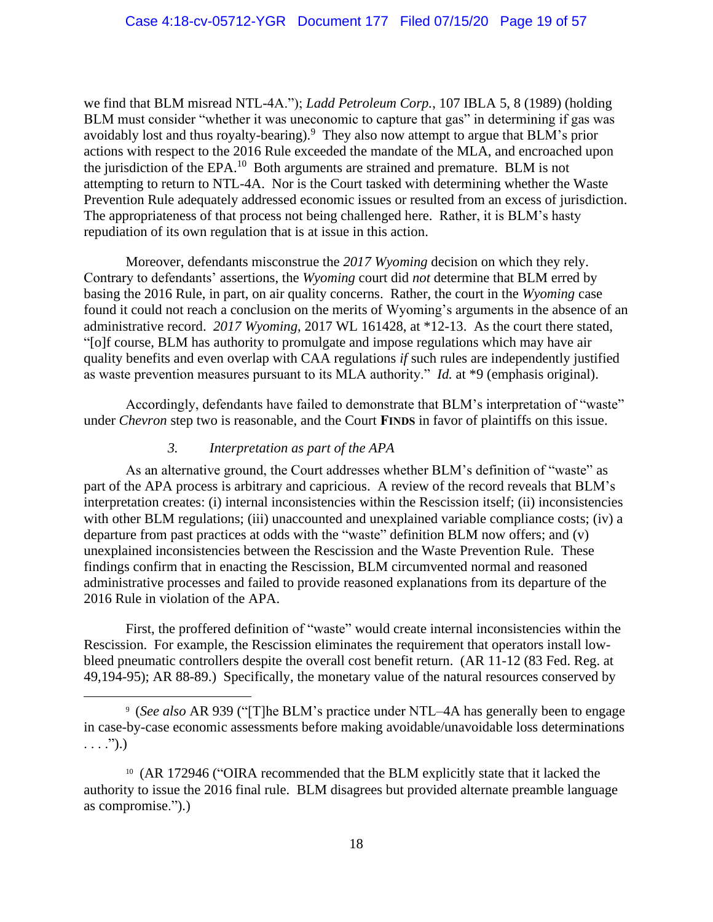we find that BLM misread NTL-4A."); *Ladd Petroleum Corp.*, 107 IBLA 5, 8 (1989) (holding BLM must consider "whether it was uneconomic to capture that gas" in determining if gas was avoidably lost and thus royalty-bearing).<sup>9</sup> They also now attempt to argue that BLM's prior actions with respect to the 2016 Rule exceeded the mandate of the MLA, and encroached upon the jurisdiction of the  $EPA$ <sup>10</sup> Both arguments are strained and premature. BLM is not attempting to return to NTL-4A. Nor is the Court tasked with determining whether the Waste Prevention Rule adequately addressed economic issues or resulted from an excess of jurisdiction. The appropriateness of that process not being challenged here. Rather, it is BLM's hasty repudiation of its own regulation that is at issue in this action.

Moreover, defendants misconstrue the *2017 Wyoming* decision on which they rely. Contrary to defendants' assertions, the *Wyoming* court did *not* determine that BLM erred by basing the 2016 Rule, in part, on air quality concerns. Rather, the court in the *Wyoming* case found it could not reach a conclusion on the merits of Wyoming's arguments in the absence of an administrative record. *2017 Wyoming*, 2017 WL 161428, at \*12-13. As the court there stated, "[o]f course, BLM has authority to promulgate and impose regulations which may have air quality benefits and even overlap with CAA regulations *if* such rules are independently justified as waste prevention measures pursuant to its MLA authority." *Id.* at \*9 (emphasis original).

Accordingly, defendants have failed to demonstrate that BLM's interpretation of "waste" under *Chevron* step two is reasonable, and the Court **FINDS** in favor of plaintiffs on this issue.

### *3. Interpretation as part of the APA*

As an alternative ground, the Court addresses whether BLM's definition of "waste" as part of the APA process is arbitrary and capricious. A review of the record reveals that BLM's interpretation creates: (i) internal inconsistencies within the Rescission itself; (ii) inconsistencies with other BLM regulations; (iii) unaccounted and unexplained variable compliance costs; (iv) a departure from past practices at odds with the "waste" definition BLM now offers; and (v) unexplained inconsistencies between the Rescission and the Waste Prevention Rule. These findings confirm that in enacting the Rescission, BLM circumvented normal and reasoned administrative processes and failed to provide reasoned explanations from its departure of the 2016 Rule in violation of the APA.

First, the proffered definition of "waste" would create internal inconsistencies within the Rescission. For example, the Rescission eliminates the requirement that operators install lowbleed pneumatic controllers despite the overall cost benefit return. (AR 11-12 (83 Fed. Reg. at 49,194-95); AR 88-89.) Specifically, the monetary value of the natural resources conserved by

<sup>9</sup> (*See also* AR 939 ("[T]he BLM's practice under NTL–4A has generally been to engage in case-by-case economic assessments before making avoidable/unavoidable loss determinations  $\ldots$  .").)

<sup>10</sup> (AR 172946 ("OIRA recommended that the BLM explicitly state that it lacked the authority to issue the 2016 final rule. BLM disagrees but provided alternate preamble language as compromise.").)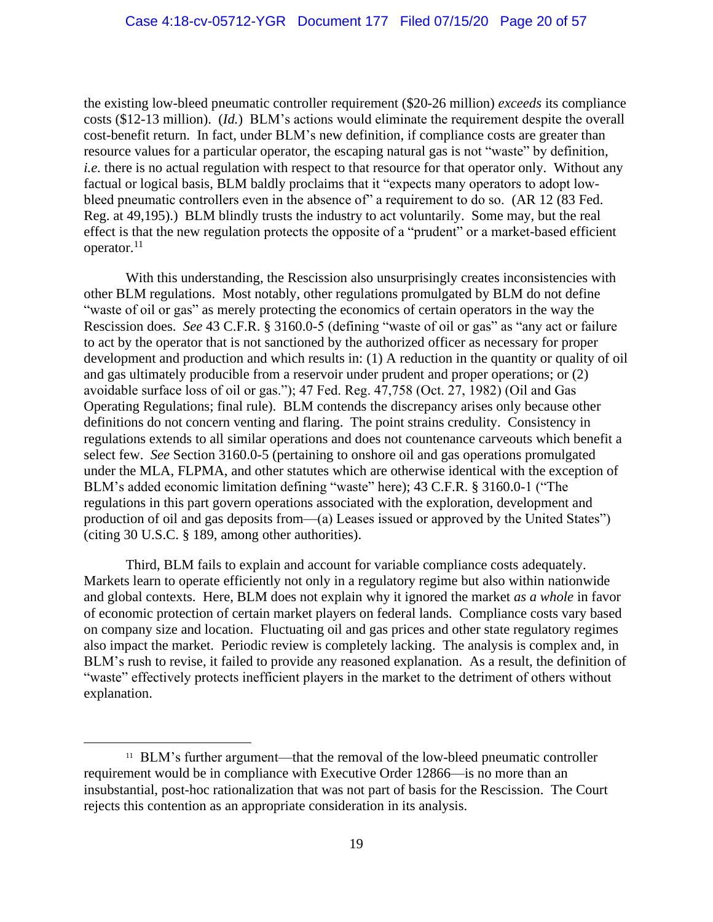the existing low-bleed pneumatic controller requirement (\$20-26 million) *exceeds* its compliance costs (\$12-13 million). (*Id.*) BLM's actions would eliminate the requirement despite the overall cost-benefit return. In fact, under BLM's new definition, if compliance costs are greater than resource values for a particular operator, the escaping natural gas is not "waste" by definition, *i.e.* there is no actual regulation with respect to that resource for that operator only. Without any factual or logical basis, BLM baldly proclaims that it "expects many operators to adopt lowbleed pneumatic controllers even in the absence of" a requirement to do so. (AR 12 (83 Fed.) Reg. at 49,195).) BLM blindly trusts the industry to act voluntarily. Some may, but the real effect is that the new regulation protects the opposite of a "prudent" or a market-based efficient operator. $11$ 

With this understanding, the Rescission also unsurprisingly creates inconsistencies with other BLM regulations. Most notably, other regulations promulgated by BLM do not define "waste of oil or gas" as merely protecting the economics of certain operators in the way the Rescission does. *See* 43 C.F.R. § 3160.0-5 (defining "waste of oil or gas" as "any act or failure to act by the operator that is not sanctioned by the authorized officer as necessary for proper development and production and which results in: (1) A reduction in the quantity or quality of oil and gas ultimately producible from a reservoir under prudent and proper operations; or (2) avoidable surface loss of oil or gas."); 47 Fed. Reg. 47,758 (Oct. 27, 1982) (Oil and Gas Operating Regulations; final rule). BLM contends the discrepancy arises only because other definitions do not concern venting and flaring. The point strains credulity. Consistency in regulations extends to all similar operations and does not countenance carveouts which benefit a select few. *See* Section 3160.0-5 (pertaining to onshore oil and gas operations promulgated under the MLA, FLPMA, and other statutes which are otherwise identical with the exception of BLM's added economic limitation defining "waste" here); 43 C.F.R. § 3160.0-1 ("The regulations in this part govern operations associated with the exploration, development and production of oil and gas deposits from—(a) Leases issued or approved by the United States") (citing 30 U.S.C. § 189, among other authorities).

Third, BLM fails to explain and account for variable compliance costs adequately. Markets learn to operate efficiently not only in a regulatory regime but also within nationwide and global contexts. Here, BLM does not explain why it ignored the market *as a whole* in favor of economic protection of certain market players on federal lands. Compliance costs vary based on company size and location. Fluctuating oil and gas prices and other state regulatory regimes also impact the market. Periodic review is completely lacking. The analysis is complex and, in BLM's rush to revise, it failed to provide any reasoned explanation. As a result, the definition of "waste" effectively protects inefficient players in the market to the detriment of others without explanation.

<sup>&</sup>lt;sup>11</sup> BLM's further argument—that the removal of the low-bleed pneumatic controller requirement would be in compliance with Executive Order 12866—is no more than an insubstantial, post-hoc rationalization that was not part of basis for the Rescission. The Court rejects this contention as an appropriate consideration in its analysis.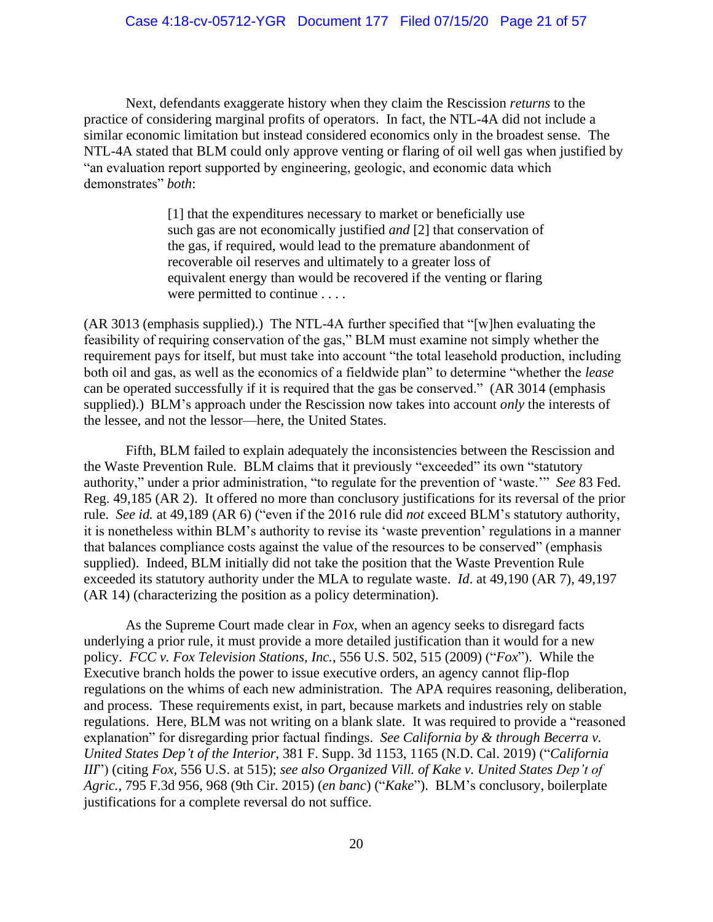Next, defendants exaggerate history when they claim the Rescission *returns* to the practice of considering marginal profits of operators. In fact, the NTL-4A did not include a similar economic limitation but instead considered economics only in the broadest sense. The NTL-4A stated that BLM could only approve venting or flaring of oil well gas when justified by "an evaluation report supported by engineering, geologic, and economic data which demonstrates" *both*:

> [1] that the expenditures necessary to market or beneficially use such gas are not economically justified *and* [2] that conservation of the gas, if required, would lead to the premature abandonment of recoverable oil reserves and ultimately to a greater loss of equivalent energy than would be recovered if the venting or flaring were permitted to continue . . . .

(AR 3013 (emphasis supplied).) The NTL-4A further specified that "[w]hen evaluating the feasibility of requiring conservation of the gas," BLM must examine not simply whether the requirement pays for itself, but must take into account "the total leasehold production, including both oil and gas, as well as the economics of a fieldwide plan" to determine "whether the *lease*  can be operated successfully if it is required that the gas be conserved." (AR 3014 (emphasis supplied).) BLM's approach under the Rescission now takes into account *only* the interests of the lessee, and not the lessor—here, the United States.

Fifth, BLM failed to explain adequately the inconsistencies between the Rescission and the Waste Prevention Rule. BLM claims that it previously "exceeded" its own "statutory authority," under a prior administration, "to regulate for the prevention of 'waste.'" *See* 83 Fed. Reg. 49,185 (AR 2). It offered no more than conclusory justifications for its reversal of the prior rule. *See id.* at 49,189 (AR 6) ("even if the 2016 rule did *not* exceed BLM's statutory authority, it is nonetheless within BLM's authority to revise its 'waste prevention' regulations in a manner that balances compliance costs against the value of the resources to be conserved" (emphasis supplied). Indeed, BLM initially did not take the position that the Waste Prevention Rule exceeded its statutory authority under the MLA to regulate waste. *Id*. at 49,190 (AR 7), 49,197 (AR 14) (characterizing the position as a policy determination).

As the Supreme Court made clear in *Fox*, when an agency seeks to disregard facts underlying a prior rule, it must provide a more detailed justification than it would for a new policy. *FCC v. Fox Television Stations, Inc.*, 556 U.S. 502, 515 (2009) ("*Fox*"). While the Executive branch holds the power to issue executive orders, an agency cannot flip-flop regulations on the whims of each new administration. The APA requires reasoning, deliberation, and process. These requirements exist, in part, because markets and industries rely on stable regulations. Here, BLM was not writing on a blank slate. It was required to provide a "reasoned explanation" for disregarding prior factual findings. *See California by & through Becerra v. United States Dep't of the Interior*, 381 F. Supp. 3d 1153, 1165 (N.D. Cal. 2019) ("*California III*") (citing *Fox*, 556 U.S. at 515); *see also Organized Vill. of Kake v. United States Dep't of Agric.*, 795 F.3d 956, 968 (9th Cir. 2015) (*en banc*) ("*Kake*"). BLM's conclusory, boilerplate justifications for a complete reversal do not suffice.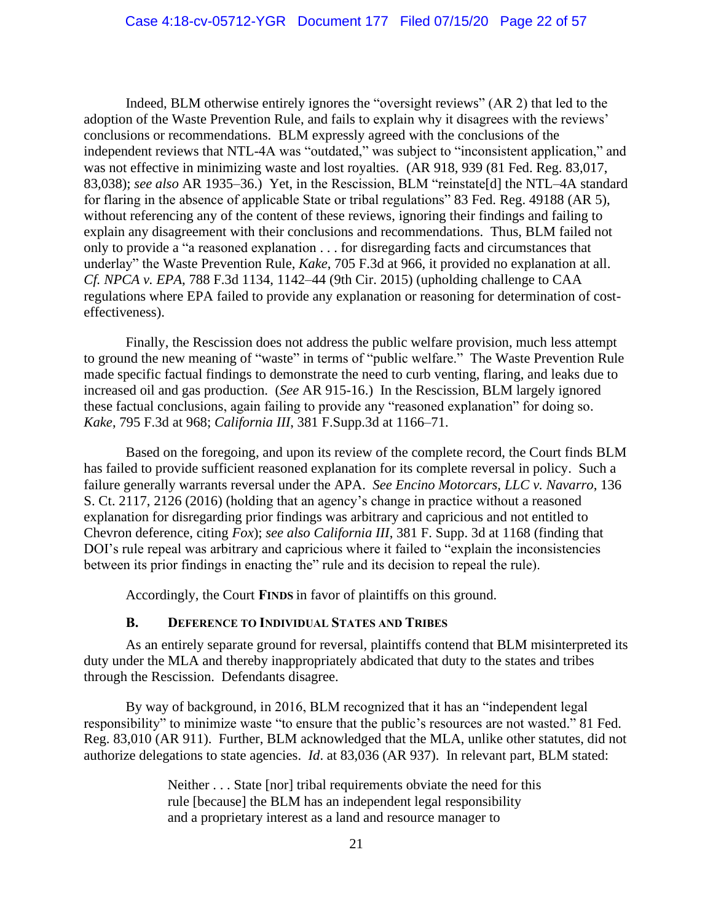Indeed, BLM otherwise entirely ignores the "oversight reviews" (AR 2) that led to the adoption of the Waste Prevention Rule, and fails to explain why it disagrees with the reviews' conclusions or recommendations. BLM expressly agreed with the conclusions of the independent reviews that NTL-4A was "outdated," was subject to "inconsistent application," and was not effective in minimizing waste and lost royalties. (AR 918, 939 (81 Fed. Reg. 83,017, 83,038); *see also* AR 1935–36.) Yet, in the Rescission, BLM "reinstate[d] the NTL–4A standard for flaring in the absence of applicable State or tribal regulations" 83 Fed. Reg. 49188 (AR 5), without referencing any of the content of these reviews, ignoring their findings and failing to explain any disagreement with their conclusions and recommendations. Thus, BLM failed not only to provide a "a reasoned explanation . . . for disregarding facts and circumstances that underlay" the Waste Prevention Rule, *Kake*, 705 F.3d at 966, it provided no explanation at all. *Cf. NPCA v. EPA*, 788 F.3d 1134, 1142–44 (9th Cir. 2015) (upholding challenge to CAA regulations where EPA failed to provide any explanation or reasoning for determination of costeffectiveness).

Finally, the Rescission does not address the public welfare provision, much less attempt to ground the new meaning of "waste" in terms of "public welfare." The Waste Prevention Rule made specific factual findings to demonstrate the need to curb venting, flaring, and leaks due to increased oil and gas production. (*See* AR 915-16.) In the Rescission, BLM largely ignored these factual conclusions, again failing to provide any "reasoned explanation" for doing so. *Kake*, 795 F.3d at 968; *California III*, 381 F.Supp.3d at 1166–71.

Based on the foregoing, and upon its review of the complete record, the Court finds BLM has failed to provide sufficient reasoned explanation for its complete reversal in policy. Such a failure generally warrants reversal under the APA. *See Encino Motorcars, LLC v. Navarro*, 136 S. Ct. 2117, 2126 (2016) (holding that an agency's change in practice without a reasoned explanation for disregarding prior findings was arbitrary and capricious and not entitled to Chevron deference, citing *Fox*); *see also California III*, 381 F. Supp. 3d at 1168 (finding that DOI's rule repeal was arbitrary and capricious where it failed to "explain the inconsistencies between its prior findings in enacting the" rule and its decision to repeal the rule).

Accordingly, the Court **FINDS** in favor of plaintiffs on this ground.

### **B. DEFERENCE TO INDIVIDUAL STATES AND TRIBES**

As an entirely separate ground for reversal, plaintiffs contend that BLM misinterpreted its duty under the MLA and thereby inappropriately abdicated that duty to the states and tribes through the Rescission. Defendants disagree.

By way of background, in 2016, BLM recognized that it has an "independent legal responsibility" to minimize waste "to ensure that the public's resources are not wasted." 81 Fed. Reg. 83,010 (AR 911). Further, BLM acknowledged that the MLA, unlike other statutes, did not authorize delegations to state agencies. *Id*. at 83,036 (AR 937). In relevant part, BLM stated:

> Neither . . . State [nor] tribal requirements obviate the need for this rule [because] the BLM has an independent legal responsibility and a proprietary interest as a land and resource manager to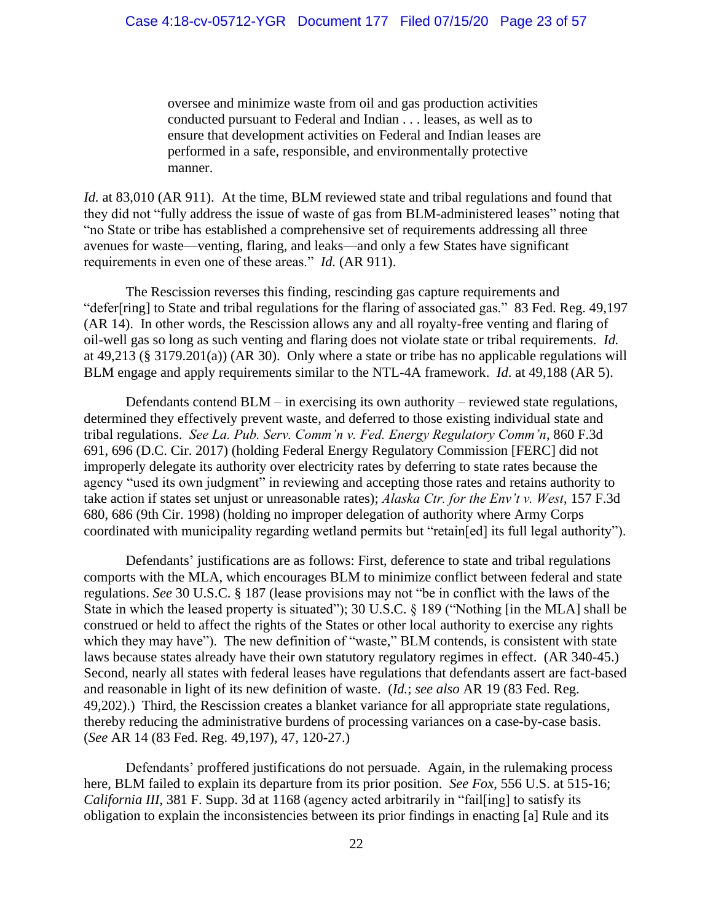oversee and minimize waste from oil and gas production activities conducted pursuant to Federal and Indian . . . leases, as well as to ensure that development activities on Federal and Indian leases are performed in a safe, responsible, and environmentally protective manner.

*Id.* at 83,010 (AR 911). At the time, BLM reviewed state and tribal regulations and found that they did not "fully address the issue of waste of gas from BLM-administered leases" noting that "no State or tribe has established a comprehensive set of requirements addressing all three avenues for waste—venting, flaring, and leaks—and only a few States have significant requirements in even one of these areas." *Id.* (AR 911).

The Rescission reverses this finding, rescinding gas capture requirements and "defer[ring] to State and tribal regulations for the flaring of associated gas." 83 Fed. Reg. 49,197 (AR 14). In other words, the Rescission allows any and all royalty-free venting and flaring of oil-well gas so long as such venting and flaring does not violate state or tribal requirements. *Id.* at 49,213 (§ 3179.201(a)) (AR 30). Only where a state or tribe has no applicable regulations will BLM engage and apply requirements similar to the NTL-4A framework. *Id*. at 49,188 (AR 5).

Defendants contend BLM – in exercising its own authority – reviewed state regulations, determined they effectively prevent waste, and deferred to those existing individual state and tribal regulations. *See La. Pub. Serv. Comm'n v. Fed. Energy Regulatory Comm'n*, 860 F.3d 691, 696 (D.C. Cir. 2017) (holding Federal Energy Regulatory Commission [FERC] did not improperly delegate its authority over electricity rates by deferring to state rates because the agency "used its own judgment" in reviewing and accepting those rates and retains authority to take action if states set unjust or unreasonable rates); *Alaska Ctr. for the Env't v. West*, 157 F.3d 680, 686 (9th Cir. 1998) (holding no improper delegation of authority where Army Corps coordinated with municipality regarding wetland permits but "retain[ed] its full legal authority").

Defendants' justifications are as follows: First, deference to state and tribal regulations comports with the MLA, which encourages BLM to minimize conflict between federal and state regulations. *See* 30 U.S.C. § 187 (lease provisions may not "be in conflict with the laws of the State in which the leased property is situated"); 30 U.S.C. § 189 ("Nothing [in the MLA] shall be construed or held to affect the rights of the States or other local authority to exercise any rights which they may have"). The new definition of "waste," BLM contends, is consistent with state laws because states already have their own statutory regulatory regimes in effect. (AR 340-45.) Second, nearly all states with federal leases have regulations that defendants assert are fact-based and reasonable in light of its new definition of waste. (*Id.*; *see also* AR 19 (83 Fed. Reg. 49,202).) Third, the Rescission creates a blanket variance for all appropriate state regulations, thereby reducing the administrative burdens of processing variances on a case-by-case basis. (*See* AR 14 (83 Fed. Reg. 49,197), 47, 120-27.)

Defendants' proffered justifications do not persuade. Again, in the rulemaking process here, BLM failed to explain its departure from its prior position. *See Fox*, 556 U.S. at 515-16; *California III*, 381 F. Supp. 3d at 1168 (agency acted arbitrarily in "fail[ing] to satisfy its obligation to explain the inconsistencies between its prior findings in enacting [a] Rule and its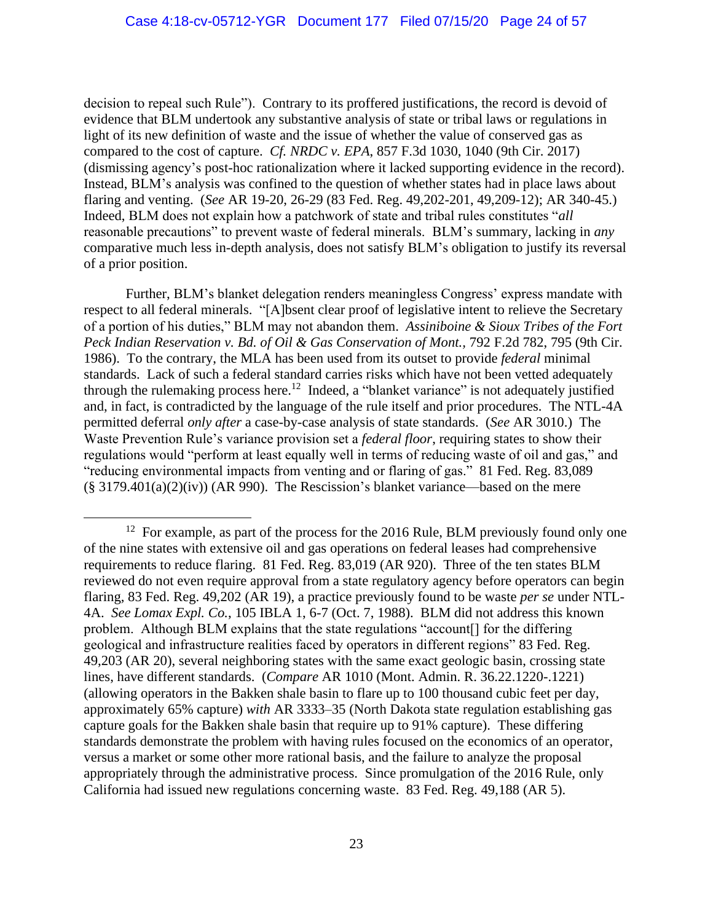decision to repeal such Rule"). Contrary to its proffered justifications, the record is devoid of evidence that BLM undertook any substantive analysis of state or tribal laws or regulations in light of its new definition of waste and the issue of whether the value of conserved gas as compared to the cost of capture. *Cf. NRDC v. EPA*, 857 F.3d 1030, 1040 (9th Cir. 2017) (dismissing agency's post-hoc rationalization where it lacked supporting evidence in the record). Instead, BLM's analysis was confined to the question of whether states had in place laws about flaring and venting. (*See* AR 19-20, 26-29 (83 Fed. Reg. 49,202-201, 49,209-12); AR 340-45.) Indeed, BLM does not explain how a patchwork of state and tribal rules constitutes "*all*  reasonable precautions" to prevent waste of federal minerals. BLM's summary, lacking in *any* comparative much less in-depth analysis, does not satisfy BLM's obligation to justify its reversal of a prior position.

Further, BLM's blanket delegation renders meaningless Congress' express mandate with respect to all federal minerals. "[A]bsent clear proof of legislative intent to relieve the Secretary of a portion of his duties," BLM may not abandon them. *Assiniboine & Sioux Tribes of the Fort Peck Indian Reservation v. Bd. of Oil & Gas Conservation of Mont.,* 792 F.2d 782, 795 (9th Cir. 1986). To the contrary, the MLA has been used from its outset to provide *federal* minimal standards. Lack of such a federal standard carries risks which have not been vetted adequately through the rulemaking process here.<sup>12</sup> Indeed, a "blanket variance" is not adequately justified and, in fact, is contradicted by the language of the rule itself and prior procedures. The NTL-4A permitted deferral *only after* a case-by-case analysis of state standards. (*See* AR 3010.) The Waste Prevention Rule's variance provision set a *federal floor*, requiring states to show their regulations would "perform at least equally well in terms of reducing waste of oil and gas," and "reducing environmental impacts from venting and or flaring of gas." 81 Fed. Reg. 83,089  $(\S 3179.401(a)(2)(iv))$  (AR 990). The Rescission's blanket variance—based on the mere

<sup>&</sup>lt;sup>12</sup> For example, as part of the process for the 2016 Rule, BLM previously found only one of the nine states with extensive oil and gas operations on federal leases had comprehensive requirements to reduce flaring. 81 Fed. Reg. 83,019 (AR 920). Three of the ten states BLM reviewed do not even require approval from a state regulatory agency before operators can begin flaring, 83 Fed. Reg. 49,202 (AR 19), a practice previously found to be waste *per se* under NTL-4A. *See Lomax Expl. Co.*, 105 IBLA 1, 6-7 (Oct. 7, 1988). BLM did not address this known problem. Although BLM explains that the state regulations "account[] for the differing geological and infrastructure realities faced by operators in different regions" 83 Fed. Reg. 49,203 (AR 20), several neighboring states with the same exact geologic basin, crossing state lines, have different standards. (*Compare* AR 1010 (Mont. Admin. R. 36.22.1220-.1221) (allowing operators in the Bakken shale basin to flare up to 100 thousand cubic feet per day, approximately 65% capture) *with* AR 3333–35 (North Dakota state regulation establishing gas capture goals for the Bakken shale basin that require up to 91% capture). These differing standards demonstrate the problem with having rules focused on the economics of an operator, versus a market or some other more rational basis, and the failure to analyze the proposal appropriately through the administrative process. Since promulgation of the 2016 Rule, only California had issued new regulations concerning waste. 83 Fed. Reg. 49,188 (AR 5).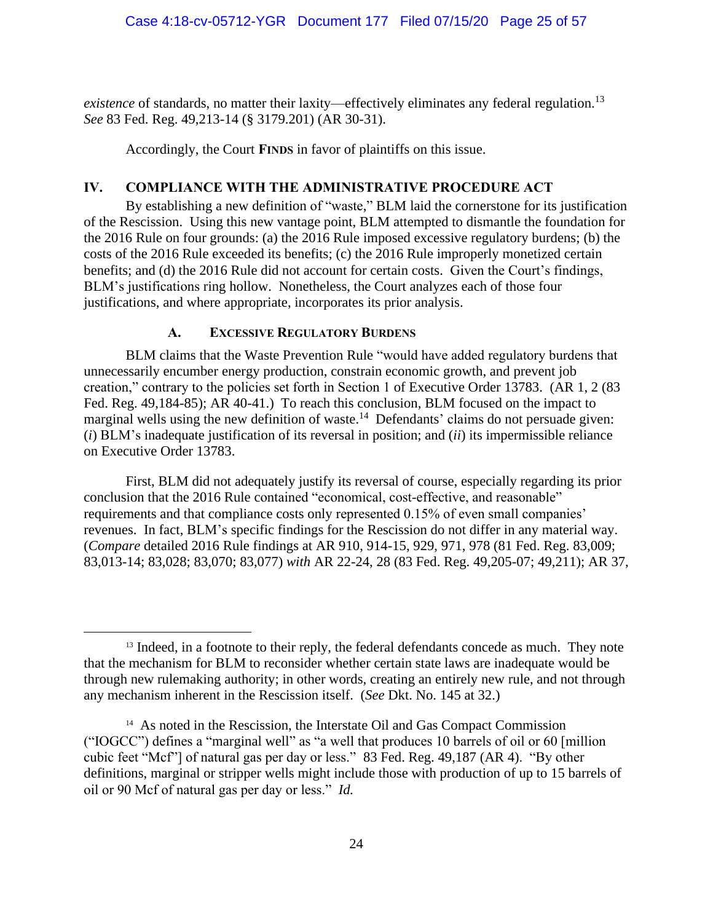*existence* of standards, no matter their laxity—effectively eliminates any federal regulation. 13 *See* 83 Fed. Reg. 49,213-14 (§ 3179.201) (AR 30-31).

Accordingly, the Court **FINDS** in favor of plaintiffs on this issue.

# **IV. COMPLIANCE WITH THE ADMINISTRATIVE PROCEDURE ACT**

By establishing a new definition of "waste," BLM laid the cornerstone for its justification of the Rescission. Using this new vantage point, BLM attempted to dismantle the foundation for the 2016 Rule on four grounds: (a) the 2016 Rule imposed excessive regulatory burdens; (b) the costs of the 2016 Rule exceeded its benefits; (c) the 2016 Rule improperly monetized certain benefits; and (d) the 2016 Rule did not account for certain costs. Given the Court's findings, BLM's justifications ring hollow. Nonetheless, the Court analyzes each of those four justifications, and where appropriate, incorporates its prior analysis.

# **A. EXCESSIVE REGULATORY BURDENS**

BLM claims that the Waste Prevention Rule "would have added regulatory burdens that unnecessarily encumber energy production, constrain economic growth, and prevent job creation," contrary to the policies set forth in Section 1 of Executive Order 13783. (AR 1, 2 (83 Fed. Reg. 49,184-85); AR 40-41.) To reach this conclusion, BLM focused on the impact to marginal wells using the new definition of waste.<sup>14</sup> Defendants' claims do not persuade given: (*i*) BLM's inadequate justification of its reversal in position; and (*ii*) its impermissible reliance on Executive Order 13783.

First, BLM did not adequately justify its reversal of course, especially regarding its prior conclusion that the 2016 Rule contained "economical, cost-effective, and reasonable" requirements and that compliance costs only represented 0.15% of even small companies' revenues. In fact, BLM's specific findings for the Rescission do not differ in any material way. (*Compare* detailed 2016 Rule findings at AR 910, 914-15, 929, 971, 978 (81 Fed. Reg. 83,009; 83,013-14; 83,028; 83,070; 83,077) *with* AR 22-24, 28 (83 Fed. Reg. 49,205-07; 49,211); AR 37,

<sup>&</sup>lt;sup>13</sup> Indeed, in a footnote to their reply, the federal defendants concede as much. They note that the mechanism for BLM to reconsider whether certain state laws are inadequate would be through new rulemaking authority; in other words, creating an entirely new rule, and not through any mechanism inherent in the Rescission itself. (*See* Dkt. No. 145 at 32.)

<sup>&</sup>lt;sup>14</sup> As noted in the Rescission, the Interstate Oil and Gas Compact Commission ("IOGCC") defines a "marginal well" as "a well that produces 10 barrels of oil or 60 [million cubic feet "Mcf"] of natural gas per day or less." 83 Fed. Reg. 49,187 (AR 4). "By other definitions, marginal or stripper wells might include those with production of up to 15 barrels of oil or 90 Mcf of natural gas per day or less." *Id.*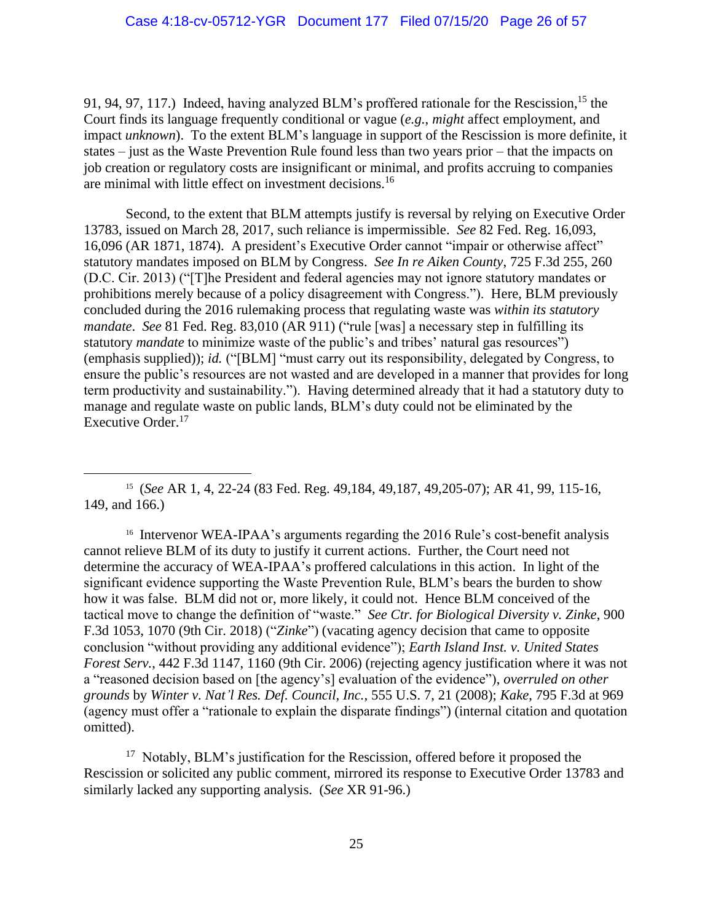91, 94, 97, 117.) Indeed, having analyzed BLM's proffered rationale for the Rescission,<sup>15</sup> the Court finds its language frequently conditional or vague (*e.g.*, *might* affect employment, and impact *unknown*). To the extent BLM's language in support of the Rescission is more definite, it states – just as the Waste Prevention Rule found less than two years prior – that the impacts on job creation or regulatory costs are insignificant or minimal, and profits accruing to companies are minimal with little effect on investment decisions.<sup>16</sup>

Second, to the extent that BLM attempts justify is reversal by relying on Executive Order 13783, issued on March 28, 2017, such reliance is impermissible. *See* 82 Fed. Reg. 16,093, 16,096 (AR 1871, 1874). A president's Executive Order cannot "impair or otherwise affect" statutory mandates imposed on BLM by Congress. *See In re Aiken County*, 725 F.3d 255, 260 (D.C. Cir. 2013) ("[T]he President and federal agencies may not ignore statutory mandates or prohibitions merely because of a policy disagreement with Congress."). Here, BLM previously concluded during the 2016 rulemaking process that regulating waste was *within its statutory mandate*. *See* 81 Fed. Reg. 83,010 (AR 911) ("rule [was] a necessary step in fulfilling its statutory *mandate* to minimize waste of the public's and tribes' natural gas resources") (emphasis supplied)); *id.* ("[BLM] "must carry out its responsibility, delegated by Congress, to ensure the public's resources are not wasted and are developed in a manner that provides for long term productivity and sustainability."). Having determined already that it had a statutory duty to manage and regulate waste on public lands, BLM's duty could not be eliminated by the Executive Order.<sup>17</sup>

<sup>15</sup> (*See* AR 1, 4, 22-24 (83 Fed. Reg. 49,184, 49,187, 49,205-07); AR 41, 99, 115-16, 149, and 166.)

<sup>16</sup> Intervenor WEA-IPAA's arguments regarding the 2016 Rule's cost-benefit analysis cannot relieve BLM of its duty to justify it current actions. Further, the Court need not determine the accuracy of WEA-IPAA's proffered calculations in this action. In light of the significant evidence supporting the Waste Prevention Rule, BLM's bears the burden to show how it was false. BLM did not or, more likely, it could not. Hence BLM conceived of the tactical move to change the definition of "waste." *See Ctr. for Biological Diversity v. Zinke*, 900 F.3d 1053, 1070 (9th Cir. 2018) ("*Zinke*") (vacating agency decision that came to opposite conclusion "without providing any additional evidence"); *Earth Island Inst. v. United States Forest Serv.*, 442 F.3d 1147, 1160 (9th Cir. 2006) (rejecting agency justification where it was not a "reasoned decision based on [the agency's] evaluation of the evidence"), *overruled on other grounds* by *Winter v. Nat'l Res. Def. Council, Inc.,* 555 U.S. 7, 21 (2008); *Kake*, 795 F.3d at 969 (agency must offer a "rationale to explain the disparate findings") (internal citation and quotation omitted).

<sup>17</sup> Notably, BLM's justification for the Rescission, offered before it proposed the Rescission or solicited any public comment, mirrored its response to Executive Order 13783 and similarly lacked any supporting analysis. (*See* XR 91-96.)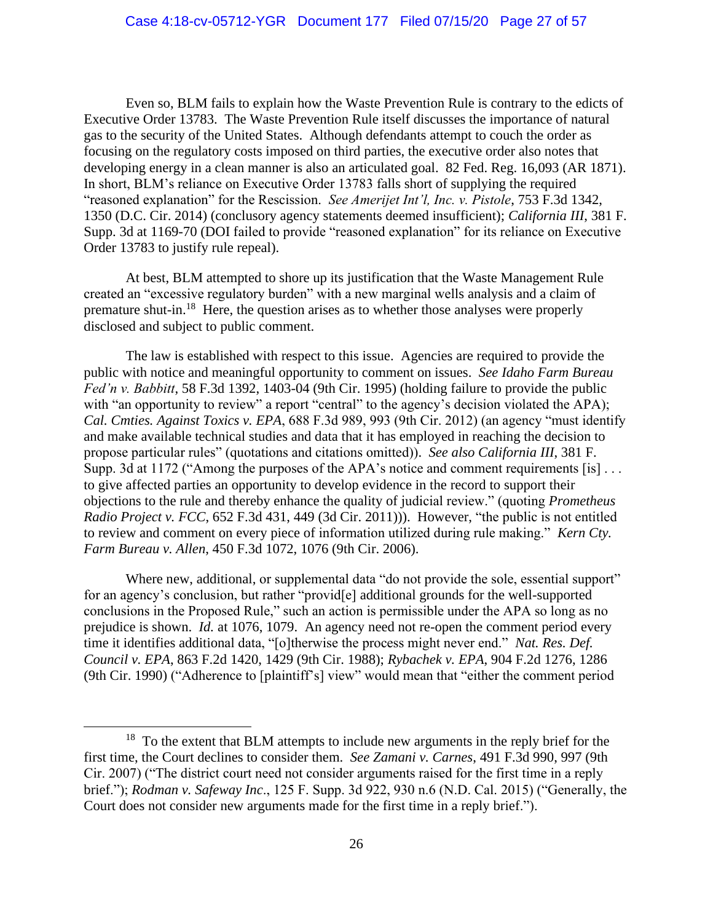Even so, BLM fails to explain how the Waste Prevention Rule is contrary to the edicts of Executive Order 13783. The Waste Prevention Rule itself discusses the importance of natural gas to the security of the United States. Although defendants attempt to couch the order as focusing on the regulatory costs imposed on third parties, the executive order also notes that developing energy in a clean manner is also an articulated goal. 82 Fed. Reg. 16,093 (AR 1871). In short, BLM's reliance on Executive Order 13783 falls short of supplying the required "reasoned explanation" for the Rescission. *See Amerijet Int'l, Inc. v. Pistole*, 753 F.3d 1342, 1350 (D.C. Cir. 2014) (conclusory agency statements deemed insufficient); *California III*, 381 F. Supp. 3d at 1169-70 (DOI failed to provide "reasoned explanation" for its reliance on Executive Order 13783 to justify rule repeal).

At best, BLM attempted to shore up its justification that the Waste Management Rule created an "excessive regulatory burden" with a new marginal wells analysis and a claim of premature shut-in.<sup>18</sup> Here, the question arises as to whether those analyses were properly disclosed and subject to public comment.

The law is established with respect to this issue. Agencies are required to provide the public with notice and meaningful opportunity to comment on issues. *See Idaho Farm Bureau Fed'n v. Babbitt*, 58 F.3d 1392, 1403-04 (9th Cir. 1995) (holding failure to provide the public with "an opportunity to review" a report "central" to the agency's decision violated the APA); *Cal. Cmties. Against Toxics v. EPA*, 688 F.3d 989, 993 (9th Cir. 2012) (an agency "must identify and make available technical studies and data that it has employed in reaching the decision to propose particular rules" (quotations and citations omitted)). *See also California III*, 381 F. Supp. 3d at 1172 ("Among the purposes of the APA's notice and comment requirements [is] ... to give affected parties an opportunity to develop evidence in the record to support their objections to the rule and thereby enhance the quality of judicial review." (quoting *Prometheus Radio Project v. FCC*, 652 F.3d 431, 449 (3d Cir. 2011))). However, "the public is not entitled to review and comment on every piece of information utilized during rule making." *Kern Cty. Farm Bureau v. Allen*, 450 F.3d 1072, 1076 (9th Cir. 2006).

Where new, additional, or supplemental data "do not provide the sole, essential support" for an agency's conclusion, but rather "provid[e] additional grounds for the well-supported conclusions in the Proposed Rule," such an action is permissible under the APA so long as no prejudice is shown. *Id.* at 1076, 1079. An agency need not re-open the comment period every time it identifies additional data, "[o]therwise the process might never end." *Nat. Res. Def. Council v. EPA*, 863 F.2d 1420, 1429 (9th Cir. 1988); *Rybachek v. EPA*, 904 F.2d 1276, 1286 (9th Cir. 1990) ("Adherence to [plaintiff's] view" would mean that "either the comment period

<sup>&</sup>lt;sup>18</sup> To the extent that BLM attempts to include new arguments in the reply brief for the first time, the Court declines to consider them. *See Zamani v. Carnes*, 491 F.3d 990, 997 (9th Cir. 2007) ("The district court need not consider arguments raised for the first time in a reply brief."); *Rodman v. Safeway Inc*., 125 F. Supp. 3d 922, 930 n.6 (N.D. Cal. 2015) ("Generally, the Court does not consider new arguments made for the first time in a reply brief.").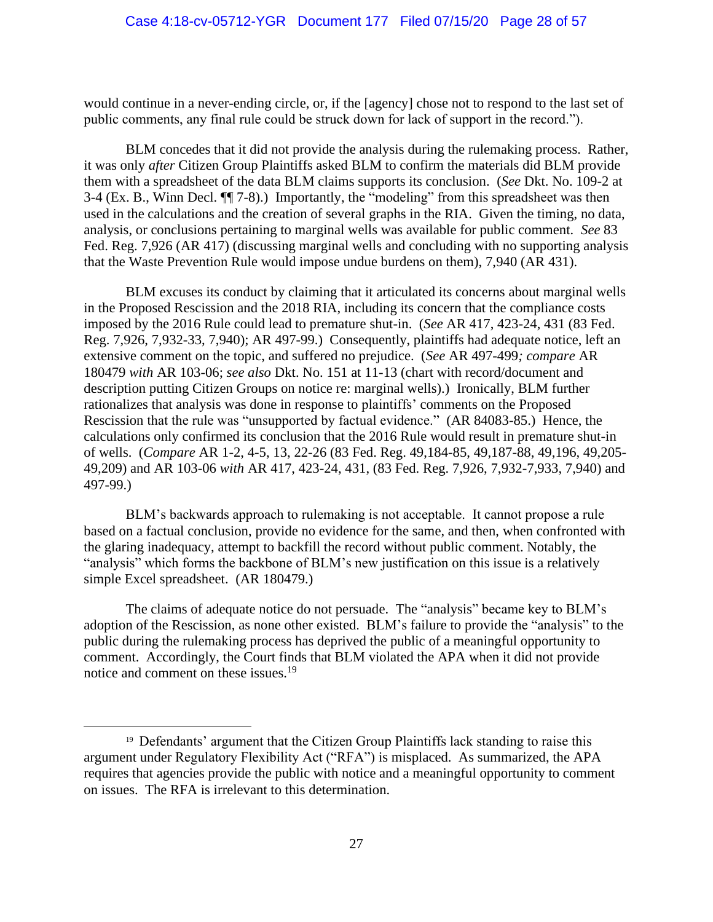would continue in a never-ending circle, or, if the [agency] chose not to respond to the last set of public comments, any final rule could be struck down for lack of support in the record.").

BLM concedes that it did not provide the analysis during the rulemaking process. Rather, it was only *after* Citizen Group Plaintiffs asked BLM to confirm the materials did BLM provide them with a spreadsheet of the data BLM claims supports its conclusion. (*See* Dkt. No. 109-2 at 3-4 (Ex. B., Winn Decl. ¶¶ 7-8).) Importantly, the "modeling" from this spreadsheet was then used in the calculations and the creation of several graphs in the RIA. Given the timing, no data, analysis, or conclusions pertaining to marginal wells was available for public comment. *See* 83 Fed. Reg. 7,926 (AR 417) (discussing marginal wells and concluding with no supporting analysis that the Waste Prevention Rule would impose undue burdens on them), 7,940 (AR 431).

BLM excuses its conduct by claiming that it articulated its concerns about marginal wells in the Proposed Rescission and the 2018 RIA, including its concern that the compliance costs imposed by the 2016 Rule could lead to premature shut-in. (*See* AR 417, 423-24, 431 (83 Fed. Reg. 7,926, 7,932-33, 7,940); AR 497-99.) Consequently, plaintiffs had adequate notice, left an extensive comment on the topic, and suffered no prejudice. (*See* AR 497-499*; compare* AR 180479 *with* AR 103-06; *see also* Dkt. No. 151 at 11-13 (chart with record/document and description putting Citizen Groups on notice re: marginal wells).) Ironically, BLM further rationalizes that analysis was done in response to plaintiffs' comments on the Proposed Rescission that the rule was "unsupported by factual evidence." (AR 84083-85.) Hence, the calculations only confirmed its conclusion that the 2016 Rule would result in premature shut-in of wells. (*Compare* AR 1-2, 4-5, 13, 22-26 (83 Fed. Reg. 49,184-85, 49,187-88, 49,196, 49,205- 49,209) and AR 103-06 *with* AR 417, 423-24, 431, (83 Fed. Reg. 7,926, 7,932-7,933, 7,940) and 497-99.)

BLM's backwards approach to rulemaking is not acceptable. It cannot propose a rule based on a factual conclusion, provide no evidence for the same, and then, when confronted with the glaring inadequacy, attempt to backfill the record without public comment. Notably, the "analysis" which forms the backbone of BLM's new justification on this issue is a relatively simple Excel spreadsheet. (AR 180479.)

The claims of adequate notice do not persuade. The "analysis" became key to BLM's adoption of the Rescission, as none other existed. BLM's failure to provide the "analysis" to the public during the rulemaking process has deprived the public of a meaningful opportunity to comment. Accordingly, the Court finds that BLM violated the APA when it did not provide notice and comment on these issues.<sup>19</sup>

<sup>&</sup>lt;sup>19</sup> Defendants' argument that the Citizen Group Plaintiffs lack standing to raise this argument under Regulatory Flexibility Act ("RFA") is misplaced. As summarized, the APA requires that agencies provide the public with notice and a meaningful opportunity to comment on issues. The RFA is irrelevant to this determination.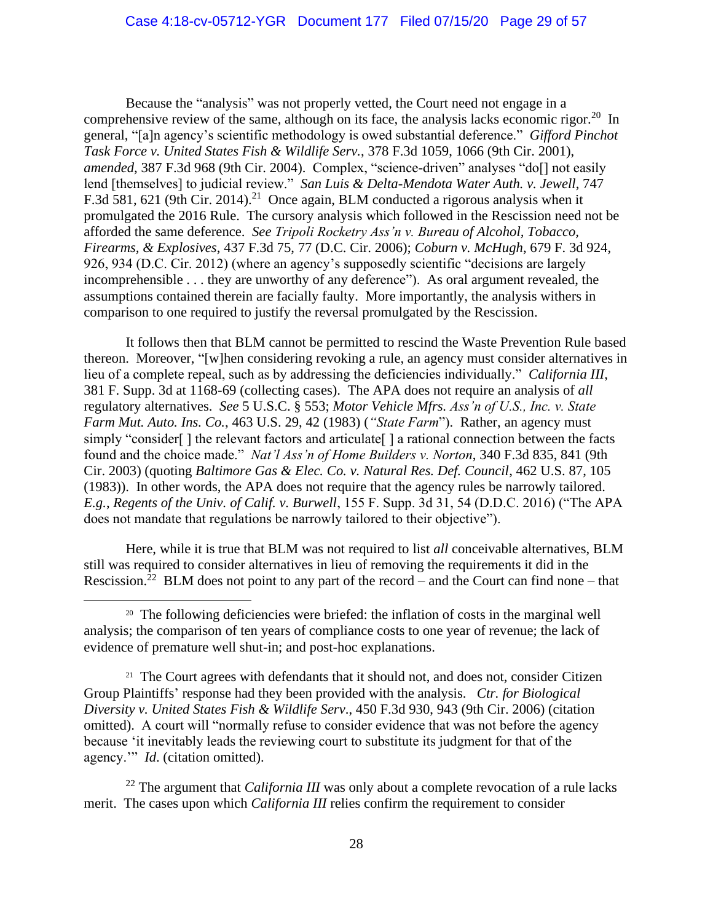Because the "analysis" was not properly vetted, the Court need not engage in a comprehensive review of the same, although on its face, the analysis lacks economic rigor.<sup>20</sup> In general, "[a]n agency's scientific methodology is owed substantial deference." *Gifford Pinchot Task Force v. United States Fish & Wildlife Serv.*, 378 F.3d 1059, 1066 (9th Cir. 2001), *amended*, 387 F.3d 968 (9th Cir. 2004). Complex, "science-driven" analyses "do[] not easily lend [themselves] to judicial review." *San Luis & Delta-Mendota Water Auth. v. Jewell*, 747 F.3d 581, 621 (9th Cir. 2014).<sup>21</sup> Once again, BLM conducted a rigorous analysis when it promulgated the 2016 Rule. The cursory analysis which followed in the Rescission need not be afforded the same deference. *See Tripoli Rocketry Ass'n v. Bureau of Alcohol, Tobacco, Firearms, & Explosives*, 437 F.3d 75, 77 (D.C. Cir. 2006); *Coburn v. McHugh*, 679 F. 3d 924, 926, 934 (D.C. Cir. 2012) (where an agency's supposedly scientific "decisions are largely incomprehensible . . . they are unworthy of any deference"). As oral argument revealed, the assumptions contained therein are facially faulty. More importantly, the analysis withers in comparison to one required to justify the reversal promulgated by the Rescission.

It follows then that BLM cannot be permitted to rescind the Waste Prevention Rule based thereon. Moreover, "[w]hen considering revoking a rule, an agency must consider alternatives in lieu of a complete repeal, such as by addressing the deficiencies individually." *California III*, 381 F. Supp. 3d at 1168-69 (collecting cases). The APA does not require an analysis of *all* regulatory alternatives. *See* 5 U.S.C. § 553; *Motor Vehicle Mfrs. Ass'n of U.S., Inc. v. State Farm Mut. Auto. Ins. Co.*, 463 U.S. 29, 42 (1983) (*"State Farm*"). Rather, an agency must simply "consider[] the relevant factors and articulate[] a rational connection between the facts found and the choice made." *Nat'l Ass'n of Home Builders v. Norton*, 340 F.3d 835, 841 (9th Cir. 2003) (quoting *Baltimore Gas & Elec. Co. v. Natural Res. Def. Council*, 462 U.S. 87, 105 (1983)). In other words, the APA does not require that the agency rules be narrowly tailored. *E.g.*, *Regents of the Univ. of Calif. v. Burwell*, 155 F. Supp. 3d 31, 54 (D.D.C. 2016) ("The APA does not mandate that regulations be narrowly tailored to their objective").

Here, while it is true that BLM was not required to list *all* conceivable alternatives, BLM still was required to consider alternatives in lieu of removing the requirements it did in the Rescission.<sup>22</sup> BLM does not point to any part of the record – and the Court can find none – that

<sup>21</sup> The Court agrees with defendants that it should not, and does not, consider Citizen Group Plaintiffs' response had they been provided with the analysis. *Ctr. for Biological Diversity v. United States Fish & Wildlife Serv*., 450 F.3d 930, 943 (9th Cir. 2006) (citation omitted). A court will "normally refuse to consider evidence that was not before the agency because 'it inevitably leads the reviewing court to substitute its judgment for that of the agency.'" *Id*. (citation omitted).

<sup>22</sup> The argument that *California III* was only about a complete revocation of a rule lacks merit. The cases upon which *California III* relies confirm the requirement to consider

<sup>&</sup>lt;sup>20</sup> The following deficiencies were briefed: the inflation of costs in the marginal well analysis; the comparison of ten years of compliance costs to one year of revenue; the lack of evidence of premature well shut-in; and post-hoc explanations.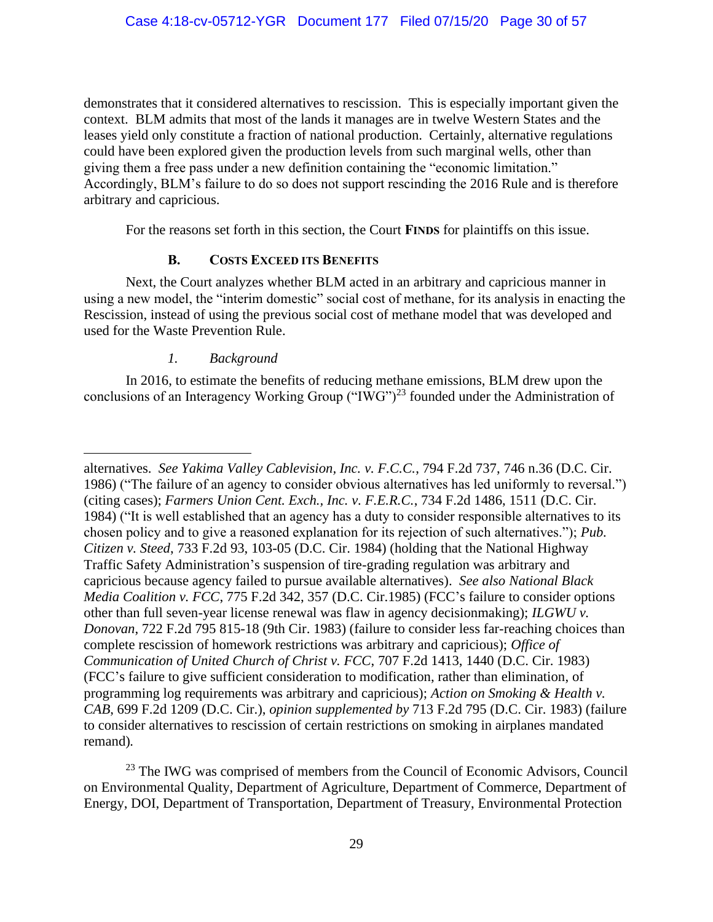demonstrates that it considered alternatives to rescission. This is especially important given the context. BLM admits that most of the lands it manages are in twelve Western States and the leases yield only constitute a fraction of national production. Certainly, alternative regulations could have been explored given the production levels from such marginal wells, other than giving them a free pass under a new definition containing the "economic limitation." Accordingly, BLM's failure to do so does not support rescinding the 2016 Rule and is therefore arbitrary and capricious.

For the reasons set forth in this section, the Court **FINDS** for plaintiffs on this issue.

# **B. COSTS EXCEED ITS BENEFITS**

Next, the Court analyzes whether BLM acted in an arbitrary and capricious manner in using a new model, the "interim domestic" social cost of methane, for its analysis in enacting the Rescission, instead of using the previous social cost of methane model that was developed and used for the Waste Prevention Rule.

## *1. Background*

In 2016, to estimate the benefits of reducing methane emissions, BLM drew upon the conclusions of an Interagency Working Group ("IWG")<sup>23</sup> founded under the Administration of

alternatives. *See Yakima Valley Cablevision, Inc. v. F.C.C.*, 794 F.2d 737, 746 n.36 (D.C. Cir. 1986) ("The failure of an agency to consider obvious alternatives has led uniformly to reversal.") (citing cases); *Farmers Union Cent. Exch., Inc. v. F.E.R.C.*, 734 F.2d 1486, 1511 (D.C. Cir. 1984) ("It is well established that an agency has a duty to consider responsible alternatives to its chosen policy and to give a reasoned explanation for its rejection of such alternatives."); *Pub. Citizen v. Steed*, 733 F.2d 93, 103-05 (D.C. Cir. 1984) (holding that the National Highway Traffic Safety Administration's suspension of tire-grading regulation was arbitrary and capricious because agency failed to pursue available alternatives). *See also National Black Media Coalition v. FCC*, 775 F.2d 342, 357 (D.C. Cir.1985) (FCC's failure to consider options other than full seven-year license renewal was flaw in agency decisionmaking); *ILGWU v. Donovan*, 722 F.2d 795 815-18 (9th Cir. 1983) (failure to consider less far-reaching choices than complete rescission of homework restrictions was arbitrary and capricious); *Office of Communication of United Church of Christ v. FCC*, 707 F.2d 1413, 1440 (D.C. Cir. 1983) (FCC's failure to give sufficient consideration to modification, rather than elimination, of programming log requirements was arbitrary and capricious); *Action on Smoking & Health v. CAB*, 699 F.2d 1209 (D.C. Cir.), *opinion supplemented by* 713 F.2d 795 (D.C. Cir. 1983) (failure to consider alternatives to rescission of certain restrictions on smoking in airplanes mandated remand)*.* 

 $23$  The IWG was comprised of members from the Council of Economic Advisors, Council on Environmental Quality, Department of Agriculture, Department of Commerce, Department of Energy, DOI, Department of Transportation, Department of Treasury, Environmental Protection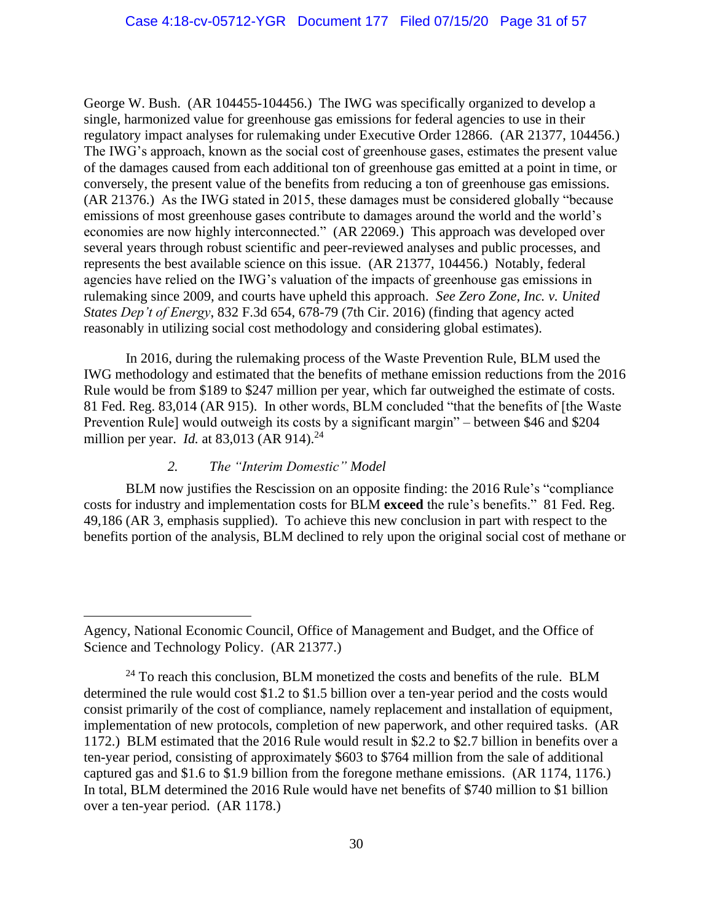George W. Bush. (AR 104455-104456.) The IWG was specifically organized to develop a single, harmonized value for greenhouse gas emissions for federal agencies to use in their regulatory impact analyses for rulemaking under Executive Order 12866. (AR 21377, 104456.) The IWG's approach, known as the social cost of greenhouse gases, estimates the present value of the damages caused from each additional ton of greenhouse gas emitted at a point in time, or conversely, the present value of the benefits from reducing a ton of greenhouse gas emissions. (AR 21376.) As the IWG stated in 2015, these damages must be considered globally "because emissions of most greenhouse gases contribute to damages around the world and the world's economies are now highly interconnected." (AR 22069.) This approach was developed over several years through robust scientific and peer-reviewed analyses and public processes, and represents the best available science on this issue. (AR 21377, 104456.) Notably, federal agencies have relied on the IWG's valuation of the impacts of greenhouse gas emissions in rulemaking since 2009, and courts have upheld this approach. *See Zero Zone, Inc. v. United States Dep't of Energy*, 832 F.3d 654, 678-79 (7th Cir. 2016) (finding that agency acted reasonably in utilizing social cost methodology and considering global estimates).

In 2016, during the rulemaking process of the Waste Prevention Rule, BLM used the IWG methodology and estimated that the benefits of methane emission reductions from the 2016 Rule would be from \$189 to \$247 million per year, which far outweighed the estimate of costs. 81 Fed. Reg. 83,014 (AR 915). In other words, BLM concluded "that the benefits of [the Waste Prevention Rule] would outweigh its costs by a significant margin" – between \$46 and \$204 million per year. *Id.* at 83,013 (AR 914). 24

## *2. The "Interim Domestic" Model*

BLM now justifies the Rescission on an opposite finding: the 2016 Rule's "compliance costs for industry and implementation costs for BLM **exceed** the rule's benefits." 81 Fed. Reg. 49,186 (AR 3, emphasis supplied). To achieve this new conclusion in part with respect to the benefits portion of the analysis, BLM declined to rely upon the original social cost of methane or

Agency, National Economic Council, Office of Management and Budget, and the Office of Science and Technology Policy. (AR 21377.)

 $^{24}$  To reach this conclusion, BLM monetized the costs and benefits of the rule. BLM determined the rule would cost \$1.2 to \$1.5 billion over a ten-year period and the costs would consist primarily of the cost of compliance, namely replacement and installation of equipment, implementation of new protocols, completion of new paperwork, and other required tasks. (AR 1172.) BLM estimated that the 2016 Rule would result in \$2.2 to \$2.7 billion in benefits over a ten-year period, consisting of approximately \$603 to \$764 million from the sale of additional captured gas and \$1.6 to \$1.9 billion from the foregone methane emissions. (AR 1174, 1176.) In total, BLM determined the 2016 Rule would have net benefits of \$740 million to \$1 billion over a ten-year period. (AR 1178.)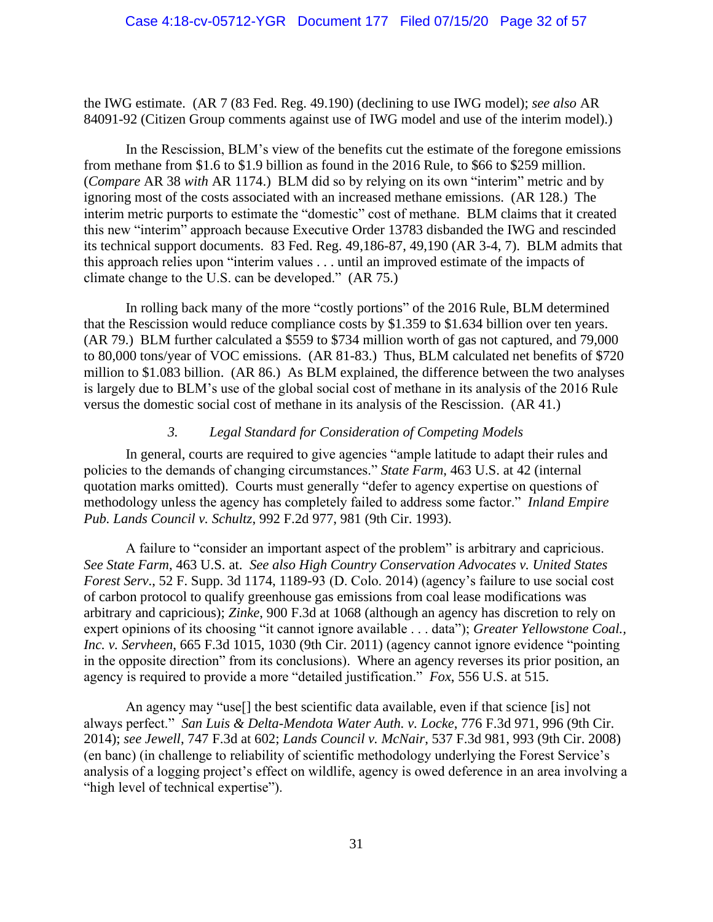the IWG estimate. (AR 7 (83 Fed. Reg. 49.190) (declining to use IWG model); *see also* AR 84091-92 (Citizen Group comments against use of IWG model and use of the interim model).)

In the Rescission, BLM's view of the benefits cut the estimate of the foregone emissions from methane from \$1.6 to \$1.9 billion as found in the 2016 Rule, to \$66 to \$259 million. (*Compare* AR 38 *with* AR 1174.) BLM did so by relying on its own "interim" metric and by ignoring most of the costs associated with an increased methane emissions. (AR 128.) The interim metric purports to estimate the "domestic" cost of methane. BLM claims that it created this new "interim" approach because Executive Order 13783 disbanded the IWG and rescinded its technical support documents. 83 Fed. Reg. 49,186-87, 49,190 (AR 3-4, 7). BLM admits that this approach relies upon "interim values . . . until an improved estimate of the impacts of climate change to the U.S. can be developed." (AR 75.)

In rolling back many of the more "costly portions" of the 2016 Rule, BLM determined that the Rescission would reduce compliance costs by \$1.359 to \$1.634 billion over ten years. (AR 79.) BLM further calculated a \$559 to \$734 million worth of gas not captured, and 79,000 to 80,000 tons/year of VOC emissions. (AR 81-83.) Thus, BLM calculated net benefits of \$720 million to \$1.083 billion. (AR 86.) As BLM explained, the difference between the two analyses is largely due to BLM's use of the global social cost of methane in its analysis of the 2016 Rule versus the domestic social cost of methane in its analysis of the Rescission. (AR 41.)

### *3. Legal Standard for Consideration of Competing Models*

In general, courts are required to give agencies "ample latitude to adapt their rules and policies to the demands of changing circumstances." *State Farm*, 463 U.S. at 42 (internal quotation marks omitted). Courts must generally "defer to agency expertise on questions of methodology unless the agency has completely failed to address some factor." *Inland Empire Pub. Lands Council v. Schultz*, 992 F.2d 977, 981 (9th Cir. 1993).

A failure to "consider an important aspect of the problem" is arbitrary and capricious. *See State Farm*, 463 U.S. at. *See also High Country Conservation Advocates v. United States Forest Serv*., 52 F. Supp. 3d 1174, 1189-93 (D. Colo. 2014) (agency's failure to use social cost of carbon protocol to qualify greenhouse gas emissions from coal lease modifications was arbitrary and capricious); *Zinke*, 900 F.3d at 1068 (although an agency has discretion to rely on expert opinions of its choosing "it cannot ignore available . . . data"); *Greater Yellowstone Coal., Inc. v. Servheen*, 665 F.3d 1015, 1030 (9th Cir. 2011) (agency cannot ignore evidence "pointing in the opposite direction" from its conclusions). Where an agency reverses its prior position, an agency is required to provide a more "detailed justification." *Fox*, 556 U.S. at 515.

An agency may "use[] the best scientific data available, even if that science [is] not always perfect." *San Luis & Delta-Mendota Water Auth. v. Locke*, 776 F.3d 971, 996 (9th Cir. 2014); *see Jewell*, 747 F.3d at 602; *Lands Council v. McNair*, 537 F.3d 981, 993 (9th Cir. 2008) (en banc) (in challenge to reliability of scientific methodology underlying the Forest Service's analysis of a logging project's effect on wildlife, agency is owed deference in an area involving a "high level of technical expertise").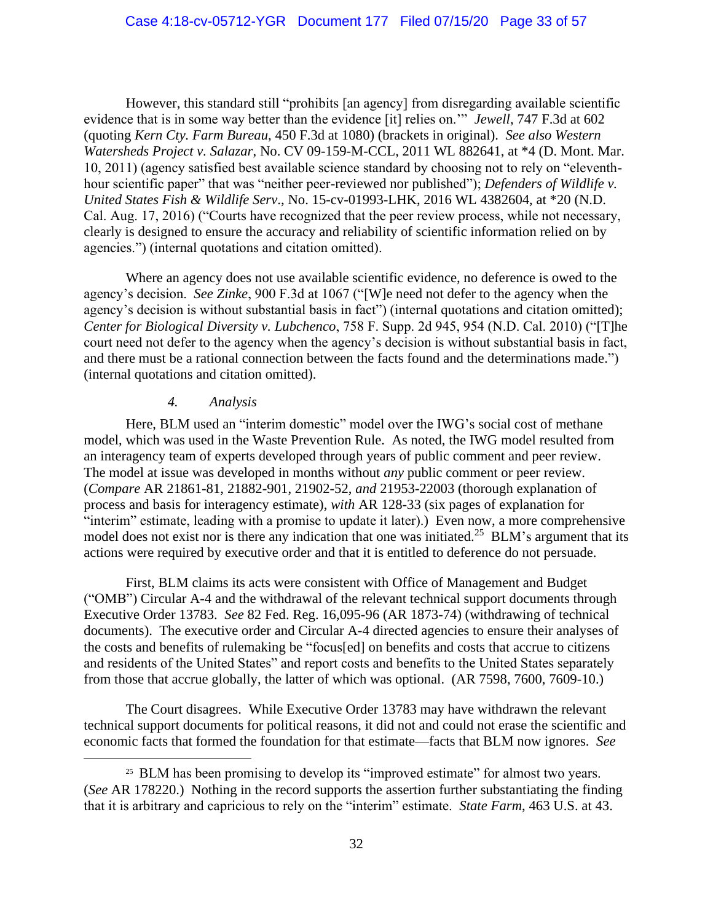However, this standard still "prohibits [an agency] from disregarding available scientific evidence that is in some way better than the evidence [it] relies on.'" *Jewell*, 747 F.3d at 602 (quoting *Kern Cty. Farm Bureau*, 450 F.3d at 1080) (brackets in original). *See also Western Watersheds Project v. Salazar*, No. CV 09-159-M-CCL, 2011 WL 882641, at \*4 (D. Mont. Mar. 10, 2011) (agency satisfied best available science standard by choosing not to rely on "eleventhhour scientific paper" that was "neither peer-reviewed nor published"); *Defenders of Wildlife v. United States Fish & Wildlife Serv*., No. 15-cv-01993-LHK, 2016 WL 4382604, at \*20 (N.D. Cal. Aug. 17, 2016) ("Courts have recognized that the peer review process, while not necessary, clearly is designed to ensure the accuracy and reliability of scientific information relied on by agencies.") (internal quotations and citation omitted).

Where an agency does not use available scientific evidence, no deference is owed to the agency's decision. *See Zinke*, 900 F.3d at 1067 ("[W]e need not defer to the agency when the agency's decision is without substantial basis in fact") (internal quotations and citation omitted); *Center for Biological Diversity v. Lubchenco*, 758 F. Supp. 2d 945, 954 (N.D. Cal. 2010) ("[T]he court need not defer to the agency when the agency's decision is without substantial basis in fact, and there must be a rational connection between the facts found and the determinations made.") (internal quotations and citation omitted).

#### *4. Analysis*

Here, BLM used an "interim domestic" model over the IWG's social cost of methane model, which was used in the Waste Prevention Rule. As noted, the IWG model resulted from an interagency team of experts developed through years of public comment and peer review. The model at issue was developed in months without *any* public comment or peer review. (*Compare* AR 21861-81, 21882-901, 21902-52, *and* 21953-22003 (thorough explanation of process and basis for interagency estimate), *with* AR 128-33 (six pages of explanation for "interim" estimate, leading with a promise to update it later).) Even now, a more comprehensive model does not exist nor is there any indication that one was initiated.<sup>25</sup> BLM's argument that its actions were required by executive order and that it is entitled to deference do not persuade.

First, BLM claims its acts were consistent with Office of Management and Budget ("OMB") Circular A-4 and the withdrawal of the relevant technical support documents through Executive Order 13783. *See* 82 Fed. Reg. 16,095-96 (AR 1873-74) (withdrawing of technical documents). The executive order and Circular A-4 directed agencies to ensure their analyses of the costs and benefits of rulemaking be "focus[ed] on benefits and costs that accrue to citizens and residents of the United States" and report costs and benefits to the United States separately from those that accrue globally, the latter of which was optional. (AR 7598, 7600, 7609-10.)

The Court disagrees. While Executive Order 13783 may have withdrawn the relevant technical support documents for political reasons, it did not and could not erase the scientific and economic facts that formed the foundation for that estimate—facts that BLM now ignores. *See* 

<sup>&</sup>lt;sup>25</sup> BLM has been promising to develop its "improved estimate" for almost two years. (*See* AR 178220.) Nothing in the record supports the assertion further substantiating the finding that it is arbitrary and capricious to rely on the "interim" estimate. *State Farm*, 463 U.S. at 43.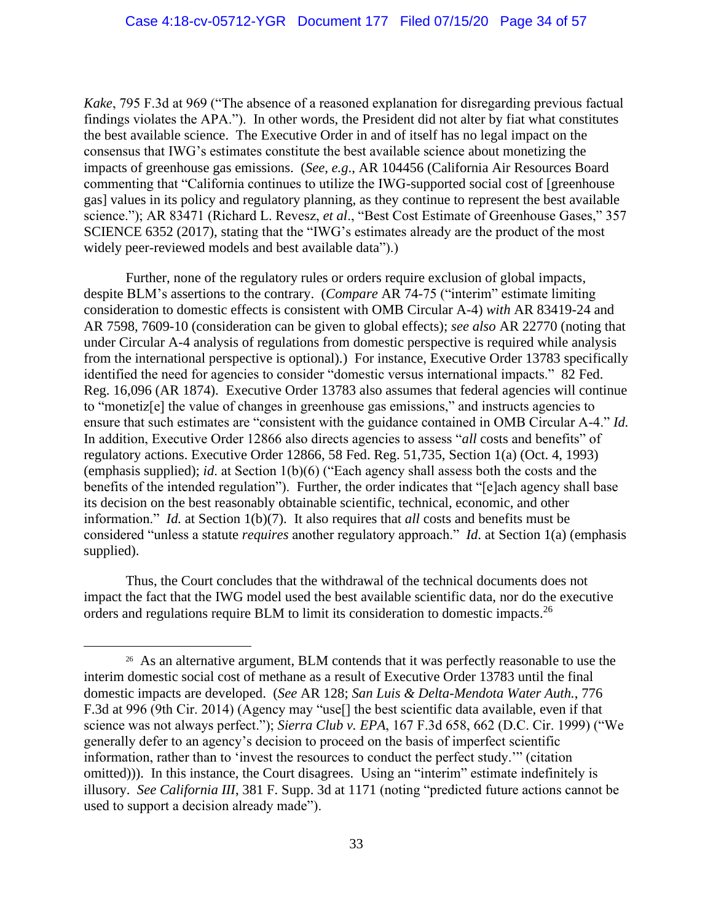*Kake*, 795 F.3d at 969 ("The absence of a reasoned explanation for disregarding previous factual findings violates the APA."). In other words, the President did not alter by fiat what constitutes the best available science. The Executive Order in and of itself has no legal impact on the consensus that IWG's estimates constitute the best available science about monetizing the impacts of greenhouse gas emissions. (*See, e.g*., AR 104456 (California Air Resources Board commenting that "California continues to utilize the IWG-supported social cost of [greenhouse gas] values in its policy and regulatory planning, as they continue to represent the best available science."); AR 83471 (Richard L. Revesz, *et al*., "Best Cost Estimate of Greenhouse Gases," 357 SCIENCE 6352 (2017), stating that the "IWG's estimates already are the product of the most widely peer-reviewed models and best available data").)

Further, none of the regulatory rules or orders require exclusion of global impacts, despite BLM's assertions to the contrary. (*Compare* AR 74-75 ("interim" estimate limiting consideration to domestic effects is consistent with OMB Circular A-4) *with* AR 83419-24 and AR 7598, 7609-10 (consideration can be given to global effects); *see also* AR 22770 (noting that under Circular A-4 analysis of regulations from domestic perspective is required while analysis from the international perspective is optional).) For instance, Executive Order 13783 specifically identified the need for agencies to consider "domestic versus international impacts." 82 Fed. Reg. 16,096 (AR 1874). Executive Order 13783 also assumes that federal agencies will continue to "monetiz[e] the value of changes in greenhouse gas emissions," and instructs agencies to ensure that such estimates are "consistent with the guidance contained in OMB Circular A-4." *Id.* In addition, Executive Order 12866 also directs agencies to assess "*all* costs and benefits" of regulatory actions. Executive Order 12866, 58 Fed. Reg. 51,735, Section 1(a) (Oct. 4, 1993) (emphasis supplied); *id*. at Section 1(b)(6) ("Each agency shall assess both the costs and the benefits of the intended regulation"). Further, the order indicates that "[e]ach agency shall base its decision on the best reasonably obtainable scientific, technical, economic, and other information." *Id.* at Section 1(b)(7). It also requires that *all* costs and benefits must be considered "unless a statute *requires* another regulatory approach." *Id*. at Section 1(a) (emphasis supplied).

Thus, the Court concludes that the withdrawal of the technical documents does not impact the fact that the IWG model used the best available scientific data, nor do the executive orders and regulations require BLM to limit its consideration to domestic impacts.<sup>26</sup>

<sup>&</sup>lt;sup>26</sup> As an alternative argument, BLM contends that it was perfectly reasonable to use the interim domestic social cost of methane as a result of Executive Order 13783 until the final domestic impacts are developed. (*See* AR 128; *San Luis & Delta-Mendota Water Auth.*, 776 F.3d at 996 (9th Cir. 2014) (Agency may "use<sup>[]</sup> the best scientific data available, even if that science was not always perfect."); *Sierra Club v. EPA*, 167 F.3d 658, 662 (D.C. Cir. 1999) ("We generally defer to an agency's decision to proceed on the basis of imperfect scientific information, rather than to 'invest the resources to conduct the perfect study.'" (citation omitted))). In this instance, the Court disagrees. Using an "interim" estimate indefinitely is illusory. *See California III*, 381 F. Supp. 3d at 1171 (noting "predicted future actions cannot be used to support a decision already made").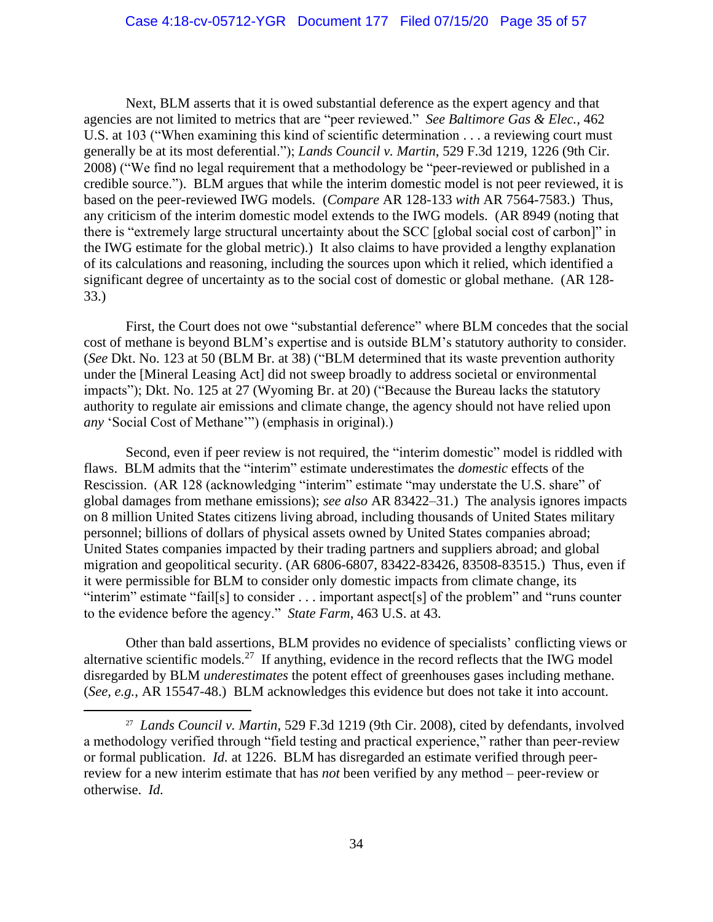Next, BLM asserts that it is owed substantial deference as the expert agency and that agencies are not limited to metrics that are "peer reviewed." *See Baltimore Gas & Elec.,* 462 U.S. at 103 ("When examining this kind of scientific determination . . . a reviewing court must generally be at its most deferential."); *Lands Council v. Martin*, 529 F.3d 1219, 1226 (9th Cir. 2008) ("We find no legal requirement that a methodology be "peer-reviewed or published in a credible source."). BLM argues that while the interim domestic model is not peer reviewed, it is based on the peer-reviewed IWG models. (*Compare* AR 128-133 *with* AR 7564-7583.) Thus, any criticism of the interim domestic model extends to the IWG models. (AR 8949 (noting that there is "extremely large structural uncertainty about the SCC [global social cost of carbon]" in the IWG estimate for the global metric).) It also claims to have provided a lengthy explanation of its calculations and reasoning, including the sources upon which it relied, which identified a significant degree of uncertainty as to the social cost of domestic or global methane. (AR 128- 33.)

First, the Court does not owe "substantial deference" where BLM concedes that the social cost of methane is beyond BLM's expertise and is outside BLM's statutory authority to consider. (*See* Dkt. No. 123 at 50 (BLM Br. at 38) ("BLM determined that its waste prevention authority under the [Mineral Leasing Act] did not sweep broadly to address societal or environmental impacts"); Dkt. No. 125 at 27 (Wyoming Br. at 20) ("Because the Bureau lacks the statutory authority to regulate air emissions and climate change, the agency should not have relied upon *any* 'Social Cost of Methane'") (emphasis in original).)

Second, even if peer review is not required, the "interim domestic" model is riddled with flaws. BLM admits that the "interim" estimate underestimates the *domestic* effects of the Rescission. (AR 128 (acknowledging "interim" estimate "may understate the U.S. share" of global damages from methane emissions); *see also* AR 83422–31.) The analysis ignores impacts on 8 million United States citizens living abroad, including thousands of United States military personnel; billions of dollars of physical assets owned by United States companies abroad; United States companies impacted by their trading partners and suppliers abroad; and global migration and geopolitical security. (AR 6806-6807, 83422-83426, 83508-83515.) Thus, even if it were permissible for BLM to consider only domestic impacts from climate change, its "interim" estimate "fail[s] to consider . . . important aspect[s] of the problem" and "runs counter" to the evidence before the agency." *State Farm*, 463 U.S. at 43.

Other than bald assertions, BLM provides no evidence of specialists' conflicting views or alternative scientific models.<sup>27</sup> If anything, evidence in the record reflects that the IWG model disregarded by BLM *underestimates* the potent effect of greenhouses gases including methane. (*See, e.g.*, AR 15547-48.) BLM acknowledges this evidence but does not take it into account.

27 *Lands Council v. Martin*, 529 F.3d 1219 (9th Cir. 2008), cited by defendants, involved a methodology verified through "field testing and practical experience," rather than peer-review or formal publication. *Id.* at 1226. BLM has disregarded an estimate verified through peerreview for a new interim estimate that has *not* been verified by any method – peer-review or otherwise. *Id.*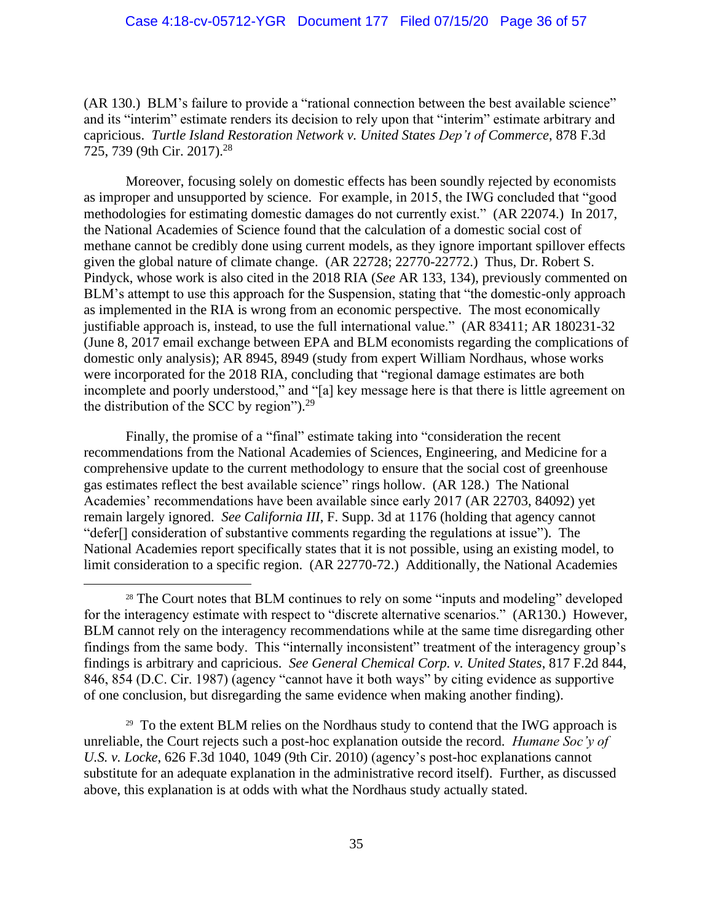(AR 130.) BLM's failure to provide a "rational connection between the best available science" and its "interim" estimate renders its decision to rely upon that "interim" estimate arbitrary and capricious. *Turtle Island Restoration Network v. United States Dep't of Commerce*, 878 F.3d 725, 739 (9th Cir. 2017).<sup>28</sup>

Moreover, focusing solely on domestic effects has been soundly rejected by economists as improper and unsupported by science. For example, in 2015, the IWG concluded that "good methodologies for estimating domestic damages do not currently exist." (AR 22074.) In 2017, the National Academies of Science found that the calculation of a domestic social cost of methane cannot be credibly done using current models, as they ignore important spillover effects given the global nature of climate change. (AR 22728; 22770-22772.) Thus, Dr. Robert S. Pindyck, whose work is also cited in the 2018 RIA (*See* AR 133, 134), previously commented on BLM's attempt to use this approach for the Suspension, stating that "the domestic-only approach as implemented in the RIA is wrong from an economic perspective. The most economically justifiable approach is, instead, to use the full international value." (AR 83411; AR 180231-32 (June 8, 2017 email exchange between EPA and BLM economists regarding the complications of domestic only analysis); AR 8945, 8949 (study from expert William Nordhaus, whose works were incorporated for the 2018 RIA, concluding that "regional damage estimates are both incomplete and poorly understood," and "[a] key message here is that there is little agreement on the distribution of the SCC by region"). $^{29}$ 

Finally, the promise of a "final" estimate taking into "consideration the recent recommendations from the National Academies of Sciences, Engineering, and Medicine for a comprehensive update to the current methodology to ensure that the social cost of greenhouse gas estimates reflect the best available science" rings hollow. (AR 128.) The National Academies' recommendations have been available since early 2017 (AR 22703, 84092) yet remain largely ignored. *See California III*, F. Supp. 3d at 1176 (holding that agency cannot "defer[] consideration of substantive comments regarding the regulations at issue"). The National Academies report specifically states that it is not possible, using an existing model, to limit consideration to a specific region. (AR 22770-72.) Additionally, the National Academies

<sup>29</sup> To the extent BLM relies on the Nordhaus study to contend that the IWG approach is unreliable, the Court rejects such a post-hoc explanation outside the record. *Humane Soc'y of U.S. v. Locke*, 626 F.3d 1040, 1049 (9th Cir. 2010) (agency's post-hoc explanations cannot substitute for an adequate explanation in the administrative record itself). Further, as discussed above, this explanation is at odds with what the Nordhaus study actually stated.

<sup>&</sup>lt;sup>28</sup> The Court notes that BLM continues to rely on some "inputs and modeling" developed for the interagency estimate with respect to "discrete alternative scenarios." (AR130.) However, BLM cannot rely on the interagency recommendations while at the same time disregarding other findings from the same body. This "internally inconsistent" treatment of the interagency group's findings is arbitrary and capricious. *See General Chemical Corp. v. United States*, 817 F.2d 844, 846, 854 (D.C. Cir. 1987) (agency "cannot have it both ways" by citing evidence as supportive of one conclusion, but disregarding the same evidence when making another finding).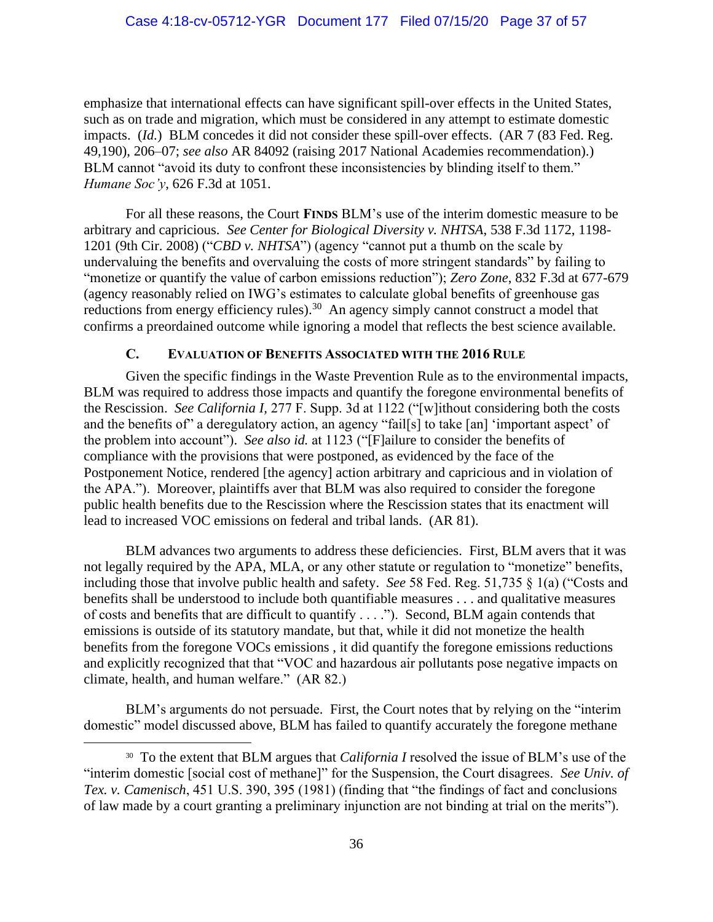emphasize that international effects can have significant spill-over effects in the United States, such as on trade and migration, which must be considered in any attempt to estimate domestic impacts. *(Id.)* BLM concedes it did not consider these spill-over effects. *(AR 7 (83 Fed. Reg.*) 49,190), 206–07; *see also* AR 84092 (raising 2017 National Academies recommendation).) BLM cannot "avoid its duty to confront these inconsistencies by blinding itself to them." *Humane Soc'y*, 626 F.3d at 1051.

For all these reasons, the Court **FINDS** BLM's use of the interim domestic measure to be arbitrary and capricious. *See Center for Biological Diversity v. NHTSA*, 538 F.3d 1172, 1198- 1201 (9th Cir. 2008) ("*CBD v. NHTSA*") (agency "cannot put a thumb on the scale by undervaluing the benefits and overvaluing the costs of more stringent standards" by failing to "monetize or quantify the value of carbon emissions reduction"); *Zero Zone*, 832 F.3d at 677-679 (agency reasonably relied on IWG's estimates to calculate global benefits of greenhouse gas reductions from energy efficiency rules).<sup>30</sup> An agency simply cannot construct a model that confirms a preordained outcome while ignoring a model that reflects the best science available.

### **C. EVALUATION OF BENEFITS ASSOCIATED WITH THE 2016 RULE**

Given the specific findings in the Waste Prevention Rule as to the environmental impacts, BLM was required to address those impacts and quantify the foregone environmental benefits of the Rescission. *See California I,* 277 F. Supp. 3d at 1122 ("[w]ithout considering both the costs and the benefits of" a deregulatory action, an agency "fail[s] to take [an] 'important aspect' of the problem into account"). *See also id.* at 1123 ("[F]ailure to consider the benefits of compliance with the provisions that were postponed, as evidenced by the face of the Postponement Notice, rendered [the agency] action arbitrary and capricious and in violation of the APA."). Moreover, plaintiffs aver that BLM was also required to consider the foregone public health benefits due to the Rescission where the Rescission states that its enactment will lead to increased VOC emissions on federal and tribal lands. (AR 81).

BLM advances two arguments to address these deficiencies. First, BLM avers that it was not legally required by the APA, MLA, or any other statute or regulation to "monetize" benefits, including those that involve public health and safety. *See* 58 Fed. Reg. 51,735 § 1(a) ("Costs and benefits shall be understood to include both quantifiable measures . . . and qualitative measures of costs and benefits that are difficult to quantify . . . ."). Second, BLM again contends that emissions is outside of its statutory mandate, but that, while it did not monetize the health benefits from the foregone VOCs emissions , it did quantify the foregone emissions reductions and explicitly recognized that that "VOC and hazardous air pollutants pose negative impacts on climate, health, and human welfare." (AR 82.)

BLM's arguments do not persuade. First, the Court notes that by relying on the "interim domestic" model discussed above, BLM has failed to quantify accurately the foregone methane

<sup>30</sup> To the extent that BLM argues that *California I* resolved the issue of BLM's use of the "interim domestic [social cost of methane]" for the Suspension, the Court disagrees. *See Univ. of Tex. v. Camenisch*, 451 U.S. 390, 395 (1981) (finding that "the findings of fact and conclusions of law made by a court granting a preliminary injunction are not binding at trial on the merits").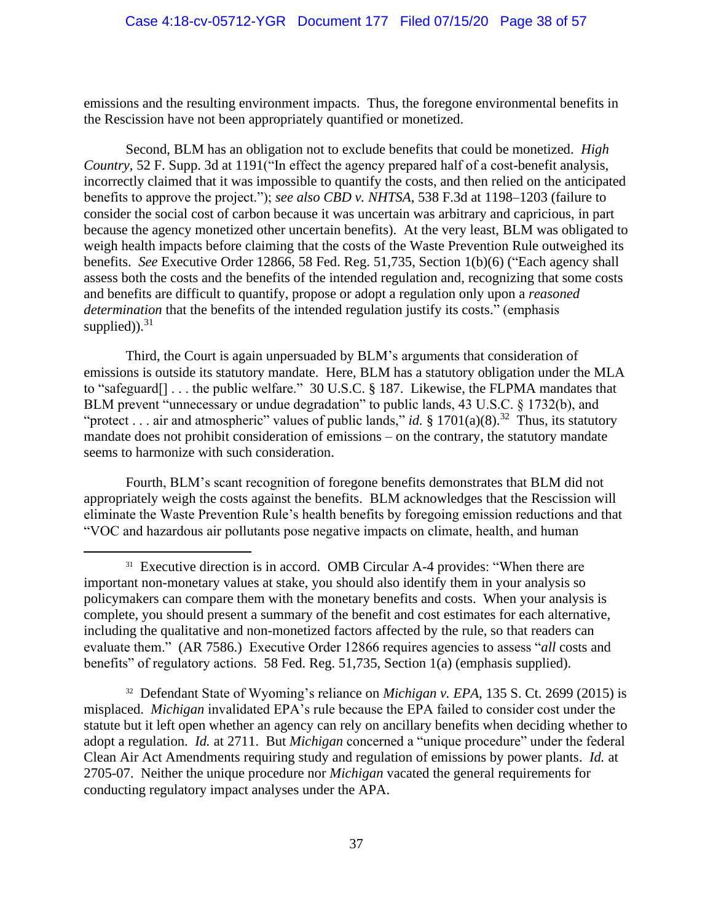emissions and the resulting environment impacts. Thus, the foregone environmental benefits in the Rescission have not been appropriately quantified or monetized.

Second, BLM has an obligation not to exclude benefits that could be monetized. *High Country*, 52 F. Supp. 3d at 1191("In effect the agency prepared half of a cost-benefit analysis, incorrectly claimed that it was impossible to quantify the costs, and then relied on the anticipated benefits to approve the project."); *see also CBD v. NHTSA*, 538 F.3d at 1198–1203 (failure to consider the social cost of carbon because it was uncertain was arbitrary and capricious, in part because the agency monetized other uncertain benefits). At the very least, BLM was obligated to weigh health impacts before claiming that the costs of the Waste Prevention Rule outweighed its benefits. *See* Executive Order 12866, 58 Fed. Reg. 51,735, Section 1(b)(6) ("Each agency shall assess both the costs and the benefits of the intended regulation and, recognizing that some costs and benefits are difficult to quantify, propose or adopt a regulation only upon a *reasoned determination* that the benefits of the intended regulation justify its costs." (emphasis supplied)). $31$ 

Third, the Court is again unpersuaded by BLM's arguments that consideration of emissions is outside its statutory mandate. Here, BLM has a statutory obligation under the MLA to "safeguard[] . . . the public welfare." 30 U.S.C. § 187. Likewise, the FLPMA mandates that BLM prevent "unnecessary or undue degradation" to public lands, 43 U.S.C. § 1732(b), and "protect . . . air and atmospheric" values of public lands," *id.* § 1701(a)(8).<sup>32</sup> Thus, its statutory mandate does not prohibit consideration of emissions – on the contrary, the statutory mandate seems to harmonize with such consideration.

Fourth, BLM's scant recognition of foregone benefits demonstrates that BLM did not appropriately weigh the costs against the benefits. BLM acknowledges that the Rescission will eliminate the Waste Prevention Rule's health benefits by foregoing emission reductions and that "VOC and hazardous air pollutants pose negative impacts on climate, health, and human

32 Defendant State of Wyoming's reliance on *Michigan v. EPA*, 135 S. Ct. 2699 (2015) is misplaced. *Michigan* invalidated EPA's rule because the EPA failed to consider cost under the statute but it left open whether an agency can rely on ancillary benefits when deciding whether to adopt a regulation. *Id.* at 2711. But *Michigan* concerned a "unique procedure" under the federal Clean Air Act Amendments requiring study and regulation of emissions by power plants. *Id.* at 2705-07. Neither the unique procedure nor *Michigan* vacated the general requirements for conducting regulatory impact analyses under the APA.

<sup>&</sup>lt;sup>31</sup> Executive direction is in accord. OMB Circular A-4 provides: "When there are important non-monetary values at stake, you should also identify them in your analysis so policymakers can compare them with the monetary benefits and costs. When your analysis is complete, you should present a summary of the benefit and cost estimates for each alternative, including the qualitative and non-monetized factors affected by the rule, so that readers can evaluate them." (AR 7586.) Executive Order 12866 requires agencies to assess "*all* costs and benefits" of regulatory actions. 58 Fed. Reg. 51,735, Section 1(a) (emphasis supplied).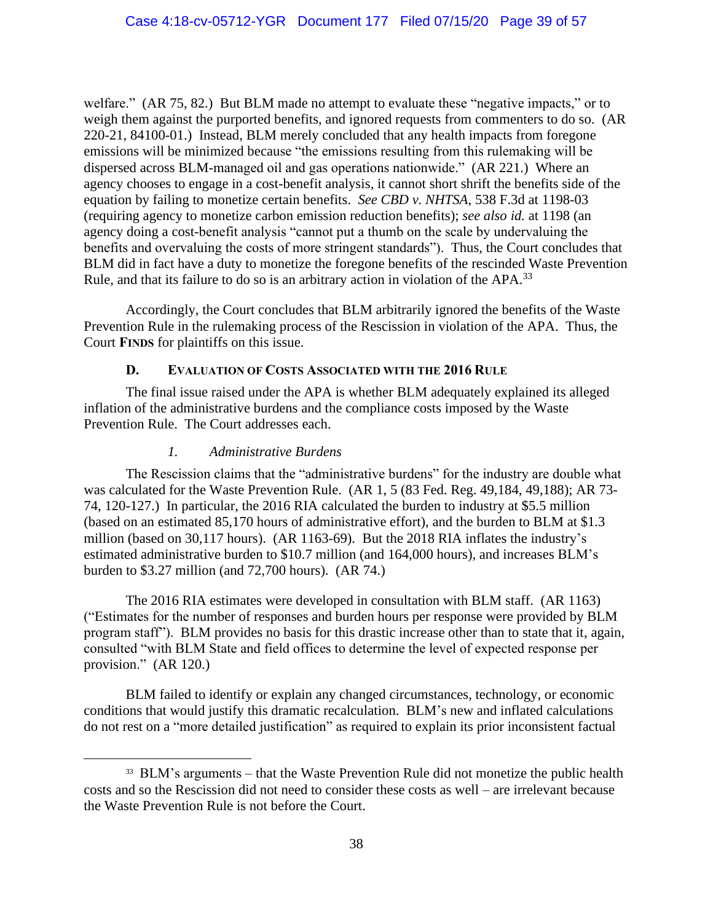welfare." (AR 75, 82.) But BLM made no attempt to evaluate these "negative impacts," or to weigh them against the purported benefits, and ignored requests from commenters to do so. (AR 220-21, 84100-01.) Instead, BLM merely concluded that any health impacts from foregone emissions will be minimized because "the emissions resulting from this rulemaking will be dispersed across BLM-managed oil and gas operations nationwide." (AR 221.) Where an agency chooses to engage in a cost-benefit analysis, it cannot short shrift the benefits side of the equation by failing to monetize certain benefits. *See CBD v. NHTSA*, 538 F.3d at 1198-03 (requiring agency to monetize carbon emission reduction benefits); *see also id.* at 1198 (an agency doing a cost-benefit analysis "cannot put a thumb on the scale by undervaluing the benefits and overvaluing the costs of more stringent standards"). Thus, the Court concludes that BLM did in fact have a duty to monetize the foregone benefits of the rescinded Waste Prevention Rule, and that its failure to do so is an arbitrary action in violation of the APA.<sup>33</sup>

Accordingly, the Court concludes that BLM arbitrarily ignored the benefits of the Waste Prevention Rule in the rulemaking process of the Rescission in violation of the APA. Thus, the Court **FINDS** for plaintiffs on this issue.

## **D. EVALUATION OF COSTS ASSOCIATED WITH THE 2016 RULE**

The final issue raised under the APA is whether BLM adequately explained its alleged inflation of the administrative burdens and the compliance costs imposed by the Waste Prevention Rule. The Court addresses each.

### *1. Administrative Burdens*

The Rescission claims that the "administrative burdens" for the industry are double what was calculated for the Waste Prevention Rule. (AR 1, 5 (83 Fed. Reg. 49,184, 49,188); AR 73- 74, 120-127.) In particular, the 2016 RIA calculated the burden to industry at \$5.5 million (based on an estimated 85,170 hours of administrative effort), and the burden to BLM at \$1.3 million (based on 30,117 hours). (AR 1163-69). But the 2018 RIA inflates the industry's estimated administrative burden to \$10.7 million (and 164,000 hours), and increases BLM's burden to \$3.27 million (and 72,700 hours). (AR 74.)

The 2016 RIA estimates were developed in consultation with BLM staff. (AR 1163) ("Estimates for the number of responses and burden hours per response were provided by BLM program staff"). BLM provides no basis for this drastic increase other than to state that it, again, consulted "with BLM State and field offices to determine the level of expected response per provision." (AR 120.)

BLM failed to identify or explain any changed circumstances, technology, or economic conditions that would justify this dramatic recalculation. BLM's new and inflated calculations do not rest on a "more detailed justification" as required to explain its prior inconsistent factual

<sup>&</sup>lt;sup>33</sup> BLM's arguments – that the Waste Prevention Rule did not monetize the public health costs and so the Rescission did not need to consider these costs as well – are irrelevant because the Waste Prevention Rule is not before the Court.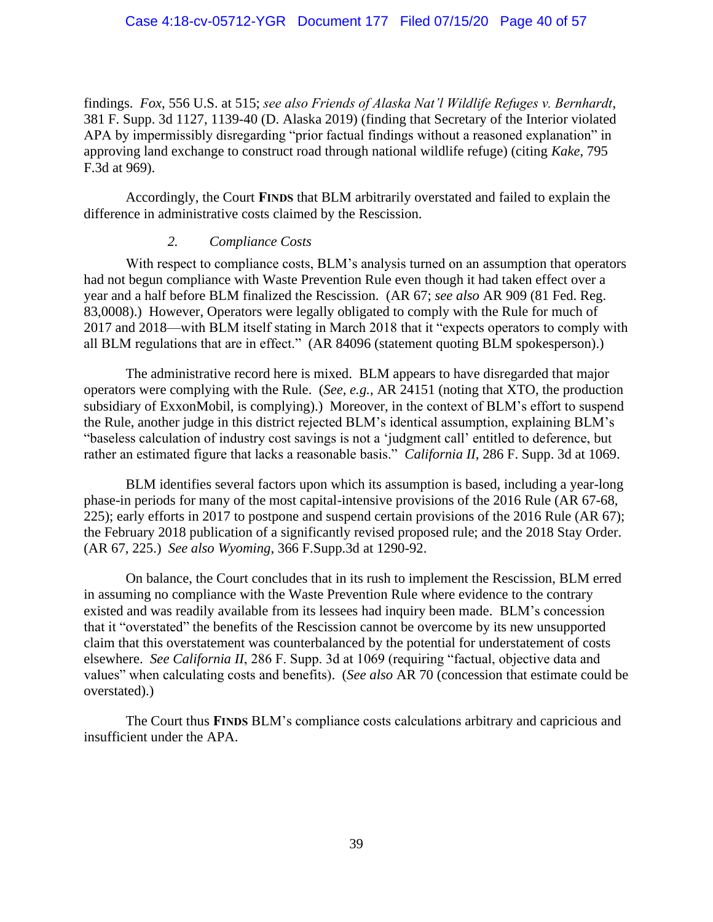findings. *Fox*, 556 U.S. at 515; *see also Friends of Alaska Nat'l Wildlife Refuges v. Bernhardt*, 381 F. Supp. 3d 1127, 1139-40 (D. Alaska 2019) (finding that Secretary of the Interior violated APA by impermissibly disregarding "prior factual findings without a reasoned explanation" in approving land exchange to construct road through national wildlife refuge) (citing *Kake*, 795 F.3d at 969).

Accordingly, the Court **FINDS** that BLM arbitrarily overstated and failed to explain the difference in administrative costs claimed by the Rescission.

#### *2. Compliance Costs*

With respect to compliance costs, BLM's analysis turned on an assumption that operators had not begun compliance with Waste Prevention Rule even though it had taken effect over a year and a half before BLM finalized the Rescission. (AR 67; *see also* AR 909 (81 Fed. Reg. 83,0008).) However, Operators were legally obligated to comply with the Rule for much of 2017 and 2018—with BLM itself stating in March 2018 that it "expects operators to comply with all BLM regulations that are in effect." (AR 84096 (statement quoting BLM spokesperson).)

The administrative record here is mixed. BLM appears to have disregarded that major operators were complying with the Rule. (*See, e.g.*, AR 24151 (noting that XTO, the production subsidiary of ExxonMobil, is complying).) Moreover, in the context of BLM's effort to suspend the Rule, another judge in this district rejected BLM's identical assumption, explaining BLM's "baseless calculation of industry cost savings is not a 'judgment call' entitled to deference, but rather an estimated figure that lacks a reasonable basis." *California II*, 286 F. Supp. 3d at 1069.

BLM identifies several factors upon which its assumption is based, including a year-long phase-in periods for many of the most capital-intensive provisions of the 2016 Rule (AR 67-68, 225); early efforts in 2017 to postpone and suspend certain provisions of the 2016 Rule (AR 67); the February 2018 publication of a significantly revised proposed rule; and the 2018 Stay Order. (AR 67, 225.) *See also Wyoming*, 366 F.Supp.3d at 1290-92.

On balance, the Court concludes that in its rush to implement the Rescission, BLM erred in assuming no compliance with the Waste Prevention Rule where evidence to the contrary existed and was readily available from its lessees had inquiry been made. BLM's concession that it "overstated" the benefits of the Rescission cannot be overcome by its new unsupported claim that this overstatement was counterbalanced by the potential for understatement of costs elsewhere. *See California II*, 286 F. Supp. 3d at 1069 (requiring "factual, objective data and values" when calculating costs and benefits). (*See also* AR 70 (concession that estimate could be overstated).)

The Court thus **FINDS** BLM's compliance costs calculations arbitrary and capricious and insufficient under the APA.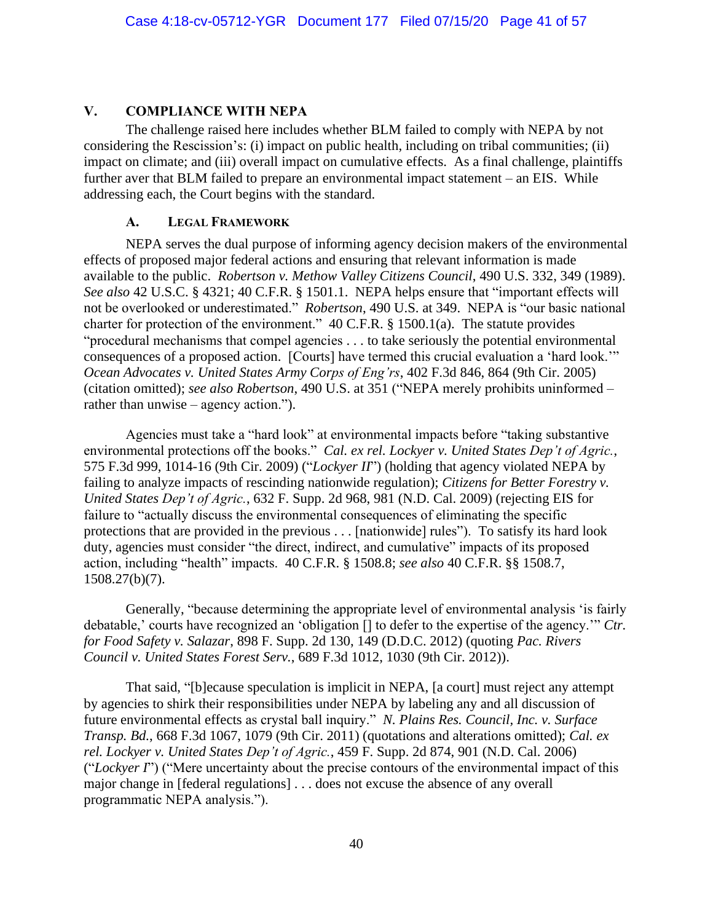# **V. COMPLIANCE WITH NEPA**

The challenge raised here includes whether BLM failed to comply with NEPA by not considering the Rescission's: (i) impact on public health, including on tribal communities; (ii) impact on climate; and (iii) overall impact on cumulative effects. As a final challenge, plaintiffs further aver that BLM failed to prepare an environmental impact statement – an EIS. While addressing each, the Court begins with the standard.

# **A. LEGAL FRAMEWORK**

NEPA serves the dual purpose of informing agency decision makers of the environmental effects of proposed major federal actions and ensuring that relevant information is made available to the public. *Robertson v. Methow Valley Citizens Council*, 490 U.S. 332, 349 (1989). *See also* 42 U.S.C. § 4321; 40 C.F.R. § 1501.1. NEPA helps ensure that "important effects will not be overlooked or underestimated." *Robertson*, 490 U.S. at 349. NEPA is "our basic national charter for protection of the environment." 40 C.F.R. § 1500.1(a). The statute provides "procedural mechanisms that compel agencies . . . to take seriously the potential environmental consequences of a proposed action. [Courts] have termed this crucial evaluation a 'hard look.'" *Ocean Advocates v. United States Army Corps of Eng'rs*, 402 F.3d 846, 864 (9th Cir. 2005) (citation omitted); *see also Robertson*, 490 U.S. at 351 ("NEPA merely prohibits uninformed – rather than unwise – agency action.").

Agencies must take a "hard look" at environmental impacts before "taking substantive environmental protections off the books." *Cal. ex rel. Lockyer v. United States Dep't of Agric.*, 575 F.3d 999, 1014-16 (9th Cir. 2009) ("*Lockyer II*") (holding that agency violated NEPA by failing to analyze impacts of rescinding nationwide regulation); *Citizens for Better Forestry v. United States Dep't of Agric.*, 632 F. Supp. 2d 968, 981 (N.D. Cal. 2009) (rejecting EIS for failure to "actually discuss the environmental consequences of eliminating the specific protections that are provided in the previous . . . [nationwide] rules"). To satisfy its hard look duty, agencies must consider "the direct, indirect, and cumulative" impacts of its proposed action, including "health" impacts. 40 C.F.R. § 1508.8; *see also* 40 C.F.R. §§ 1508.7, 1508.27(b)(7).

Generally, "because determining the appropriate level of environmental analysis 'is fairly debatable,' courts have recognized an 'obligation [] to defer to the expertise of the agency.'" *Ctr. for Food Safety v. Salazar*, 898 F. Supp. 2d 130, 149 (D.D.C. 2012) (quoting *Pac. Rivers Council v. United States Forest Serv.*, 689 F.3d 1012, 1030 (9th Cir. 2012)).

That said, "[b]ecause speculation is implicit in NEPA, [a court] must reject any attempt by agencies to shirk their responsibilities under NEPA by labeling any and all discussion of future environmental effects as crystal ball inquiry." *N. Plains Res. Council, Inc. v. Surface Transp. Bd.*, 668 F.3d 1067, 1079 (9th Cir. 2011) (quotations and alterations omitted); *Cal. ex rel. Lockyer v. United States Dep't of Agric.*, 459 F. Supp. 2d 874, 901 (N.D. Cal. 2006) ("*Lockyer I*") ("Mere uncertainty about the precise contours of the environmental impact of this major change in [federal regulations] . . . does not excuse the absence of any overall programmatic NEPA analysis.").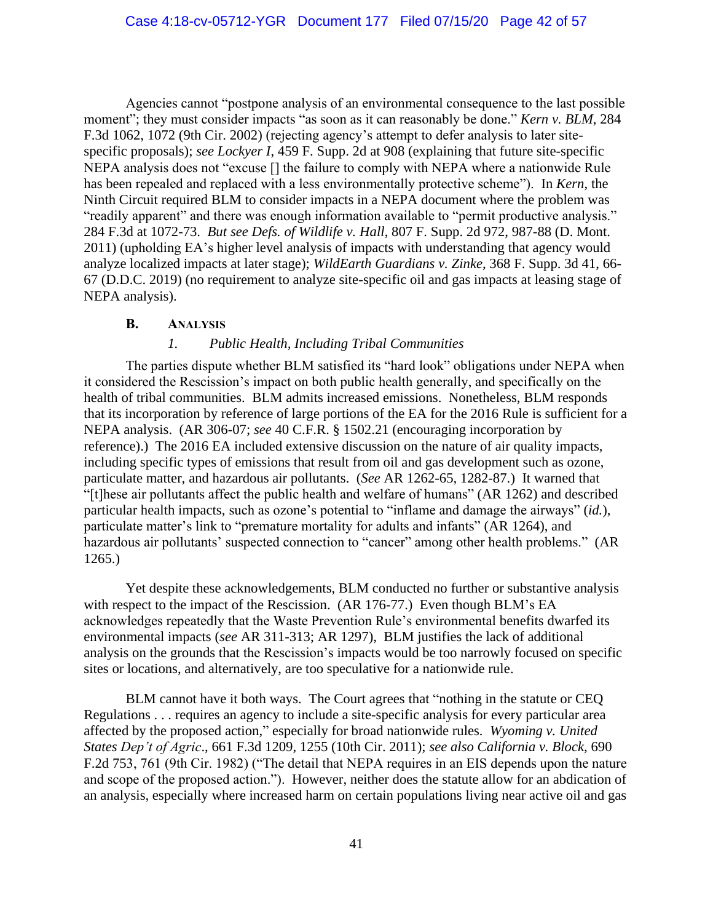Agencies cannot "postpone analysis of an environmental consequence to the last possible moment"; they must consider impacts "as soon as it can reasonably be done." *Kern v. BLM*, 284 F.3d 1062, 1072 (9th Cir. 2002) (rejecting agency's attempt to defer analysis to later sitespecific proposals); *see Lockyer I*, 459 F. Supp. 2d at 908 (explaining that future site-specific NEPA analysis does not "excuse [] the failure to comply with NEPA where a nationwide Rule has been repealed and replaced with a less environmentally protective scheme"). In *Kern*, the Ninth Circuit required BLM to consider impacts in a NEPA document where the problem was "readily apparent" and there was enough information available to "permit productive analysis." 284 F.3d at 1072-73. *But see Defs. of Wildlife v. Hall*, 807 F. Supp. 2d 972, 987-88 (D. Mont. 2011) (upholding EA's higher level analysis of impacts with understanding that agency would analyze localized impacts at later stage); *WildEarth Guardians v. Zinke*, 368 F. Supp. 3d 41, 66- 67 (D.D.C. 2019) (no requirement to analyze site-specific oil and gas impacts at leasing stage of NEPA analysis).

### **B. ANALYSIS**

### *1. Public Health, Including Tribal Communities*

The parties dispute whether BLM satisfied its "hard look" obligations under NEPA when it considered the Rescission's impact on both public health generally, and specifically on the health of tribal communities. BLM admits increased emissions. Nonetheless, BLM responds that its incorporation by reference of large portions of the EA for the 2016 Rule is sufficient for a NEPA analysis. (AR 306-07; *see* 40 C.F.R. § 1502.21 (encouraging incorporation by reference).) The 2016 EA included extensive discussion on the nature of air quality impacts, including specific types of emissions that result from oil and gas development such as ozone, particulate matter, and hazardous air pollutants. (*See* AR 1262-65, 1282-87.) It warned that "[t]hese air pollutants affect the public health and welfare of humans" (AR 1262) and described particular health impacts, such as ozone's potential to "inflame and damage the airways" (*id.*), particulate matter's link to "premature mortality for adults and infants" (AR 1264), and hazardous air pollutants' suspected connection to "cancer" among other health problems." (AR 1265.)

Yet despite these acknowledgements, BLM conducted no further or substantive analysis with respect to the impact of the Rescission. (AR 176-77.) Even though BLM's EA acknowledges repeatedly that the Waste Prevention Rule's environmental benefits dwarfed its environmental impacts (*see* AR 311-313; AR 1297), BLM justifies the lack of additional analysis on the grounds that the Rescission's impacts would be too narrowly focused on specific sites or locations, and alternatively, are too speculative for a nationwide rule.

BLM cannot have it both ways. The Court agrees that "nothing in the statute or CEQ Regulations . . . requires an agency to include a site-specific analysis for every particular area affected by the proposed action," especially for broad nationwide rules. *Wyoming v. United States Dep't of Agric*., 661 F.3d 1209, 1255 (10th Cir. 2011); *see also California v. Block*, 690 F.2d 753, 761 (9th Cir. 1982) ("The detail that NEPA requires in an EIS depends upon the nature and scope of the proposed action."). However, neither does the statute allow for an abdication of an analysis, especially where increased harm on certain populations living near active oil and gas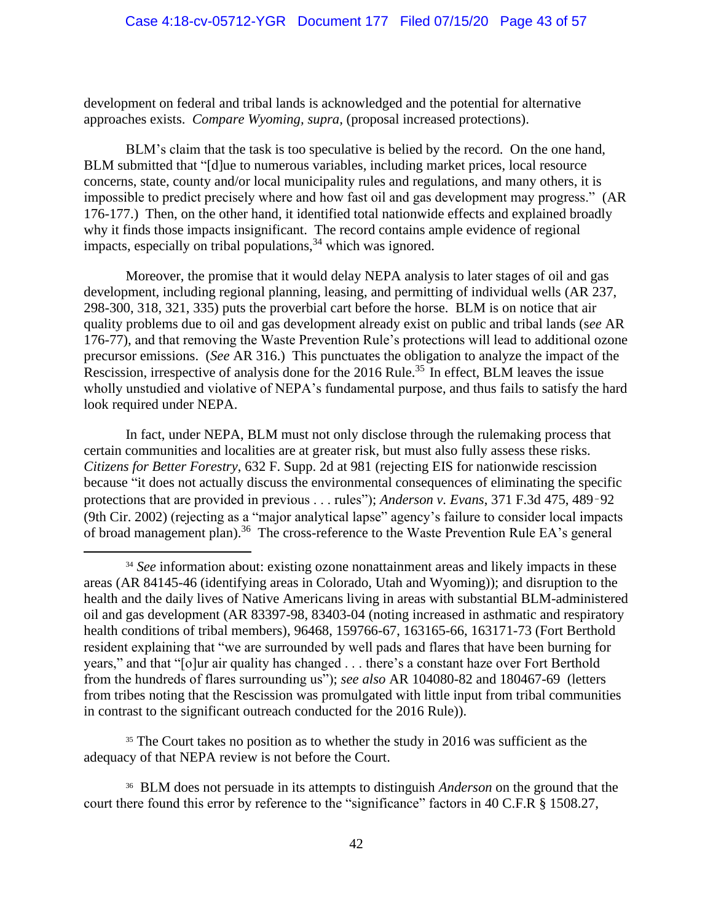development on federal and tribal lands is acknowledged and the potential for alternative approaches exists. *Compare Wyoming, supra,* (proposal increased protections).

BLM's claim that the task is too speculative is belied by the record. On the one hand, BLM submitted that "[d]ue to numerous variables, including market prices, local resource concerns, state, county and/or local municipality rules and regulations, and many others, it is impossible to predict precisely where and how fast oil and gas development may progress." (AR 176-177.) Then, on the other hand, it identified total nationwide effects and explained broadly why it finds those impacts insignificant. The record contains ample evidence of regional impacts, especially on tribal populations,  $34$  which was ignored.

Moreover, the promise that it would delay NEPA analysis to later stages of oil and gas development, including regional planning, leasing, and permitting of individual wells (AR 237, 298-300, 318, 321, 335) puts the proverbial cart before the horse. BLM is on notice that air quality problems due to oil and gas development already exist on public and tribal lands (s*ee* AR 176-77), and that removing the Waste Prevention Rule's protections will lead to additional ozone precursor emissions. (*See* AR 316.) This punctuates the obligation to analyze the impact of the Rescission, irrespective of analysis done for the 2016 Rule.<sup>35</sup> In effect, BLM leaves the issue wholly unstudied and violative of NEPA's fundamental purpose, and thus fails to satisfy the hard look required under NEPA.

In fact, under NEPA, BLM must not only disclose through the rulemaking process that certain communities and localities are at greater risk, but must also fully assess these risks. *Citizens for Better Forestry*, 632 F. Supp. 2d at 981 (rejecting EIS for nationwide rescission because "it does not actually discuss the environmental consequences of eliminating the specific protections that are provided in previous . . . rules"); *Anderson v. Evans*, 371 F.3d 475, 489–92 (9th Cir. 2002) (rejecting as a "major analytical lapse" agency's failure to consider local impacts of broad management plan).<sup>36</sup> The cross-reference to the Waste Prevention Rule EA's general

<sup>35</sup> The Court takes no position as to whether the study in 2016 was sufficient as the adequacy of that NEPA review is not before the Court.

36 BLM does not persuade in its attempts to distinguish *Anderson* on the ground that the court there found this error by reference to the "significance" factors in 40 C.F.R § 1508.27,

<sup>&</sup>lt;sup>34</sup> *See* information about: existing ozone nonattainment areas and likely impacts in these areas (AR 84145-46 (identifying areas in Colorado, Utah and Wyoming)); and disruption to the health and the daily lives of Native Americans living in areas with substantial BLM-administered oil and gas development (AR 83397-98, 83403-04 (noting increased in asthmatic and respiratory health conditions of tribal members), 96468, 159766-67, 163165-66, 163171-73 (Fort Berthold resident explaining that "we are surrounded by well pads and flares that have been burning for years," and that "[o]ur air quality has changed . . . there's a constant haze over Fort Berthold from the hundreds of flares surrounding us"); *see also* AR 104080-82 and 180467-69 (letters from tribes noting that the Rescission was promulgated with little input from tribal communities in contrast to the significant outreach conducted for the 2016 Rule)).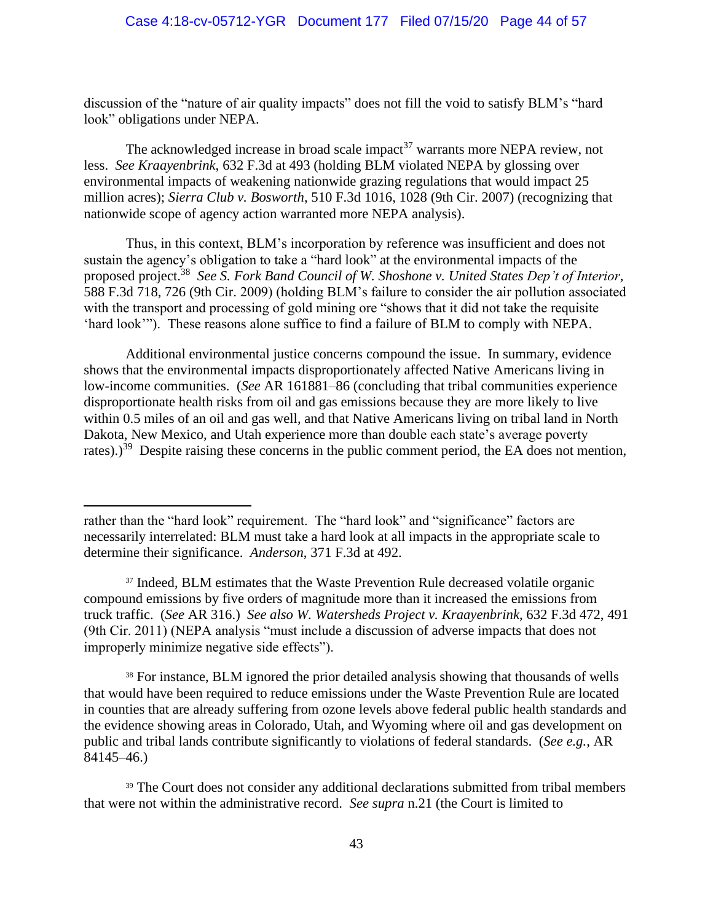discussion of the "nature of air quality impacts" does not fill the void to satisfy BLM's "hard look" obligations under NEPA.

The acknowledged increase in broad scale impact<sup>37</sup> warrants more NEPA review, not less. *See Kraayenbrink*, 632 F.3d at 493 (holding BLM violated NEPA by glossing over environmental impacts of weakening nationwide grazing regulations that would impact 25 million acres); *Sierra Club v. Bosworth*, 510 F.3d 1016, 1028 (9th Cir. 2007) (recognizing that nationwide scope of agency action warranted more NEPA analysis).

Thus, in this context, BLM's incorporation by reference was insufficient and does not sustain the agency's obligation to take a "hard look" at the environmental impacts of the proposed project.<sup>38</sup> *See S. Fork Band Council of W. Shoshone v. United States Dep't of Interior*, 588 F.3d 718, 726 (9th Cir. 2009) (holding BLM's failure to consider the air pollution associated with the transport and processing of gold mining ore "shows that it did not take the requisite" 'hard look'"). These reasons alone suffice to find a failure of BLM to comply with NEPA.

Additional environmental justice concerns compound the issue. In summary, evidence shows that the environmental impacts disproportionately affected Native Americans living in low-income communities. (*See* AR 161881–86 (concluding that tribal communities experience disproportionate health risks from oil and gas emissions because they are more likely to live within 0.5 miles of an oil and gas well, and that Native Americans living on tribal land in North Dakota, New Mexico, and Utah experience more than double each state's average poverty rates).)<sup>39</sup> Despite raising these concerns in the public comment period, the EA does not mention,

<sup>37</sup> Indeed, BLM estimates that the Waste Prevention Rule decreased volatile organic compound emissions by five orders of magnitude more than it increased the emissions from truck traffic. (*See* AR 316.) *See also W. Watersheds Project v. Kraayenbrink*, 632 F.3d 472, 491 (9th Cir. 2011) (NEPA analysis "must include a discussion of adverse impacts that does not improperly minimize negative side effects").

<sup>38</sup> For instance, BLM ignored the prior detailed analysis showing that thousands of wells that would have been required to reduce emissions under the Waste Prevention Rule are located in counties that are already suffering from ozone levels above federal public health standards and the evidence showing areas in Colorado, Utah, and Wyoming where oil and gas development on public and tribal lands contribute significantly to violations of federal standards. (*See e.g.*, AR 84145–46.)

<sup>39</sup> The Court does not consider any additional declarations submitted from tribal members that were not within the administrative record. *See supra* n.21 (the Court is limited to

rather than the "hard look" requirement. The "hard look" and "significance" factors are necessarily interrelated: BLM must take a hard look at all impacts in the appropriate scale to determine their significance. *Anderson*, 371 F.3d at 492.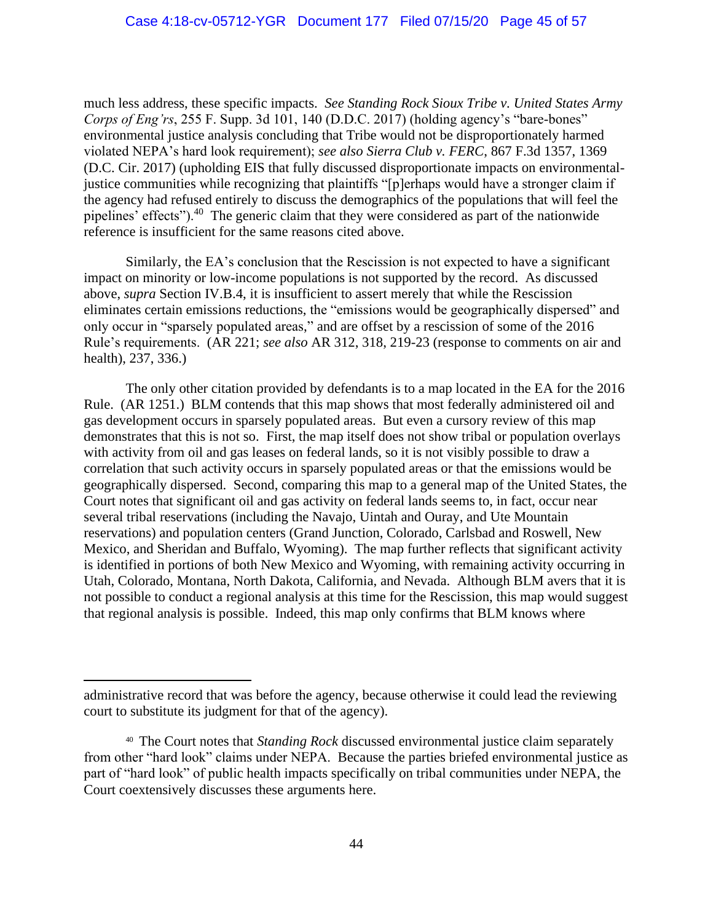much less address, these specific impacts. *See Standing Rock Sioux Tribe v. United States Army Corps of Eng'rs*, 255 F. Supp. 3d 101, 140 (D.D.C. 2017) (holding agency's "bare-bones" environmental justice analysis concluding that Tribe would not be disproportionately harmed violated NEPA's hard look requirement); *see also Sierra Club v. FERC*, 867 F.3d 1357, 1369 (D.C. Cir. 2017) (upholding EIS that fully discussed disproportionate impacts on environmentaljustice communities while recognizing that plaintiffs "[p]erhaps would have a stronger claim if the agency had refused entirely to discuss the demographics of the populations that will feel the pipelines' effects").<sup>40</sup> The generic claim that they were considered as part of the nationwide reference is insufficient for the same reasons cited above.

Similarly, the EA's conclusion that the Rescission is not expected to have a significant impact on minority or low-income populations is not supported by the record. As discussed above, *supra* Section IV.B.4, it is insufficient to assert merely that while the Rescission eliminates certain emissions reductions, the "emissions would be geographically dispersed" and only occur in "sparsely populated areas," and are offset by a rescission of some of the 2016 Rule's requirements. (AR 221; *see also* AR 312, 318, 219-23 (response to comments on air and health), 237, 336.)

The only other citation provided by defendants is to a map located in the EA for the 2016 Rule. (AR 1251.) BLM contends that this map shows that most federally administered oil and gas development occurs in sparsely populated areas. But even a cursory review of this map demonstrates that this is not so. First, the map itself does not show tribal or population overlays with activity from oil and gas leases on federal lands, so it is not visibly possible to draw a correlation that such activity occurs in sparsely populated areas or that the emissions would be geographically dispersed. Second, comparing this map to a general map of the United States, the Court notes that significant oil and gas activity on federal lands seems to, in fact, occur near several tribal reservations (including the Navajo, Uintah and Ouray, and Ute Mountain reservations) and population centers (Grand Junction, Colorado, Carlsbad and Roswell, New Mexico, and Sheridan and Buffalo, Wyoming). The map further reflects that significant activity is identified in portions of both New Mexico and Wyoming, with remaining activity occurring in Utah, Colorado, Montana, North Dakota, California, and Nevada. Although BLM avers that it is not possible to conduct a regional analysis at this time for the Rescission, this map would suggest that regional analysis is possible. Indeed, this map only confirms that BLM knows where

administrative record that was before the agency, because otherwise it could lead the reviewing court to substitute its judgment for that of the agency).

<sup>40</sup> The Court notes that *Standing Rock* discussed environmental justice claim separately from other "hard look" claims under NEPA. Because the parties briefed environmental justice as part of "hard look" of public health impacts specifically on tribal communities under NEPA, the Court coextensively discusses these arguments here.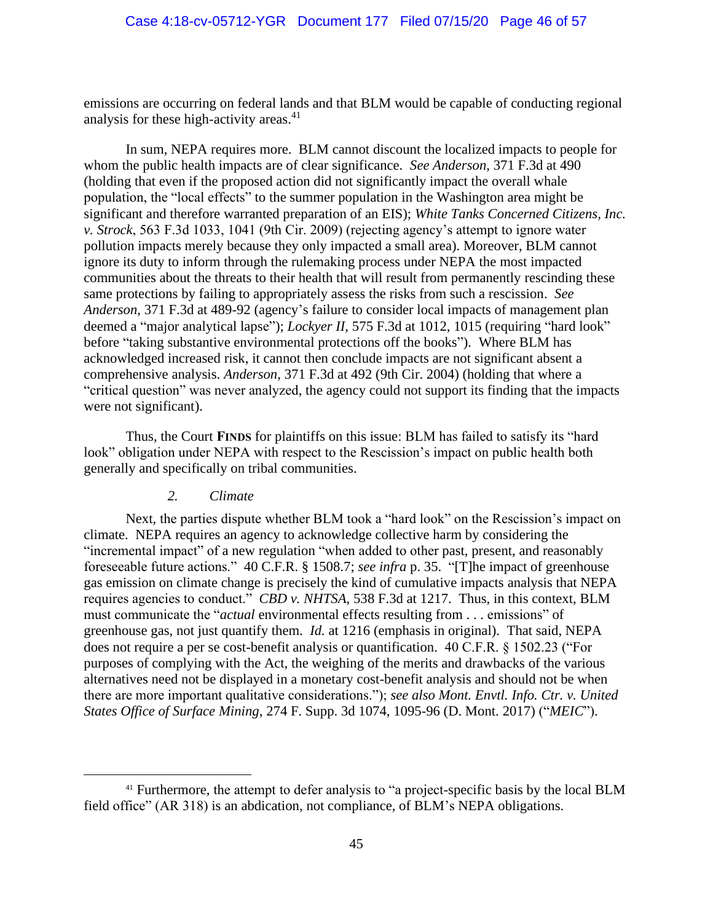emissions are occurring on federal lands and that BLM would be capable of conducting regional analysis for these high-activity areas. 41

In sum, NEPA requires more. BLM cannot discount the localized impacts to people for whom the public health impacts are of clear significance. *See Anderson*, 371 F.3d at 490 (holding that even if the proposed action did not significantly impact the overall whale population, the "local effects" to the summer population in the Washington area might be significant and therefore warranted preparation of an EIS); *White Tanks Concerned Citizens, Inc. v. Strock*, 563 F.3d 1033, 1041 (9th Cir. 2009) (rejecting agency's attempt to ignore water pollution impacts merely because they only impacted a small area). Moreover, BLM cannot ignore its duty to inform through the rulemaking process under NEPA the most impacted communities about the threats to their health that will result from permanently rescinding these same protections by failing to appropriately assess the risks from such a rescission. *See Anderson*, 371 F.3d at 489-92 (agency's failure to consider local impacts of management plan deemed a "major analytical lapse"); *Lockyer II*, 575 F.3d at 1012, 1015 (requiring "hard look" before "taking substantive environmental protections off the books"). Where BLM has acknowledged increased risk, it cannot then conclude impacts are not significant absent a comprehensive analysis. *Anderson*, 371 F.3d at 492 (9th Cir. 2004) (holding that where a "critical question" was never analyzed, the agency could not support its finding that the impacts were not significant).

Thus, the Court **FINDS** for plaintiffs on this issue: BLM has failed to satisfy its "hard look" obligation under NEPA with respect to the Rescission's impact on public health both generally and specifically on tribal communities.

#### *2. Climate*

Next, the parties dispute whether BLM took a "hard look" on the Rescission's impact on climate. NEPA requires an agency to acknowledge collective harm by considering the "incremental impact" of a new regulation "when added to other past, present, and reasonably foreseeable future actions." 40 C.F.R. § 1508.7; *see infra* p. 35. "[T]he impact of greenhouse gas emission on climate change is precisely the kind of cumulative impacts analysis that NEPA requires agencies to conduct." *CBD v. NHTSA*, 538 F.3d at 1217. Thus, in this context, BLM must communicate the "*actual* environmental effects resulting from . . . emissions" of greenhouse gas, not just quantify them. *Id.* at 1216 (emphasis in original). That said, NEPA does not require a per se cost-benefit analysis or quantification. 40 C.F.R. § 1502.23 ("For purposes of complying with the Act, the weighing of the merits and drawbacks of the various alternatives need not be displayed in a monetary cost-benefit analysis and should not be when there are more important qualitative considerations."); *see also Mont. Envtl. Info. Ctr. v. United States Office of Surface Mining*, 274 F. Supp. 3d 1074, 1095-96 (D. Mont. 2017) ("*MEIC*").

<sup>&</sup>lt;sup>41</sup> Furthermore, the attempt to defer analysis to "a project-specific basis by the local BLM field office" (AR 318) is an abdication, not compliance, of BLM's NEPA obligations.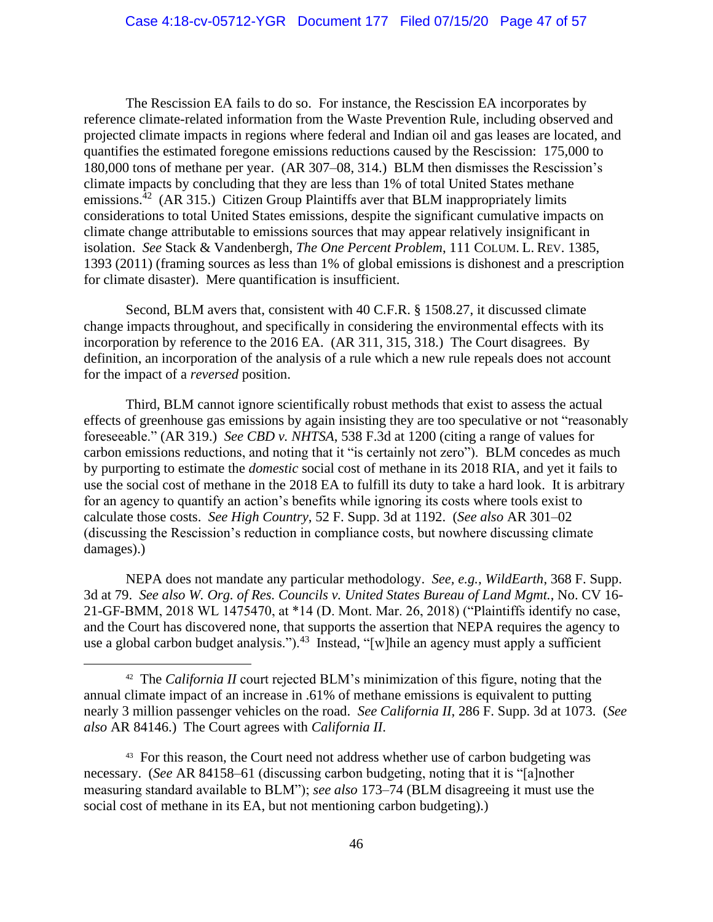The Rescission EA fails to do so. For instance, the Rescission EA incorporates by reference climate-related information from the Waste Prevention Rule, including observed and projected climate impacts in regions where federal and Indian oil and gas leases are located, and quantifies the estimated foregone emissions reductions caused by the Rescission: 175,000 to 180,000 tons of methane per year. (AR 307–08, 314.) BLM then dismisses the Rescission's climate impacts by concluding that they are less than 1% of total United States methane emissions.<sup>42</sup> (AR 315.) Citizen Group Plaintiffs aver that BLM inappropriately limits considerations to total United States emissions, despite the significant cumulative impacts on climate change attributable to emissions sources that may appear relatively insignificant in isolation. *See* Stack & Vandenbergh, *The One Percent Problem*, 111 COLUM. L. REV. 1385, 1393 (2011) (framing sources as less than 1% of global emissions is dishonest and a prescription for climate disaster). Mere quantification is insufficient.

Second, BLM avers that, consistent with 40 C.F.R. § 1508.27, it discussed climate change impacts throughout, and specifically in considering the environmental effects with its incorporation by reference to the 2016 EA. (AR 311, 315, 318.) The Court disagrees. By definition, an incorporation of the analysis of a rule which a new rule repeals does not account for the impact of a *reversed* position.

Third, BLM cannot ignore scientifically robust methods that exist to assess the actual effects of greenhouse gas emissions by again insisting they are too speculative or not "reasonably foreseeable." (AR 319.) *See CBD v. NHTSA*, 538 F.3d at 1200 (citing a range of values for carbon emissions reductions, and noting that it "is certainly not zero"). BLM concedes as much by purporting to estimate the *domestic* social cost of methane in its 2018 RIA, and yet it fails to use the social cost of methane in the 2018 EA to fulfill its duty to take a hard look. It is arbitrary for an agency to quantify an action's benefits while ignoring its costs where tools exist to calculate those costs. *See High Country*, 52 F. Supp. 3d at 1192. (*See also* AR 301–02 (discussing the Rescission's reduction in compliance costs, but nowhere discussing climate damages).)

NEPA does not mandate any particular methodology. *See, e.g., WildEarth*, 368 F. Supp. 3d at 79. *See also W. Org. of Res. Councils v. United States Bureau of Land Mgmt.*, No. CV 16- 21-GF-BMM, 2018 WL 1475470, at \*14 (D. Mont. Mar. 26, 2018) ("Plaintiffs identify no case, and the Court has discovered none, that supports the assertion that NEPA requires the agency to use a global carbon budget analysis.").<sup>43</sup> Instead, "[w]hile an agency must apply a sufficient

<sup>&</sup>lt;sup>42</sup> The *California II* court rejected BLM's minimization of this figure, noting that the annual climate impact of an increase in .61% of methane emissions is equivalent to putting nearly 3 million passenger vehicles on the road. *See California II*, 286 F. Supp. 3d at 1073. (*See also* AR 84146.) The Court agrees with *California II*.

<sup>&</sup>lt;sup>43</sup> For this reason, the Court need not address whether use of carbon budgeting was necessary. (*See* AR 84158–61 (discussing carbon budgeting, noting that it is "[a]nother measuring standard available to BLM"); *see also* 173–74 (BLM disagreeing it must use the social cost of methane in its EA, but not mentioning carbon budgeting).)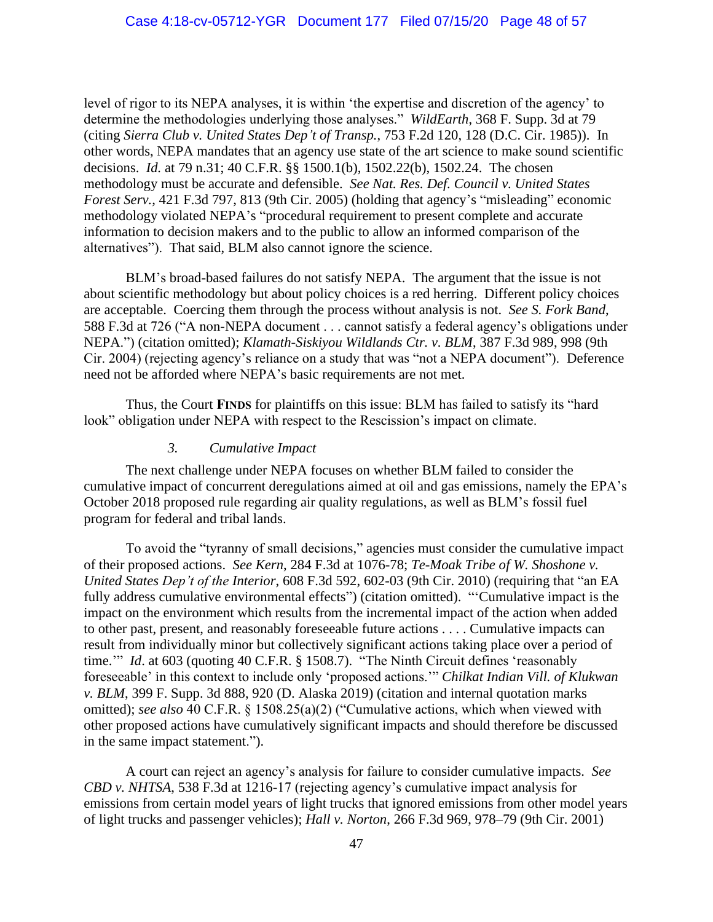level of rigor to its NEPA analyses, it is within 'the expertise and discretion of the agency' to determine the methodologies underlying those analyses." *WildEarth*, 368 F. Supp. 3d at 79 (citing *Sierra Club v. United States Dep't of Transp.*, 753 F.2d 120, 128 (D.C. Cir. 1985)). In other words, NEPA mandates that an agency use state of the art science to make sound scientific decisions. *Id.* at 79 n.31; 40 C.F.R. §§ 1500.1(b), 1502.22(b), 1502.24. The chosen methodology must be accurate and defensible. *See Nat. Res. Def. Council v. United States Forest Serv.*, 421 F.3d 797, 813 (9th Cir. 2005) (holding that agency's "misleading" economic methodology violated NEPA's "procedural requirement to present complete and accurate information to decision makers and to the public to allow an informed comparison of the alternatives"). That said, BLM also cannot ignore the science.

BLM's broad-based failures do not satisfy NEPA. The argument that the issue is not about scientific methodology but about policy choices is a red herring. Different policy choices are acceptable. Coercing them through the process without analysis is not. *See S. Fork Band*, 588 F.3d at 726 ("A non-NEPA document . . . cannot satisfy a federal agency's obligations under NEPA.") (citation omitted); *Klamath-Siskiyou Wildlands Ctr. v. BLM*, 387 F.3d 989, 998 (9th Cir. 2004) (rejecting agency's reliance on a study that was "not a NEPA document"). Deference need not be afforded where NEPA's basic requirements are not met.

Thus, the Court **FINDS** for plaintiffs on this issue: BLM has failed to satisfy its "hard look" obligation under NEPA with respect to the Rescission's impact on climate.

### *3. Cumulative Impact*

The next challenge under NEPA focuses on whether BLM failed to consider the cumulative impact of concurrent deregulations aimed at oil and gas emissions, namely the EPA's October 2018 proposed rule regarding air quality regulations, as well as BLM's fossil fuel program for federal and tribal lands.

To avoid the "tyranny of small decisions," agencies must consider the cumulative impact of their proposed actions. *See Kern*, 284 F.3d at 1076-78; *Te-Moak Tribe of W. Shoshone v. United States Dep't of the Interior*, 608 F.3d 592, 602-03 (9th Cir. 2010) (requiring that "an EA fully address cumulative environmental effects") (citation omitted). "'Cumulative impact is the impact on the environment which results from the incremental impact of the action when added to other past, present, and reasonably foreseeable future actions . . . . Cumulative impacts can result from individually minor but collectively significant actions taking place over a period of time." *Id.* at 603 (quoting 40 C.F.R. § 1508.7). "The Ninth Circuit defines 'reasonably foreseeable' in this context to include only 'proposed actions.'" *Chilkat Indian Vill. of Klukwan v. BLM*, 399 F. Supp. 3d 888, 920 (D. Alaska 2019) (citation and internal quotation marks omitted); *see also* 40 C.F.R. § 1508.25(a)(2) ("Cumulative actions, which when viewed with other proposed actions have cumulatively significant impacts and should therefore be discussed in the same impact statement.").

A court can reject an agency's analysis for failure to consider cumulative impacts. *See CBD v. NHTSA*, 538 F.3d at 1216-17 (rejecting agency's cumulative impact analysis for emissions from certain model years of light trucks that ignored emissions from other model years of light trucks and passenger vehicles); *Hall v. Norton*, 266 F.3d 969, 978–79 (9th Cir. 2001)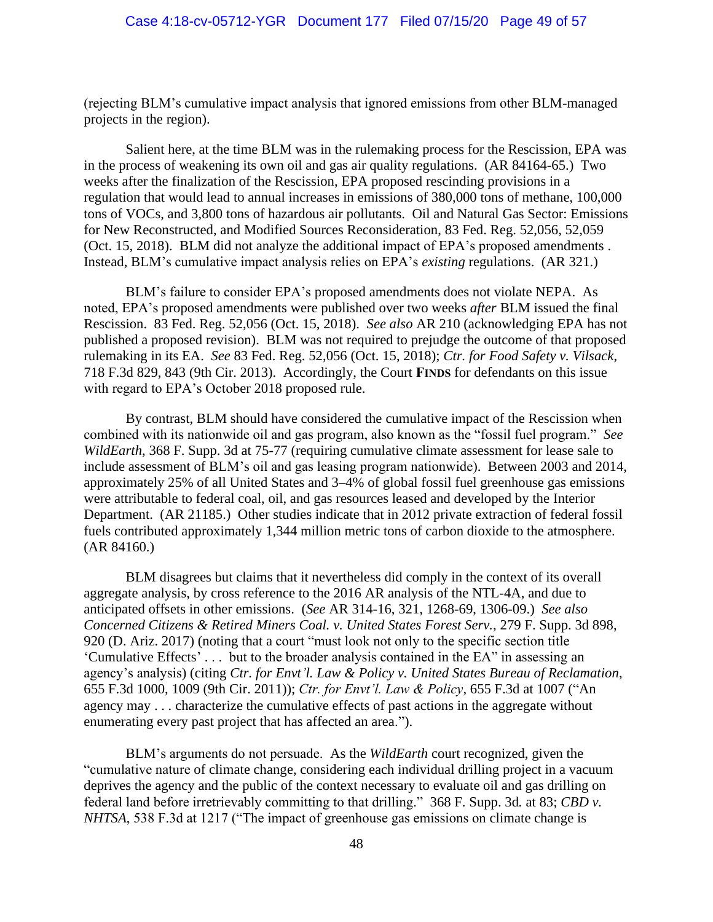(rejecting BLM's cumulative impact analysis that ignored emissions from other BLM-managed projects in the region).

Salient here, at the time BLM was in the rulemaking process for the Rescission, EPA was in the process of weakening its own oil and gas air quality regulations. (AR 84164-65.) Two weeks after the finalization of the Rescission, EPA proposed rescinding provisions in a regulation that would lead to annual increases in emissions of 380,000 tons of methane, 100,000 tons of VOCs, and 3,800 tons of hazardous air pollutants. Oil and Natural Gas Sector: Emissions for New Reconstructed, and Modified Sources Reconsideration, 83 Fed. Reg. 52,056, 52,059 (Oct. 15, 2018). BLM did not analyze the additional impact of EPA's proposed amendments . Instead, BLM's cumulative impact analysis relies on EPA's *existing* regulations. (AR 321.)

BLM's failure to consider EPA's proposed amendments does not violate NEPA. As noted, EPA's proposed amendments were published over two weeks *after* BLM issued the final Rescission. 83 Fed. Reg. 52,056 (Oct. 15, 2018). *See also* AR 210 (acknowledging EPA has not published a proposed revision). BLM was not required to prejudge the outcome of that proposed rulemaking in its EA. *See* 83 Fed. Reg. 52,056 (Oct. 15, 2018); *Ctr. for Food Safety v. Vilsack*, 718 F.3d 829, 843 (9th Cir. 2013). Accordingly, the Court **FINDS** for defendants on this issue with regard to EPA's October 2018 proposed rule.

By contrast, BLM should have considered the cumulative impact of the Rescission when combined with its nationwide oil and gas program, also known as the "fossil fuel program." *See WildEarth*, 368 F. Supp. 3d at 75-77 (requiring cumulative climate assessment for lease sale to include assessment of BLM's oil and gas leasing program nationwide). Between 2003 and 2014, approximately 25% of all United States and 3–4% of global fossil fuel greenhouse gas emissions were attributable to federal coal, oil, and gas resources leased and developed by the Interior Department. (AR 21185.) Other studies indicate that in 2012 private extraction of federal fossil fuels contributed approximately 1,344 million metric tons of carbon dioxide to the atmosphere. (AR 84160.)

BLM disagrees but claims that it nevertheless did comply in the context of its overall aggregate analysis, by cross reference to the 2016 AR analysis of the NTL-4A, and due to anticipated offsets in other emissions. (*See* AR 314-16, 321, 1268-69, 1306-09.) *See also Concerned Citizens & Retired Miners Coal. v. United States Forest Serv.*, 279 F. Supp. 3d 898, 920 (D. Ariz. 2017) (noting that a court "must look not only to the specific section title 'Cumulative Effects' . . . but to the broader analysis contained in the EA" in assessing an agency's analysis) (citing *Ctr. for Envt'l. Law & Policy v. United States Bureau of Reclamation*, 655 F.3d 1000, 1009 (9th Cir. 2011)); *Ctr. for Envt'l. Law & Policy*, 655 F.3d at 1007 ("An agency may . . . characterize the cumulative effects of past actions in the aggregate without enumerating every past project that has affected an area.").

BLM's arguments do not persuade. As the *WildEarth* court recognized, given the "cumulative nature of climate change, considering each individual drilling project in a vacuum deprives the agency and the public of the context necessary to evaluate oil and gas drilling on federal land before irretrievably committing to that drilling." 368 F. Supp. 3d*.* at 83; *CBD v. NHTSA*, 538 F.3d at 1217 ("The impact of greenhouse gas emissions on climate change is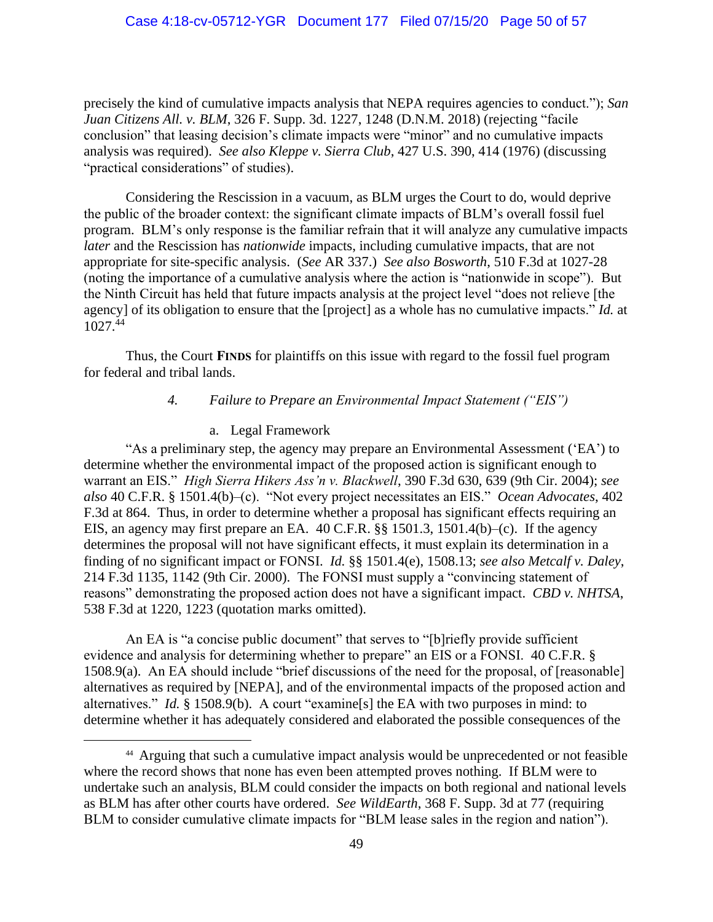precisely the kind of cumulative impacts analysis that NEPA requires agencies to conduct."); *San Juan Citizens All. v. BLM*, 326 F. Supp. 3d. 1227, 1248 (D.N.M. 2018) (rejecting "facile conclusion" that leasing decision's climate impacts were "minor" and no cumulative impacts analysis was required). *See also Kleppe v. Sierra Club*, 427 U.S. 390, 414 (1976) (discussing "practical considerations" of studies).

Considering the Rescission in a vacuum, as BLM urges the Court to do, would deprive the public of the broader context: the significant climate impacts of BLM's overall fossil fuel program. BLM's only response is the familiar refrain that it will analyze any cumulative impacts *later* and the Rescission has *nationwide* impacts, including cumulative impacts, that are not appropriate for site-specific analysis. (*See* AR 337.) *See also Bosworth*, 510 F.3d at 1027-28 (noting the importance of a cumulative analysis where the action is "nationwide in scope"). But the Ninth Circuit has held that future impacts analysis at the project level "does not relieve [the agency] of its obligation to ensure that the [project] as a whole has no cumulative impacts." *Id.* at  $1027^{44}$ 

Thus, the Court **FINDS** for plaintiffs on this issue with regard to the fossil fuel program for federal and tribal lands.

### *4. Failure to Prepare an Environmental Impact Statement ("EIS")*

### a. Legal Framework

"As a preliminary step, the agency may prepare an Environmental Assessment ('EA') to determine whether the environmental impact of the proposed action is significant enough to warrant an EIS." *High Sierra Hikers Ass'n v. Blackwell*, 390 F.3d 630, 639 (9th Cir. 2004); *see also* 40 C.F.R. § 1501.4(b)–(c). "Not every project necessitates an EIS." *Ocean Advocates*, 402 F.3d at 864. Thus, in order to determine whether a proposal has significant effects requiring an EIS, an agency may first prepare an EA. 40 C.F.R. §§ 1501.3, 1501.4(b)–(c). If the agency determines the proposal will not have significant effects, it must explain its determination in a finding of no significant impact or FONSI. *Id.* §§ 1501.4(e), 1508.13; *see also Metcalf v. Daley*, 214 F.3d 1135, 1142 (9th Cir. 2000). The FONSI must supply a "convincing statement of reasons" demonstrating the proposed action does not have a significant impact. *CBD v. NHTSA*, 538 F.3d at 1220, 1223 (quotation marks omitted).

An EA is "a concise public document" that serves to "[b]riefly provide sufficient evidence and analysis for determining whether to prepare" an EIS or a FONSI. 40 C.F.R. § 1508.9(a). An EA should include "brief discussions of the need for the proposal, of [reasonable] alternatives as required by [NEPA], and of the environmental impacts of the proposed action and alternatives." *Id.* § 1508.9(b). A court "examine[s] the EA with two purposes in mind: to determine whether it has adequately considered and elaborated the possible consequences of the

<sup>44</sup> Arguing that such a cumulative impact analysis would be unprecedented or not feasible where the record shows that none has even been attempted proves nothing. If BLM were to undertake such an analysis, BLM could consider the impacts on both regional and national levels as BLM has after other courts have ordered. *See WildEarth*, 368 F. Supp. 3d at 77 (requiring BLM to consider cumulative climate impacts for "BLM lease sales in the region and nation").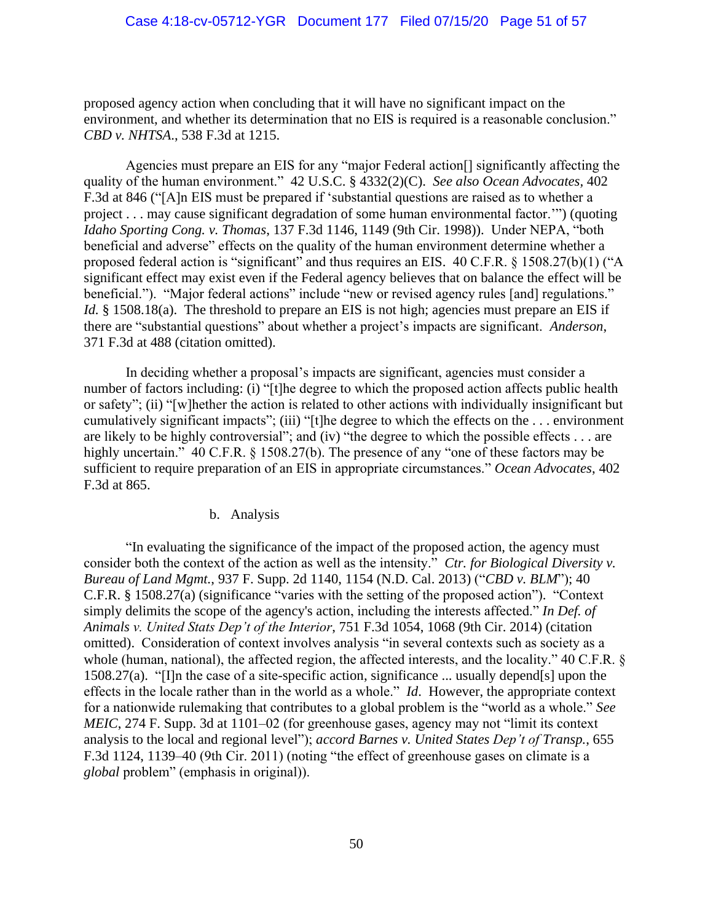proposed agency action when concluding that it will have no significant impact on the environment, and whether its determination that no EIS is required is a reasonable conclusion." *CBD v. NHTSA*., 538 F.3d at 1215.

Agencies must prepare an EIS for any "major Federal action[] significantly affecting the quality of the human environment." 42 U.S.C. § 4332(2)(C). *See also Ocean Advocates,* 402 F.3d at 846 ("[A]n EIS must be prepared if 'substantial questions are raised as to whether a project . . . may cause significant degradation of some human environmental factor.'") (quoting *Idaho Sporting Cong. v. Thomas*, 137 F.3d 1146, 1149 (9th Cir. 1998)). Under NEPA, "both beneficial and adverse" effects on the quality of the human environment determine whether a proposed federal action is "significant" and thus requires an EIS. 40 C.F.R. § 1508.27(b)(1) ("A significant effect may exist even if the Federal agency believes that on balance the effect will be beneficial."). "Major federal actions" include "new or revised agency rules [and] regulations." *Id.* § 1508.18(a). The threshold to prepare an EIS is not high; agencies must prepare an EIS if there are "substantial questions" about whether a project's impacts are significant. *Anderson*, 371 F.3d at 488 (citation omitted).

In deciding whether a proposal's impacts are significant, agencies must consider a number of factors including: (i) "[t]he degree to which the proposed action affects public health or safety"; (ii) "[w]hether the action is related to other actions with individually insignificant but cumulatively significant impacts"; (iii) "[t]he degree to which the effects on the . . . environment are likely to be highly controversial"; and (iv) "the degree to which the possible effects . . . are highly uncertain." 40 C.F.R. § 1508.27(b). The presence of any "one of these factors may be sufficient to require preparation of an EIS in appropriate circumstances." *Ocean Advocates*, 402 F.3d at 865.

## b. Analysis

"In evaluating the significance of the impact of the proposed action, the agency must consider both the context of the action as well as the intensity." *Ctr. for Biological Diversity v. Bureau of Land Mgmt.*, 937 F. Supp. 2d 1140, 1154 (N.D. Cal. 2013) ("*CBD v. BLM*"); 40 C.F.R. § 1508.27(a) (significance "varies with the setting of the proposed action"). "Context simply delimits the scope of the agency's action, including the interests affected." *In Def. of Animals v. United Stats Dep't of the Interior*, 751 F.3d 1054, 1068 (9th Cir. 2014) (citation omitted). Consideration of context involves analysis "in several contexts such as society as a whole (human, national), the affected region, the affected interests, and the locality." 40 C.F.R. § 1508.27(a). "[I]n the case of a site-specific action, significance ... usually depend[s] upon the effects in the locale rather than in the world as a whole." *Id*. However, the appropriate context for a nationwide rulemaking that contributes to a global problem is the "world as a whole." *See MEIC*, 274 F. Supp. 3d at 1101–02 (for greenhouse gases, agency may not "limit its context analysis to the local and regional level"); *accord Barnes v. United States Dep't of Transp.*, 655 F.3d 1124, 1139–40 (9th Cir. 2011) (noting "the effect of greenhouse gases on climate is a *global* problem" (emphasis in original)).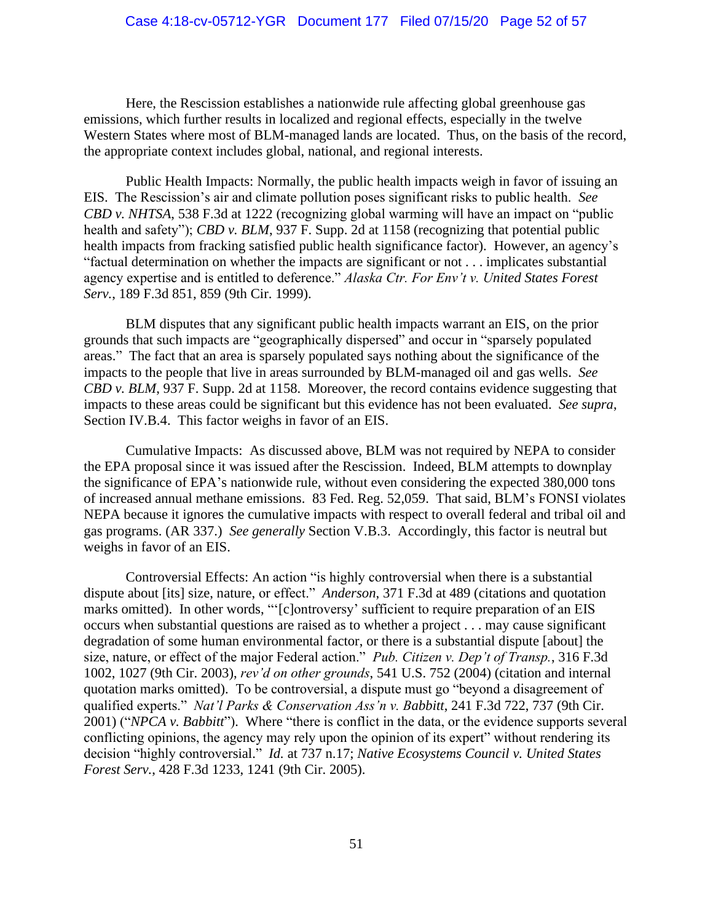Here, the Rescission establishes a nationwide rule affecting global greenhouse gas emissions, which further results in localized and regional effects, especially in the twelve Western States where most of BLM-managed lands are located. Thus, on the basis of the record, the appropriate context includes global, national, and regional interests.

Public Health Impacts: Normally, the public health impacts weigh in favor of issuing an EIS. The Rescission's air and climate pollution poses significant risks to public health. *See CBD v. NHTSA*, 538 F.3d at 1222 (recognizing global warming will have an impact on "public health and safety"); *CBD v. BLM*, 937 F. Supp. 2d at 1158 (recognizing that potential public health impacts from fracking satisfied public health significance factor). However, an agency's "factual determination on whether the impacts are significant or not . . . implicates substantial agency expertise and is entitled to deference." *Alaska Ctr. For Env't v. United States Forest Serv.*, 189 F.3d 851, 859 (9th Cir. 1999).

BLM disputes that any significant public health impacts warrant an EIS, on the prior grounds that such impacts are "geographically dispersed" and occur in "sparsely populated areas." The fact that an area is sparsely populated says nothing about the significance of the impacts to the people that live in areas surrounded by BLM-managed oil and gas wells. *See CBD v. BLM*, 937 F. Supp. 2d at 1158. Moreover, the record contains evidence suggesting that impacts to these areas could be significant but this evidence has not been evaluated. *See supra*, Section IV.B.4. This factor weighs in favor of an EIS.

Cumulative Impacts: As discussed above, BLM was not required by NEPA to consider the EPA proposal since it was issued after the Rescission. Indeed, BLM attempts to downplay the significance of EPA's nationwide rule, without even considering the expected 380,000 tons of increased annual methane emissions. 83 Fed. Reg. 52,059. That said, BLM's FONSI violates NEPA because it ignores the cumulative impacts with respect to overall federal and tribal oil and gas programs. (AR 337.) *See generally* Section V.B.3. Accordingly, this factor is neutral but weighs in favor of an EIS.

Controversial Effects: An action "is highly controversial when there is a substantial dispute about [its] size, nature, or effect." *Anderson*, 371 F.3d at 489 (citations and quotation marks omitted). In other words, "'[c]ontroversy' sufficient to require preparation of an EIS occurs when substantial questions are raised as to whether a project . . . may cause significant degradation of some human environmental factor, or there is a substantial dispute [about] the size, nature, or effect of the major Federal action." *Pub. Citizen v. Dep't of Transp.*, 316 F.3d 1002, 1027 (9th Cir. 2003), *rev'd on other grounds*, 541 U.S. 752 (2004) (citation and internal quotation marks omitted). To be controversial, a dispute must go "beyond a disagreement of qualified experts." *Nat'l Parks & Conservation Ass'n v. Babbitt*, 241 F.3d 722, 737 (9th Cir. 2001) ("*NPCA v. Babbitt*"). Where "there is conflict in the data, or the evidence supports several conflicting opinions, the agency may rely upon the opinion of its expert" without rendering its decision "highly controversial." *Id.* at 737 n.17; *Native Ecosystems Council v. United States Forest Serv.*, 428 F.3d 1233, 1241 (9th Cir. 2005).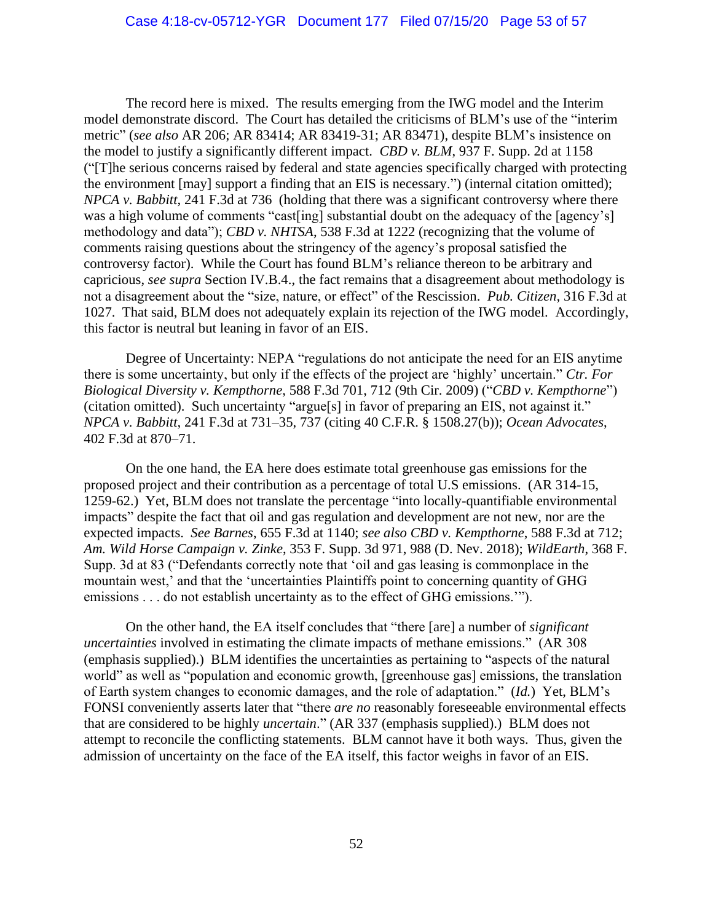The record here is mixed. The results emerging from the IWG model and the Interim model demonstrate discord. The Court has detailed the criticisms of BLM's use of the "interim metric" (*see also* AR 206; AR 83414; AR 83419-31; AR 83471), despite BLM's insistence on the model to justify a significantly different impact. *CBD v. BLM*, 937 F. Supp. 2d at 1158 ("[T]he serious concerns raised by federal and state agencies specifically charged with protecting the environment [may] support a finding that an EIS is necessary.") (internal citation omitted); *NPCA v. Babbitt*, 241 F.3d at 736 (holding that there was a significant controversy where there was a high volume of comments "cast[ing] substantial doubt on the adequacy of the [agency's] methodology and data"); *CBD v. NHTSA*, 538 F.3d at 1222 (recognizing that the volume of comments raising questions about the stringency of the agency's proposal satisfied the controversy factor). While the Court has found BLM's reliance thereon to be arbitrary and capricious, *see supra* Section IV.B.4., the fact remains that a disagreement about methodology is not a disagreement about the "size, nature, or effect" of the Rescission. *Pub. Citizen,* 316 F.3d at 1027. That said, BLM does not adequately explain its rejection of the IWG model. Accordingly, this factor is neutral but leaning in favor of an EIS.

Degree of Uncertainty: NEPA "regulations do not anticipate the need for an EIS anytime there is some uncertainty, but only if the effects of the project are 'highly' uncertain." *Ctr. For Biological Diversity v. Kempthorne*, 588 F.3d 701, 712 (9th Cir. 2009) ("*CBD v. Kempthorne*") (citation omitted). Such uncertainty "argue[s] in favor of preparing an EIS, not against it." *NPCA v. Babbitt*, 241 F.3d at 731–35, 737 (citing 40 C.F.R. § 1508.27(b)); *Ocean Advocates*, 402 F.3d at 870–71.

On the one hand, the EA here does estimate total greenhouse gas emissions for the proposed project and their contribution as a percentage of total U.S emissions. (AR 314-15, 1259-62.) Yet, BLM does not translate the percentage "into locally-quantifiable environmental impacts" despite the fact that oil and gas regulation and development are not new, nor are the expected impacts. *See Barnes*, 655 F.3d at 1140; *see also CBD v. Kempthorne*, 588 F.3d at 712; *Am. Wild Horse Campaign v. Zinke*, 353 F. Supp. 3d 971, 988 (D. Nev. 2018); *WildEarth*, 368 F. Supp. 3d at 83 ("Defendants correctly note that 'oil and gas leasing is commonplace in the mountain west,' and that the 'uncertainties Plaintiffs point to concerning quantity of GHG emissions . . . do not establish uncertainty as to the effect of GHG emissions.'").

On the other hand, the EA itself concludes that "there [are] a number of *significant uncertainties* involved in estimating the climate impacts of methane emissions." (AR 308 (emphasis supplied).) BLM identifies the uncertainties as pertaining to "aspects of the natural world" as well as "population and economic growth, [greenhouse gas] emissions, the translation of Earth system changes to economic damages, and the role of adaptation." (*Id.*) Yet, BLM's FONSI conveniently asserts later that "there *are no* reasonably foreseeable environmental effects that are considered to be highly *uncertain*." (AR 337 (emphasis supplied).) BLM does not attempt to reconcile the conflicting statements. BLM cannot have it both ways. Thus, given the admission of uncertainty on the face of the EA itself, this factor weighs in favor of an EIS.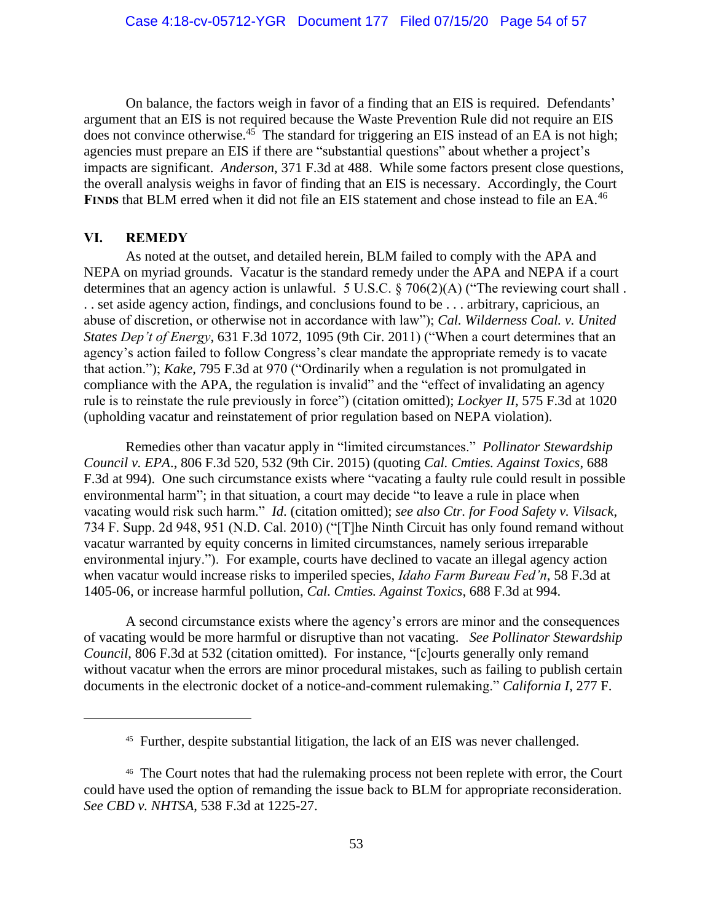On balance, the factors weigh in favor of a finding that an EIS is required. Defendants' argument that an EIS is not required because the Waste Prevention Rule did not require an EIS does not convince otherwise.<sup>45</sup> The standard for triggering an EIS instead of an EA is not high; agencies must prepare an EIS if there are "substantial questions" about whether a project's impacts are significant. *Anderson*, 371 F.3d at 488. While some factors present close questions, the overall analysis weighs in favor of finding that an EIS is necessary. Accordingly, the Court **FINDS** that BLM erred when it did not file an EIS statement and chose instead to file an EA.<sup>46</sup>

### **VI. REMEDY**

As noted at the outset, and detailed herein, BLM failed to comply with the APA and NEPA on myriad grounds. Vacatur is the standard remedy under the APA and NEPA if a court determines that an agency action is unlawful. 5 U.S.C. § 706(2)(A) ("The reviewing court shall . . . set aside agency action, findings, and conclusions found to be . . . arbitrary, capricious, an abuse of discretion, or otherwise not in accordance with law"); *Cal. Wilderness Coal. v. United States Dep't of Energy*, 631 F.3d 1072, 1095 (9th Cir. 2011) ("When a court determines that an agency's action failed to follow Congress's clear mandate the appropriate remedy is to vacate that action."); *Kake*, 795 F.3d at 970 ("Ordinarily when a regulation is not promulgated in compliance with the APA, the regulation is invalid" and the "effect of invalidating an agency rule is to reinstate the rule previously in force") (citation omitted); *Lockyer II*, 575 F.3d at 1020 (upholding vacatur and reinstatement of prior regulation based on NEPA violation).

Remedies other than vacatur apply in "limited circumstances." *Pollinator Stewardship Council v. EPA*., 806 F.3d 520, 532 (9th Cir. 2015) (quoting *Cal. Cmties. Against Toxics*, 688 F.3d at 994). One such circumstance exists where "vacating a faulty rule could result in possible environmental harm"; in that situation, a court may decide "to leave a rule in place when vacating would risk such harm." *Id*. (citation omitted); *see also Ctr. for Food Safety v. Vilsack*, 734 F. Supp. 2d 948, 951 (N.D. Cal. 2010) ("[T]he Ninth Circuit has only found remand without vacatur warranted by equity concerns in limited circumstances, namely serious irreparable environmental injury."). For example, courts have declined to vacate an illegal agency action when vacatur would increase risks to imperiled species, *Idaho Farm Bureau Fed'n*, 58 F.3d at 1405-06, or increase harmful pollution, *Cal. Cmties. Against Toxics*, 688 F.3d at 994.

A second circumstance exists where the agency's errors are minor and the consequences of vacating would be more harmful or disruptive than not vacating. *See Pollinator Stewardship Council*, 806 F.3d at 532 (citation omitted). For instance, "[c]ourts generally only remand without vacatur when the errors are minor procedural mistakes, such as failing to publish certain documents in the electronic docket of a notice-and-comment rulemaking." *California I*, 277 F.

<sup>45</sup> Further, despite substantial litigation, the lack of an EIS was never challenged.

<sup>&</sup>lt;sup>46</sup> The Court notes that had the rulemaking process not been replete with error, the Court could have used the option of remanding the issue back to BLM for appropriate reconsideration. *See CBD v. NHTSA*, 538 F.3d at 1225-27.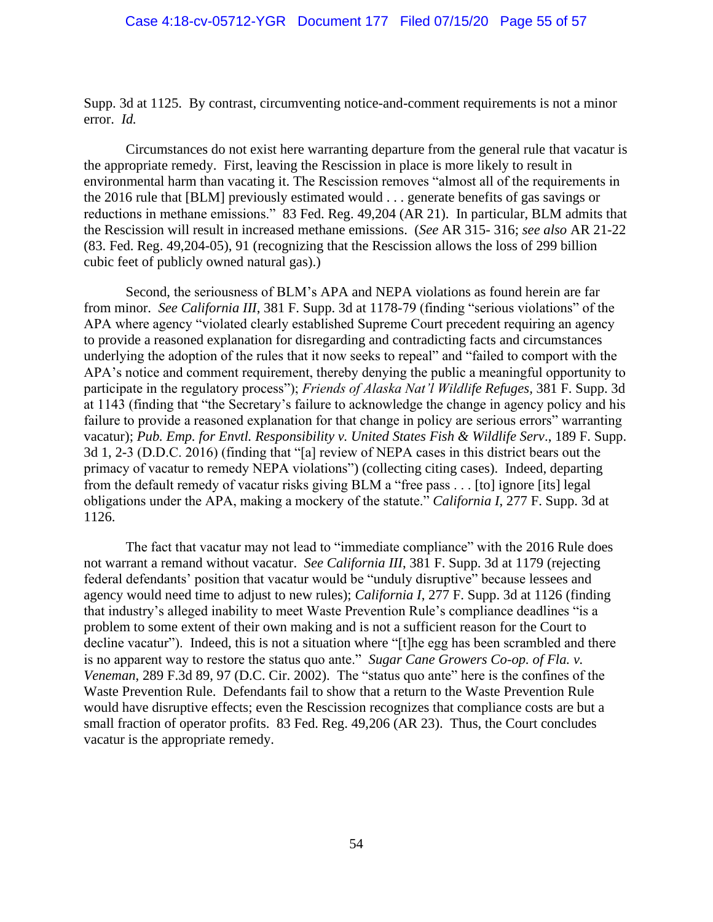Supp. 3d at 1125. By contrast, circumventing notice-and-comment requirements is not a minor error. *Id.*

Circumstances do not exist here warranting departure from the general rule that vacatur is the appropriate remedy. First, leaving the Rescission in place is more likely to result in environmental harm than vacating it. The Rescission removes "almost all of the requirements in the 2016 rule that [BLM] previously estimated would . . . generate benefits of gas savings or reductions in methane emissions." 83 Fed. Reg. 49,204 (AR 21). In particular, BLM admits that the Rescission will result in increased methane emissions. (*See* AR 315- 316; *see also* AR 21-22 (83. Fed. Reg. 49,204-05), 91 (recognizing that the Rescission allows the loss of 299 billion cubic feet of publicly owned natural gas).)

Second, the seriousness of BLM's APA and NEPA violations as found herein are far from minor. *See California III*, 381 F. Supp. 3d at 1178-79 (finding "serious violations" of the APA where agency "violated clearly established Supreme Court precedent requiring an agency to provide a reasoned explanation for disregarding and contradicting facts and circumstances underlying the adoption of the rules that it now seeks to repeal" and "failed to comport with the APA's notice and comment requirement, thereby denying the public a meaningful opportunity to participate in the regulatory process"); *Friends of Alaska Nat'l Wildlife Refuges,* 381 F. Supp. 3d at 1143 (finding that "the Secretary's failure to acknowledge the change in agency policy and his failure to provide a reasoned explanation for that change in policy are serious errors" warranting vacatur); *Pub. Emp. for Envtl. Responsibility v. United States Fish & Wildlife Serv*., 189 F. Supp. 3d 1, 2-3 (D.D.C. 2016) (finding that "[a] review of NEPA cases in this district bears out the primacy of vacatur to remedy NEPA violations") (collecting citing cases). Indeed, departing from the default remedy of vacatur risks giving BLM a "free pass . . . [to] ignore [its] legal obligations under the APA, making a mockery of the statute." *California I*, 277 F. Supp. 3d at 1126.

The fact that vacatur may not lead to "immediate compliance" with the 2016 Rule does not warrant a remand without vacatur. *See California III*, 381 F. Supp. 3d at 1179 (rejecting federal defendants' position that vacatur would be "unduly disruptive" because lessees and agency would need time to adjust to new rules); *California I*, 277 F. Supp. 3d at 1126 (finding that industry's alleged inability to meet Waste Prevention Rule's compliance deadlines "is a problem to some extent of their own making and is not a sufficient reason for the Court to decline vacatur"). Indeed, this is not a situation where "[t]he egg has been scrambled and there is no apparent way to restore the status quo ante." *Sugar Cane Growers Co-op. of Fla. v. Veneman*, 289 F.3d 89, 97 (D.C. Cir. 2002). The "status quo ante" here is the confines of the Waste Prevention Rule. Defendants fail to show that a return to the Waste Prevention Rule would have disruptive effects; even the Rescission recognizes that compliance costs are but a small fraction of operator profits. 83 Fed. Reg. 49,206 (AR 23). Thus, the Court concludes vacatur is the appropriate remedy.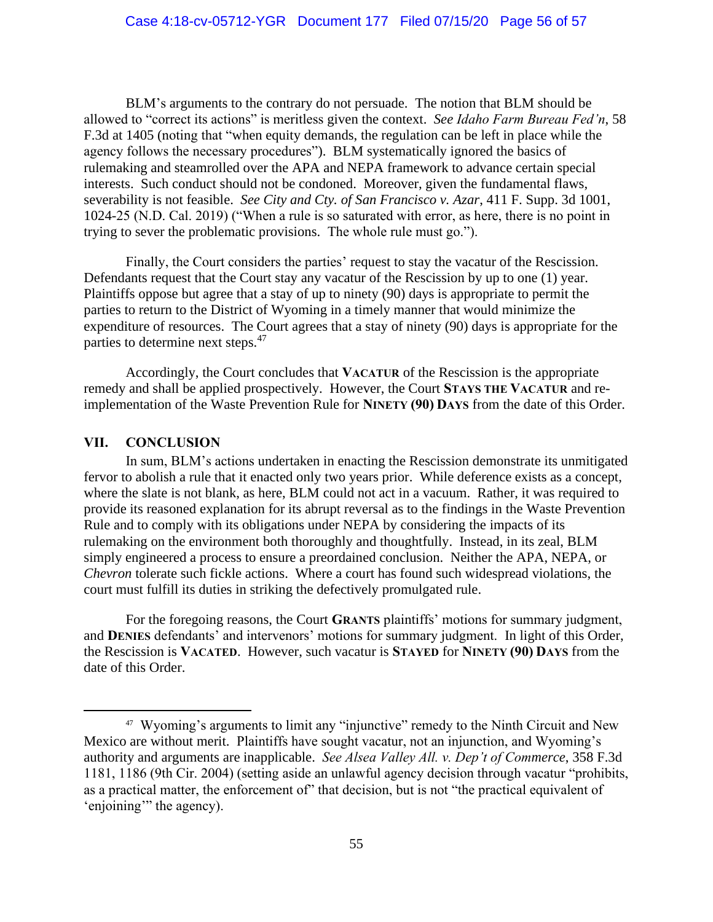BLM's arguments to the contrary do not persuade. The notion that BLM should be allowed to "correct its actions" is meritless given the context. *See Idaho Farm Bureau Fed'n*, 58 F.3d at 1405 (noting that "when equity demands, the regulation can be left in place while the agency follows the necessary procedures"). BLM systematically ignored the basics of rulemaking and steamrolled over the APA and NEPA framework to advance certain special interests. Such conduct should not be condoned. Moreover, given the fundamental flaws, severability is not feasible. *See City and Cty. of San Francisco v. Azar*, 411 F. Supp. 3d 1001, 1024-25 (N.D. Cal. 2019) ("When a rule is so saturated with error, as here, there is no point in trying to sever the problematic provisions. The whole rule must go.").

Finally, the Court considers the parties' request to stay the vacatur of the Rescission. Defendants request that the Court stay any vacatur of the Rescission by up to one (1) year. Plaintiffs oppose but agree that a stay of up to ninety (90) days is appropriate to permit the parties to return to the District of Wyoming in a timely manner that would minimize the expenditure of resources. The Court agrees that a stay of ninety (90) days is appropriate for the parties to determine next steps.<sup>47</sup>

Accordingly, the Court concludes that **VACATUR** of the Rescission is the appropriate remedy and shall be applied prospectively. However, the Court **STAYS THE VACATUR** and reimplementation of the Waste Prevention Rule for **NINETY (90) DAYS** from the date of this Order.

### **VII. CONCLUSION**

In sum, BLM's actions undertaken in enacting the Rescission demonstrate its unmitigated fervor to abolish a rule that it enacted only two years prior. While deference exists as a concept, where the slate is not blank, as here, BLM could not act in a vacuum. Rather, it was required to provide its reasoned explanation for its abrupt reversal as to the findings in the Waste Prevention Rule and to comply with its obligations under NEPA by considering the impacts of its rulemaking on the environment both thoroughly and thoughtfully. Instead, in its zeal, BLM simply engineered a process to ensure a preordained conclusion. Neither the APA, NEPA, or *Chevron* tolerate such fickle actions. Where a court has found such widespread violations, the court must fulfill its duties in striking the defectively promulgated rule.

For the foregoing reasons, the Court **GRANTS** plaintiffs' motions for summary judgment, and **DENIES** defendants' and intervenors' motions for summary judgment. In light of this Order, the Rescission is **VACATED**. However, such vacatur is **STAYED** for **NINETY (90) DAYS** from the date of this Order.

<sup>&</sup>lt;sup>47</sup> Wyoming's arguments to limit any "injunctive" remedy to the Ninth Circuit and New Mexico are without merit. Plaintiffs have sought vacatur, not an injunction, and Wyoming's authority and arguments are inapplicable. *See Alsea Valley All. v. Dep't of Commerce*, 358 F.3d 1181, 1186 (9th Cir. 2004) (setting aside an unlawful agency decision through vacatur "prohibits, as a practical matter, the enforcement of" that decision, but is not "the practical equivalent of 'enjoining'" the agency).